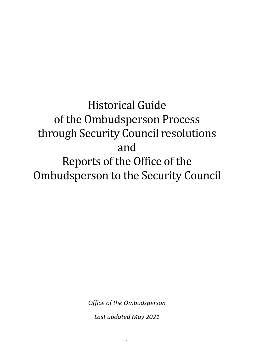# Historical Guide of the Ombudsperson Process through Security Council resolutions and Reports of the Office of the Ombudsperson to the Security Council

*Office of the Ombudsperson*

*Last updated May 2021*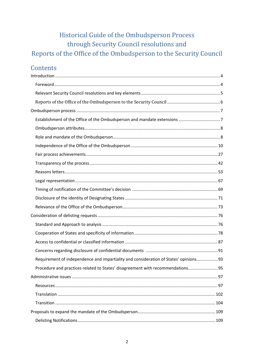# Historical Guide of the Ombudsperson Process through Security Council resolutions and Reports of the Office of the Ombudsperson to the Security Council

# Contents

| Requirement of independence and impartiality and consideration of States' opinions 93 |  |
|---------------------------------------------------------------------------------------|--|
| Procedure and practices related to States' disagreement with recommendations 95       |  |
|                                                                                       |  |
|                                                                                       |  |
|                                                                                       |  |
|                                                                                       |  |
|                                                                                       |  |
|                                                                                       |  |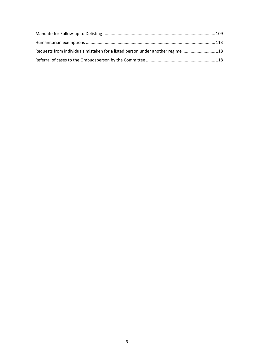| Requests from individuals mistaken for a listed person under another regime 118 |  |
|---------------------------------------------------------------------------------|--|
|                                                                                 |  |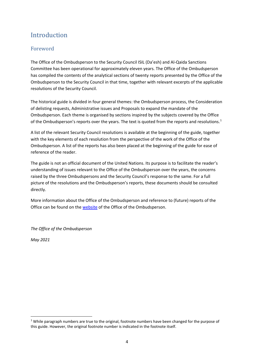# <span id="page-3-0"></span>**Introduction**

# <span id="page-3-1"></span>Foreword

The Office of the Ombudsperson to the Security Council ISIL (Da'esh) and Al-Qaida Sanctions Committee has been operational for approximately eleven years. The Office of the Ombudsperson has compiled the contents of the analytical sections of twenty reports presented by the Office of the Ombudsperson to the Security Council in that time, together with relevant excerpts of the applicable resolutions of the Security Council.

The historical guide is divided in four general themes: the Ombudsperson process, the Consideration of delisting requests, Administrative issues and Proposals to expand the mandate of the Ombudsperson. Each theme is organised by sections inspired by the subjects covered by the Office of the Ombudsperson's reports over the years. The text is quoted from the reports and resolutions.<sup>[1](#page-3-2)</sup>

A list of the relevant Security Council resolutions is available at the beginning of the guide, together with the key elements of each resolution from the perspective of the work of the Office of the Ombudsperson. A list of the reports has also been placed at the beginning of the guide for ease of reference of the reader.

The guide is not an official document of the United Nations. Its purpose is to facilitate the reader's understanding of issues relevant to the Office of the Ombudsperson over the years, the concerns raised by the three Ombudspersons and the Security Council's response to the same. For a full picture of the resolutions and the Ombudsperson's reports, these documents should be consulted directly.

More information about the Office of the Ombudsperson and reference to (future) reports of the Office can be found on the [website](https://www.un.org/securitycouncil/ombudsperson) of the Office of the Ombudsperson.

*The Office of the Ombudsperson*

*May 2021*

<span id="page-3-2"></span> $1$  While paragraph numbers are true to the original, footnote numbers have been changed for the purpose of this guide. However, the original footnote number is indicated in the footnote itself.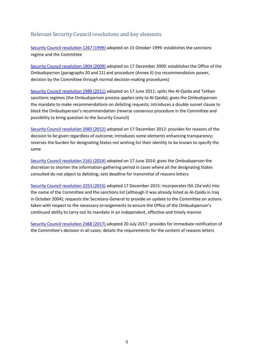# <span id="page-4-0"></span>Relevant Security Council resolutions and key elements

[Security Council resolution 1267 \(1999\)](https://undocs.org/S/RES/1267(1999)) adopted on 15 October 1999: establishes the sanctions regime and the Committee

[Security Council resolution 1904 \(2009\)](https://undocs.org/S/RES/1904(2009)) adopted on 17 December 2009: establishes the Office of the Ombudsperson (paragraphs 20 and 21) and procedure (Annex II) (no recommendation power, decision by the Committee through normal decision-making procedures)

[Security Council resolution 1989 \(2011\)](https://undocs.org/S/RES/1989(2011)) adopted on 17 June 2011: splits the Al-Qaida and Taliban sanctions regimes (the Ombudsperson process applies only to Al-Qaida); gives the Ombudsperson the mandate to make recommendations on delisting requests; introduces a double sunset clause to block the Ombudsperson's recommendation (reverse consensus procedure in the Committee and possibility to bring question to the Security Council)

[Security Council resolution 2083 \(2012\)](https://undocs.org/S/RES/2083(2012)) adopted on 17 December 2012: provides for reasons of the decision to be given regardless of outcome; introduces some elements enhancing transparency; reverses the burden for designating States not wishing for their identity to be known to specify the same

[Security Council resolution 2161 \(2014\)](https://undocs.org/S/RES/2161(2014)) adopted on 17 June 2014: gives the Ombudsperson the discretion to shorten the information-gathering period in cases where all the designating States consulted do not object to delisting; sets deadline for transmittal of reasons letters

[Security Council resolution 2253 \(2015\)](https://undocs.org/S/RES/2253(2015)) adopted 17 December 2015: incorporates ISIL (Da'esh) into the name of the Committee and the sanctions list (although it was already listed as Al-Qaida in Iraq in October 2004); requests the Secretary-General to provide an update to the Committee on actions taken with respect to the necessary arrangements to ensure the Office of the Ombudsperson's continued ability to carry out its mandate in an independent, effective and timely manner

[Security Council resolution 2368 \(2017\)](https://undocs.org/S/RES/2368(2017)) adopted 20 July 2017: provides for immediate notification of the Committee's decision in all cases; details the requirements for the content of reasons letters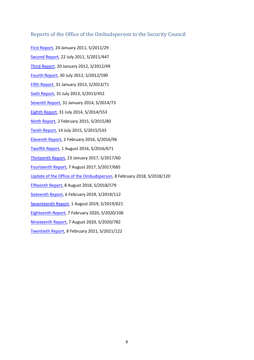# <span id="page-5-0"></span>Reports of the Office of the Ombudsperson to the Security Council

[First Report,](http://undocs.org/S/2011/29) 24 January 2011, S/2011/29 [Second Report,](https://undocs.org/S/2011/447) 22 July 2011, S/2011/447 [Third Report,](https://undocs.org/S/2012/49) 20 January 2012, S/2012/49 [Fourth Report,](https://undocs.org/S/2012/590) 30 July 2012, S/2012/590 [Fifth Report,](https://undocs.org/S/2013/71) 31 January 2013, S/2013/71 [Sixth Report,](https://undocs.org/S/2013/452) 31 July 2013, S/2013/452 [Seventh Report,](https://undocs.org/S/2014/73) 31 January 2014, S/2014/73 [Eighth Report,](https://undocs.org/S/2014/553) 31 July 2014, S/2014/553 [Ninth Report,](https://undocs.org/S/2015/80) 2 February 2015, S/2015/80 [Tenth Report,](https://undocs.org/S/2015/533) 14 July 2015, S/2015/533 [Eleventh Report,](https://undocs.org/S/2016/96) 2 February 2016, S/2016/96 [Twelfth Report,](https://undocs.org/S/2016/671) 1 August 2016, S/2016/671 [Thirteenth Report,](https://undocs.org/S/2017/60) 23 January 2017, S/2017/60 [Fourteenth Report,](https://undocs.org/S/2017/685) 7 August 2017, S/2017/685 Update of the Office [of the Ombudsperson,](https://undocs.org/S/2018/120) 8 February 2018, S/2018/120 [Fifteenth Report,](https://undocs.org/S/2018/579) 8 August 2018, S/2018/579 [Sixteenth Report,](https://undocs.org/S/2019/112) 6 February 2019, S/2019/112 [Seventeenth Report,](https://www.undocs.org/S/2019/621) 1 August 2019, S/2019/621 [Eighteenth Report,](https://www.undocs.org/S/2020/106) 7 February 2020, S/2020/106 [Nineteenth Report,](https://www.undocs.org/S/2020/782) 7 August 2020, S/2020/782 [Twentieth Report,](https://www.undocs.org/S/2021/122) 8 February 2021, S/2021/122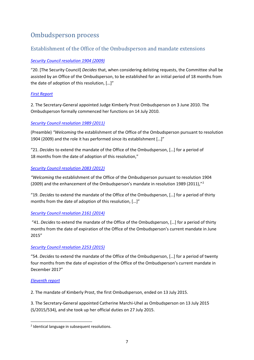# <span id="page-6-0"></span>Ombudsperson process

# <span id="page-6-1"></span>Establishment of the Office of the Ombudsperson and mandate extensions

# *[Security Council resolution 1904 \(2009\)](https://undocs.org/S/RES/1904(2009))*

"20. [The Security Council] *Decides* that, when considering delisting requests, the Committee shall be assisted by an Office of the Ombudsperson, to be established for an initial period of 18 months from the date of adoption of this resolution, […]"

# *[First Report](http://undocs.org/S/2011/29)*

2. The Secretary-General appointed Judge Kimberly Prost Ombudsperson on 3 June 2010. The Ombudsperson formally commenced her functions on 14 July 2010.

# *[Security Council resolution 1989 \(2011\)](https://undocs.org/S/RES/1989(2011))*

(Preamble) *"Welcoming* the establishment of the Office of the Ombudsperson pursuant to resolution 1904 (2009) and the role it has performed since its establishment […]"

"21. *Decides* to extend the mandate of the Office of the Ombudsperson, […] for a period of 18 months from the date of adoption of this resolution,"

# *[Security Council resolution 2083 \(2012\)](https://undocs.org/S/RES/2083(2012))*

*"Welcoming* the establishment of the Office of the Ombudsperson pursuant to resolution 1904 ([2](#page-6-2)009) and the enhancement of the Ombudsperson's mandate in resolution 1989 (2011),"<sup>2</sup>

"19. *Decides* to extend the mandate of the Office of the Ombudsperson, […] for a period of thirty months from the date of adoption of this resolution, […]"

# *[Security Council resolution 2161 \(2014\)](https://undocs.org/S/RES/2161(2014))*

"41. *Decides* to extend the mandate of the Office of the Ombudsperson, […] for a period of thirty months from the date of expiration of the Office of the Ombudsperson's current mandate in June 2015"

# *[Security Council resolution 2253 \(2015\)](https://undocs.org/S/RES/2253(2015))*

"54. *Decides* to extend the mandate of the Office of the Ombudsperson, […] for a period of twenty four months from the date of expiration of the Office of the Ombudsperson's current mandate in December 2017"

#### *[Eleventh report](https://undocs.org/S/2016/96)*

2. The mandate of Kimberly Prost, the first Ombudsperson, ended on 13 July 2015.

3. The Secretary-General appointed Catherine Marchi-Uhel as Ombudsperson on 13 July 2015 (S/2015/534), and she took up her official duties on 27 July 2015.

<span id="page-6-2"></span><sup>&</sup>lt;sup>2</sup> Identical language in subsequent resolutions.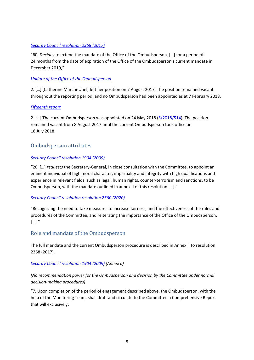## *[Security Council resolution 2368 \(2017\)](https://undocs.org/S/RES/2368(2017))*

"60. *Decides* to extend the mandate of the Office of the Ombudsperson, […] for a period of 24 months from the date of expiration of the Office of the Ombudsperson's current mandate in December 2019,"

## *[Update of the Office of the Ombudspers](https://undocs.org/S/2018/120)on*

2. […] [Catherine Marchi-Uhel] left her position on 7 August 2017. The position remained vacant throughout the reporting period, and no Ombudsperson had been appointed as at 7 February 2018.

# *[Fifteenth report](https://www.undocs.org/en/S/2018/579)*

2. […] The current Ombudsperson was appointed on 24 May 2018 [\(S/2018/514\)](https://www.undocs.org/en/s/2018/514). The position remained vacant from 8 August 2017 until the current Ombudsperson took office on 18 July 2018.

# <span id="page-7-0"></span>Ombudsperson attributes

# *[Security Council resolution 1904 \(2009\)](https://undocs.org/S/RES/1904(2009))*

"20. […] *requests* the Secretary-General, in close consultation with the Committee, to appoint an eminent individual of high moral character, impartiality and integrity with high qualifications and experience in relevant fields, such as legal, human rights, counter-terrorism and sanctions, to be Ombudsperson, with the mandate outlined in annex II of this resolution […]."

#### *[Security Council resolution resolution 2560 \(2020\)](https://undocs.org/S/RES/2560(2020))*

"Recognizing the need to take measures to increase fairness, and the effectiveness of the rules and procedures of the Committee, and reiterating the importance of the Office of the Ombudsperson, […]."

# <span id="page-7-1"></span>Role and mandate of the Ombudsperson

The full mandate and the current Ombudsperson procedure is described in Annex II to resolution 2368 (2017).

#### *[Security Council resolution 1904 \(2009\)](https://undocs.org/S/RES/1904(2009)) (Annex II)*

# *[No recommendation power for the Ombudsperson and decision by the Committee under normal decision-making procedures]*

"7. Upon completion of the period of engagement described above, the Ombudsperson, with the help of the Monitoring Team, shall draft and circulate to the Committee a Comprehensive Report that will exclusively: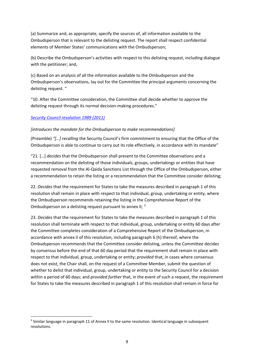(a) Summarize and, as appropriate, specify the sources of, all information available to the Ombudsperson that is relevant to the delisting request. The report shall respect confidential elements of Member States' communications with the Ombudsperson;

(b) Describe the Ombudsperson's activities with respect to this delisting request, including dialogue with the petitioner; and,

(c) Based on an analysis of all the information available to the Ombudsperson and the Ombudsperson's observations, lay out for the Committee the principal arguments concerning the delisting request. "

"10. After the Committee consideration, the Committee shall decide whether to approve the delisting request through its normal decision-making procedures."

#### *[Security Council resolution 1989 \(2011\)](https://undocs.org/S/RES/1989(2011))*

#### *[introduces the mandate for the Ombudsperson to make recommendations]*

(Preamble) *"[…] recalling* the Security Council's firm commitment to ensuring that the Office of the Ombudsperson is able to continue to carry out its role effectively, in accordance with its mandate"

"21. […] *decides* that the Ombudsperson shall present to the Committee observations and a recommendation on the delisting of those individuals, groups, undertakings or entities that have requested removal from the Al-Qaida Sanctions List through the Office of the Ombudsperson, either a recommendation to retain the listing or a recommendation that the Committee consider delisting;

22. *Decides* that the requirement for States to take the measures described in paragraph 1 of this resolution shall remain in place with respect to that individual, group, undertaking or entity, where the Ombudsperson recommends retaining the listing in the Comprehensive Report of the Ombudsperson on a delisting request pursuant to annex II; <sup>[3](#page-8-0)</sup>

23. *Decides* that the requirement for States to take the measures described in paragraph 1 of this resolution shall terminate with respect to that individual, group, undertaking or entity 60 days after the Committee completes consideration of a Comprehensive Report of the Ombudsperson, in accordance with annex II of this resolution, including paragraph 6 (h) thereof, where the Ombudsperson recommends that the Committee consider delisting, unless the Committee decides by consensus before the end of that 60 day period that the requirement shall remain in place with respect to that individual, group, undertaking or entity; *provided* that, in cases where consensus does not exist, the Chair shall, on the request of a Committee Member, submit the question of whether to delist that individual, group, undertaking or entity to the Security Council for a decision within a period of 60 days; and *provided further* that, in the event of such a request, the requirement for States to take the measures described in paragraph 1 of this resolution shall remain in force for

<span id="page-8-0"></span><sup>&</sup>lt;sup>3</sup> Similar language in paragraph 11 of Annex II to the same resolution. Identical language in subsequent resolutions.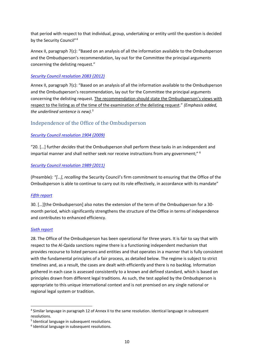that period with respect to that individual, group, undertaking or entity until the question is decided by the Security Council"<sup>[4](#page-9-1)</sup>

Annex II, paragraph 7(c): "Based on an analysis of all the information available to the Ombudsperson and the Ombudsperson's recommendation, lay out for the Committee the principal arguments concerning the delisting request."

# *[Security Council resolution 2083 \(2012\)](https://undocs.org/S/RES/2083(2012))*

Annex II, paragraph 7(c): "Based on an analysis of all the information available to the Ombudsperson and the Ombudsperson's recommendation, lay out for the Committee the principal arguments concerning the delisting request. The recommendation should state the Ombudsperson's views with respect to the listing as of the time of the examination of the delisting request." *(Emphasis added, the underlined sentence is new).[5](#page-9-2)*

# <span id="page-9-0"></span>Independence of the Office of the Ombudsperson

# *[Security Council resolution 1904 \(2009\)](https://undocs.org/S/RES/1904(2009))*

"20. […] further *decides* that the Ombudsperson shall perform these tasks in an independent and impartial manner and shall neither seek nor receive instructions from any government;" [6](#page-9-3)

#### *[Security Council resolution 1989 \(2011\)](https://undocs.org/S/RES/1989(2011))*

(Preamble)*: "[…]*, *recalling* the Security Council's firm commitment to ensuring that the Office of the Ombudsperson is able to continue to carry out its role effectively, in accordance with its mandate"

#### *[Fifth report](https://undocs.org/S/2013/71)*

30. […][the Ombudsperson] also notes the extension of the term of the Ombudsperson for a 30 month period, which significantly strengthens the structure of the Office in terms of independence and contributes to enhanced efficiency.

#### *[Sixth report](https://undocs.org/S/2013/452)*

28. The Office of the Ombudsperson has been operational for three years. It is fair to say that with respect to the Al-Qaida sanctions regime there is a functioning independent mechanism that provides recourse to listed persons and entities and that operates in a manner that is fully consistent with the fundamental principles of a fair process, as detailed below. The regime is subject to strict timelines and, as a result, the cases are dealt with efficiently and there is no backlog. Information gathered in each case is assessed consistently to a known and defined standard, which is based on principles drawn from different legal traditions. As such, the test applied by the Ombudsperson is appropriate to this unique international context and is not premised on any single national or regional legal system or tradition.

<span id="page-9-1"></span><sup>4</sup> Similar language in paragraph 12 of Annex II to the same resolution. Identical language in subsequent resolutions.

<span id="page-9-2"></span><sup>5</sup> Identical language in subsequent resolutions.

<span id="page-9-3"></span><sup>6</sup> Identical language in subsequent resolutions.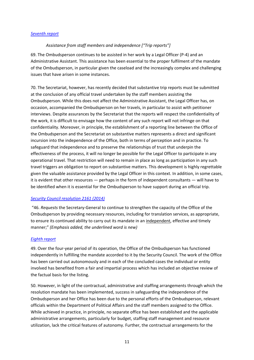#### *[Seventh report](https://undocs.org/S/2014/73)*

#### *Assistance from staff members and independence ["Trip reports"]*

69. The Ombudsperson continues to be assisted in her work by a Legal Officer (P-4) and an Administrative Assistant. This assistance has been essential to the proper fulfilment of the mandate of the Ombudsperson, in particular given the caseload and the increasingly complex and challenging issues that have arisen in some instances.

70. The Secretariat, however, has recently decided that substantive trip reports must be submitted at the conclusion of any official travel undertaken by the staff members assisting the Ombudsperson. While this does not affect the Administrative Assistant, the Legal Officer has, on occasion, accompanied the Ombudsperson on her travels, in particular to assist with petitioner interviews. Despite assurances by the Secretariat that the reports will respect the confidentiality of the work, it is difficult to envisage how the content of any such report will not infringe on that confidentiality. Moreover, in principle, the establishment of a reporting line between the Office of the Ombudsperson and the Secretariat on substantive matters represents a direct and significant incursion into the independence of the Office, both in terms of perception and in practice. To safeguard that independence and to preserve the relationships of trust that underpin the effectiveness of the process, it will no longer be possible for the Legal Officer to participate in any operational travel. That restriction will need to remain in place as long as participation in any such travel triggers an obligation to report on substantive matters. This development is highly regrettable given the valuable assistance provided by the Legal Officer in this context. In addition, in some cases, it is evident that other resources — perhaps in the form of independent consultants — will have to be identified when it is essential for the Ombudsperson to have support during an official trip.

#### *[Security Council resolution 2161 \(2014\)](https://undocs.org/S/RES/2161(2014))*

"46. *Requests* the Secretary-General to continue to strengthen the capacity of the Office of the Ombudsperson by providing necessary resources, including for translation services, as appropriate, to ensure its continued ability to carry out its mandate in an independent, effective and timely manner;" *(Emphasis added, the underlined word is new)*

#### *[Eighth report](https://undocs.org/S/2014/553)*

49. Over the four-year period of its operation, the Office of the Ombudsperson has functioned independently in fulfilling the mandate accorded to it by the Security Council. The work of the Office has been carried out autonomously and in each of the concluded cases the individual or entity involved has benefited from a fair and impartial process which has included an objective review of the factual basis for the listing.

50. However, in light of the contractual, administrative and staffing arrangements through which the resolution mandate has been implemented, success in safeguarding the independence of the Ombudsperson and her Office has been due to the personal efforts of the Ombudsperson, relevant officials within the Department of Political Affairs and the staff members assigned to the Office. While achieved in practice, in principle, no separate office has been established and the applicable administrative arrangements, particularly for budget, staffing staff management and resource utilization, lack the critical features of autonomy. Further, the contractual arrangements for the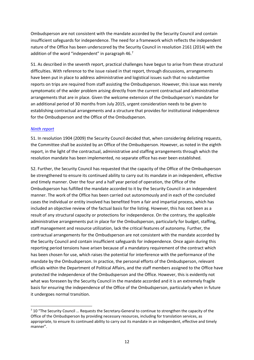Ombudsperson are not consistent with the mandate accorded by the Security Council and contain insufficient safeguards for independence. The need for a framework which reflects the independent nature of the Office has been underscored by the Security Council in resolution 2161 (2014) with the addition of the word "independent" in paragraph 46.[7](#page-11-0)

51. As described in the seventh report, practical challenges have begun to arise from these structural difficulties. With reference to the issue raised in that report, through discussions, arrangements have been put in place to address administrative and logistical issues such that no substantive reports on trips are required from staff assisting the Ombudsperson. However, this issue was merely symptomatic of the wider problem arising directly from the current contractual and administrative arrangements that are in place. Given the welcome extension of the Ombudsperson's mandate for an additional period of 30 months from July 2015, urgent consideration needs to be given to establishing contractual arrangements and a structure that provides for institutional independence for the Ombudsperson and the Office of the Ombudsperson.

#### *[Ninth report](https://undocs.org/S/2015/80)*

51. In resolution 1904 (2009) the Security Council decided that, when considering delisting requests, the Committee shall be assisted by an Office of the Ombudsperson. However, as noted in the eighth report, in the light of the contractual, administrative and staffing arrangements through which the resolution mandate has been implemented, no separate office has ever been established.

52. Further, the Security Council has requested that the capacity of the Office of the Ombudsperson be strengthened to ensure its continued ability to carry out its mandate in an independent, effective and timely manner. Over the four and a half year period of operation, the Office of the Ombudsperson has fulfilled the mandate accorded to it by the Security Council in an independent manner. The work of the Office has been carried out autonomously and in each of the concluded cases the individual or entity involved has benefited from a fair and impartial process, which has included an objective review of the factual basis for the listing. However, this has not been as a result of any structural capacity or protections for independence. On the contrary, the applicable administrative arrangements put in place for the Ombudsperson, particularly for budget, staffing, staff management and resource utilization, lack the critical features of autonomy. Further, the contractual arrangements for the Ombudsperson are not consistent with the mandate accorded by the Security Council and contain insufficient safeguards for independence. Once again during this reporting period tensions have arisen because of a mandatory requirement of the contract which has been chosen for use, which raises the potential for interference with the performance of the mandate by the Ombudsperson. In practice, the personal efforts of the Ombudsperson, relevant officials within the Department of Political Affairs, and the staff members assigned to the Office have protected the independence of the Ombudsperson and the Office. However, this is evidently not what was foreseen by the Security Council in the mandate accorded and it is an extremely fragile basis for ensuring the independence of the Office of the Ombudsperson, particularly when in future it undergoes normal transition.

<span id="page-11-0"></span><sup>&</sup>lt;sup>7</sup> 10 "The Security Council ... Requests the Secretary-General to continue to strengthen the capacity of the Office of the Ombudsperson by providing necessary resources, including for translation services, as appropriate, to ensure its continued ability to carry out its mandate in an independent, effective and timely manner".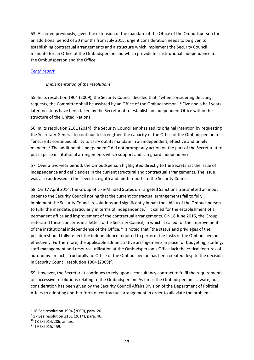53. As noted previously, given the extension of the mandate of the Office of the Ombudsperson for an additional period of 30 months from July 2015, urgent consideration needs to be given to establishing contractual arrangements and a structure which implement the Security Council mandate for an Office of the Ombudsperson and which provide for institutional independence for the Ombudsperson and the Office.

## *[Tenth report](https://undocs.org/S/2015/533)*

#### *Implementation of the resolutions*

55. In its resolution 1904 (2009), the Security Council decided that, "when considering delisting requests, the Committee shall be assisted by an Office of the Ombudsperson".<sup>[8](#page-12-0)</sup> Five and a half years later, no steps have been taken by the Secretariat to establish an independent Office within the structure of the United Nations.

56. In its resolution 2161 (2014), the Security Council emphasized its original intention by requesting the Secretary-General to continue to strengthen the capacity of the Office of the Ombudsperson to "ensure its continued ability to carry out its mandate in an independent, effective and timely manner".[9](#page-12-1) The addition of "independent" did not prompt any action on the part of the Secretariat to put in place institutional arrangements which support and safeguard independence.

57. Over a two-year period, the Ombudsperson highlighted directly to the Secretariat the issue of independence and deficiencies in the current structural and contractual arrangements. The issue was also addressed in the seventh, eighth and ninth reports to the Security Council.

58. On 17 April 2014, the Group of Like-Minded States on Targeted Sanctions transmitted an input paper to the Security Council noting that the current contractual arrangements fail to fully implement the Security Council resolutions and significantly impair the ability of the Ombudsperson to fulfil the mandate, particularly in terms of independence.<sup>[10](#page-12-2)</sup> It called for the establishment of a permanent office and improvement of the contractual arrangements. On 18 June 2015, the Group reiterated these concerns in a letter to the Security Council, in which it called for the improvement of the institutional independence of the Office.<sup>[11](#page-12-3)</sup> It noted that "the status and privileges of the position should fully reflect the independence required to perform the tasks of the Ombudsperson effectively. Furthermore, the applicable administrative arrangements in place for budgeting, staffing, staff management and resource utilization at the Ombudsperson's Office lack the critical features of autonomy. In fact, structurally no Office of the Ombudsperson has been created despite the decision in Security Council resolution 1904 (2009)".

59. However, the Secretariat continues to rely upon a consultancy contract to fulfil the requirements of successive resolutions relating to the Ombudsperson. As far as the Ombudsperson is aware, no consideration has been given by the Security Council Affairs Division of the Department of Political Affairs to adopting another form of contractual arrangement in order to alleviate the problems

<span id="page-12-0"></span><sup>8</sup> 16 See resolution 1904 (2009), para. 20.

<span id="page-12-1"></span><sup>&</sup>lt;sup>9</sup> 17 See resolution 2161 (2014), para. 46.

<span id="page-12-2"></span><sup>10</sup> 18 S/2014/286, annex.

<span id="page-12-3"></span> $11$  19 S/2015/459.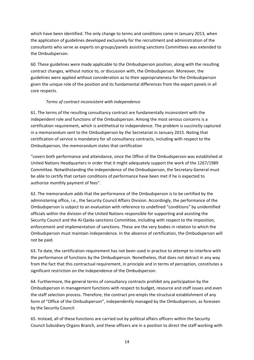which have been identified. The only change to terms and conditions came in January 2013, when the application of guidelines developed exclusively for the recruitment and administration of the consultants who serve as experts on groups/panels assisting sanctions Committees was extended to the Ombudsperson.

60. These guidelines were made applicable to the Ombudsperson position, along with the resulting contract changes, without notice to, or discussion with, the Ombudsperson. Moreover, the guidelines were applied without consideration as to their appropriateness for the Ombudsperson given the unique role of the position and its fundamental differences from the expert panels in all core respects.

# *Terms of contract inconsistent with independence*

61. The terms of the resulting consultancy contract are fundamentally inconsistent with the independent role and functions of the Ombudsperson. Among the most serious concerns is a certification requirement, which is antithetical to independence. The problem is succinctly captured in a memorandum sent to the Ombudsperson by the Secretariat in January 2015. Noting that certification of service is mandatory for all consultancy contracts, including with respect to the Ombudsperson, the memorandum states that certification

"covers both performance and attendance, since the Office of the Ombudsperson was established at United Nations Headquarters in order that it might adequately support the work of the 1267/1989 Committee. Notwithstanding the independence of the Ombudsperson, the Secretary-General must be able to certify that certain conditions of performance have been met if he is expected to authorize monthly payment of fees".

62. The memorandum adds that the performance of the Ombudsperson is to be certified by the administering office, i.e., the Security Council Affairs Division. Accordingly, the performance of the Ombudsperson is subject to an evaluation with reference to undefined "conditions" by unidentified officials within the division of the United Nations responsible for supporting and assisting the Security Council and the Al-Qaida sanctions Committee, including with respect to the imposition, enforcement and implementation of sanctions. These are the very bodies in relation to which the Ombudsperson must maintain independence. In the absence of certification, the Ombudsperson will not be paid.

63. To date, the certification requirement has not been used in practice to attempt to interfere with the performance of functions by the Ombudsperson. Nonetheless, that does not detract in any way from the fact that this contractual requirement, in principle and in terms of perception, constitutes a significant restriction on the independence of the Ombudsperson.

64. Furthermore, the general terms of consultancy contracts prohibit any participation by the Ombudsperson in management functions with respect to budget, resource and staff issues and even the staff selection process. Therefore, the contract pre-empts the structural establishment of any form of "Office of the Ombudsperson", independently managed by the Ombudsperson, as foreseen by the Security Council.

65. Instead, all of these functions are carried out by political affairs officers within the Security Council Subsidiary Organs Branch, and these officers are in a position to direct the staff working with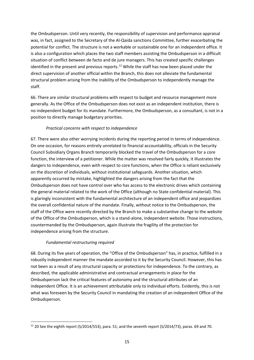the Ombudsperson. Until very recently, the responsibility of supervision and performance appraisal was, in fact, assigned to the Secretary of the Al-Qaida sanctions Committee, further exacerbating the potential for conflict. The structure is not a workable or sustainable one for an independent office. It is also a configuration which places the two staff members assisting the Ombudsperson in a difficult situation of conflict between de facto and de jure managers. This has created specific challenges identified in the present and previous reports.<sup>[12](#page-14-0)</sup> While the staff has now been placed under the direct supervision of another official within the Branch, this does not alleviate the fundamental structural problem arising from the inability of the Ombudsperson to independently manage the staff.

66. There are similar structural problems with respect to budget and resource management more generally. As the Office of the Ombudsperson does not exist as an independent institution, there is no independent budget for its mandate. Furthermore, the Ombudsperson, as a consultant, is not in a position to directly manage budgetary priorities.

# *Practical concerns with respect to independence*

67. There were also other worrying incidents during the reporting period in terms of independence. On one occasion, for reasons entirely unrelated to financial accountability, officials in the Security Council Subsidiary Organs Branch temporarily blocked the travel of the Ombudsperson for a core function, the interview of a petitioner. While the matter was resolved fairly quickly, it illustrates the dangers to independence, even with respect to core functions, when the Office is reliant exclusively on the discretion of individuals, without institutional safeguards. Another situation, which apparently occurred by mistake, highlighted the dangers arising from the fact that the Ombudsperson does not have control over who has access to the electronic drives which containing the general material related to the work of the Office (although no State confidential material). This is glaringly inconsistent with the fundamental architecture of an independent office and jeopardizes the overall confidential nature of the mandate. Finally, without notice to the Ombudsperson, the staff of the Office were recently directed by the Branch to make a substantive change to the website of the Office of the Ombudsperson, which is a stand-alone, independent website. Those instructions, countermanded by the Ombudsperson, again illustrate the fragility of the protection for independence arising from the structure.

# *Fundamental restructuring required*

68. During its five years of operation, the "Office of the Ombudsperson" has, in practice, fulfilled in a robustly independent manner the mandate accorded to it by the Security Council. However, this has not been as a result of any structural capacity or protections for independence. To the contrary, as described, the applicable administrative and contractual arrangements in place for the Ombudsperson lack the critical features of autonomy and the structural attributes of an independent Office. It is an achievement attributable only to individual efforts. Evidently, this is not what was foreseen by the Security Council in mandating the creation of an independent Office of the Ombudsperson.

<span id="page-14-0"></span> $12$  20 See the eighth report (S/2014/553), para. 51; and the seventh report (S/2014/73), paras. 69 and 70.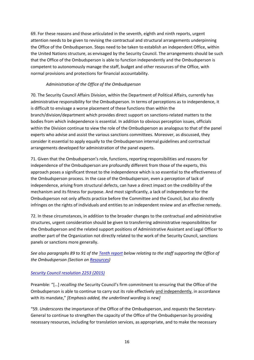69. For these reasons and those articulated in the seventh, eighth and ninth reports, urgent attention needs to be given to revising the contractual and structural arrangements underpinning the Office of the Ombudsperson. Steps need to be taken to establish an independent Office, within the United Nations structure, as envisaged by the Security Council. The arrangements should be such that the Office of the Ombudsperson is able to function independently and the Ombudsperson is competent to autonomously manage the staff, budget and other resources of the Office, with normal provisions and protections for financial accountability.

# *Administration of the Office of the Ombudsperson*

70. The Security Council Affairs Division, within the Department of Political Affairs, currently has administrative responsibility for the Ombudsperson. In terms of perceptions as to independence, it is difficult to envisage a worse placement of these functions than within the branch/division/department which provides direct support on sanctions-related matters to the bodies from which independence is essential. In addition to obvious perception issues, officials within the Division continue to view the role of the Ombudsperson as analogous to that of the panel experts who advise and assist the various sanctions committees. Moreover, as discussed, they consider it essential to apply equally to the Ombudsperson internal guidelines and contractual arrangements developed for administration of the panel experts.

71. Given that the Ombudsperson's role, functions, reporting responsibilities and reasons for independence of the Ombudsperson are profoundly different from those of the experts, this approach poses a significant threat to the independence which is so essential to the effectiveness of the Ombudsperson process. In the case of the Ombudsperson, even a perception of lack of independence, arising from structural defects, can have a direct impact on the credibility of the mechanism and its fitness for purpose. And most significantly, a lack of independence for the Ombudsperson not only affects practice before the Committee and the Council, but also directly infringes on the rights of individuals and entities to an independent review and an effective remedy.

72. In these circumstances, in addition to the broader changes to the contractual and administrative structures, urgent consideration should be given to transferring administrative responsibilities for the Ombudsperson and the related support positions of Administrative Assistant and Legal Officer to another part of the Organization not directly related to the work of the Security Council, sanctions panels or sanctions more generally.

# *See also paragraphs 89 to 91 of the [Tenth report](https://undocs.org/S/2015/533) below relating to the staff supporting the Office of the Ombudsperson (Section on Resources)*

# *[Security Council resolution 2253 \(2015\)](https://undocs.org/S/RES/2253(2015))*

Preamble: "[…] *recalling the* Security Council's firm commitment to ensuring that the Office of the Ombudsperson is able to continue to carry out its role effectively and independently, in accordance with its mandate," *[Emphasis added, the underlined wording is new]*

"59. *Underscores* the importance of the Office of the Ombudsperson, and *requests* the Secretary-General to continue to strengthen the capacity of the Office of the Ombudsperson by providing necessary resources, including for translation services, as appropriate, and to make the necessary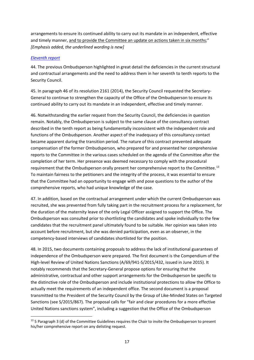arrangements to ensure its continued ability to carry out its mandate in an independent, effective and timely manner, and to provide the Committee an update on actions taken in six months;" *[Emphasis added, the underlined wording is new]*

## *[Eleventh report](https://undocs.org/S/2016/96)*

44. The previous Ombudsperson highlighted in great detail the deficiencies in the current structural and contractual arrangements and the need to address them in her seventh to tenth reports to the Security Council.

45. In paragraph 46 of its resolution 2161 (2014), the Security Council requested the Secretary-General to continue to strengthen the capacity of the Office of the Ombudsperson to ensure its continued ability to carry out its mandate in an independent, effective and timely manner.

46. Notwithstanding the earlier request from the Security Council, the deficiencies in question remain. Notably, the Ombudsperson is subject to the same clause of the consultancy contract described in the tenth report as being fundamentally inconsistent with the independent role and functions of the Ombudsperson. Another aspect of the inadequacy of this consultancy contact became apparent during the transition period. The nature of this contract prevented adequate compensation of the former Ombudsperson, who prepared for and presented her comprehensive reports to the Committee in the various cases scheduled on the agenda of the Committee after the completion of her term. Her presence was deemed necessary to comply with the procedural requirement that the Ombudsperson orally present her comprehensive report to the Committee.<sup>[13](#page-16-0)</sup> To maintain fairness to the petitioners and the integrity of the process, it was essential to ensure that the Committee had an opportunity to engage with and pose questions to the author of the comprehensive reports, who had unique knowledge of the case.

47. In addition, based on the contractual arrangement under which the current Ombudsperson was recruited, she was prevented from fully taking part in the recruitment process for a replacement, for the duration of the maternity leave of the only Legal Officer assigned to support the Office. The Ombudsperson was consulted prior to shortlisting the candidates and spoke individually to the few candidates that the recruitment panel ultimately found to be suitable. Her opinion was taken into account before recruitment, but she was denied participation, even as an observer, in the competency-based interviews of candidates shortlisted for the position.

48. In 2015, two documents containing proposals to address the lack of institutional guarantees of independence of the Ombudsperson were prepared. The first document is the Compendium of the High-level Review of United Nations Sanctions (A/69/941-S/2015/432, issued in June 2015). It notably recommends that the Secretary-General propose options for ensuring that the administrative, contractual and other support arrangements for the Ombudsperson be specific to the distinctive role of the Ombudsperson and include institutional protections to allow the Office to actually meet the requirements of an independent office. The second document is a proposal transmitted to the President of the Security Council by the Group of Like-Minded States on Targeted Sanctions (see S/2015/867). The proposal calls for "fair and clear procedures for a more effective United Nations sanctions system", including a suggestion that the Office of the Ombudsperson

<span id="page-16-0"></span><sup>&</sup>lt;sup>13</sup> 5 Paragraph 3 (d) of the Committee Guidelines requires the Chair to invite the Ombudsperson to present his/her comprehensive report on any delisting request.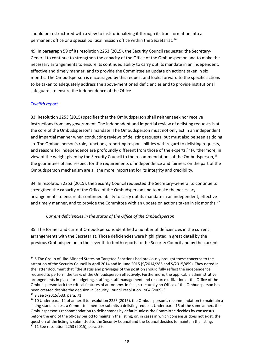should be restructured with a view to institutionalizing it through its transformation into a permanent office or a special political mission office within the Secretariat.<sup>[14](#page-17-0)</sup>

49. In paragraph 59 of its resolution 2253 (2015), the Security Council requested the Secretary-General to continue to strengthen the capacity of the Office of the Ombudsperson and to make the necessary arrangements to ensure its continued ability to carry out its mandate in an independent, effective and timely manner, and to provide the Committee an update on actions taken in six months. The Ombudsperson is encouraged by this request and looks forward to the specific actions to be taken to adequately address the above-mentioned deficiencies and to provide institutional safeguards to ensure the independence of the Office.

# *[Twelfth report](https://undocs.org/S/2016/671)*

33. Resolution 2253 (2015) specifies that the Ombudsperson shall neither seek nor receive instructions from any government. The independent and impartial review of delisting requests is at the core of the Ombudsperson's mandate. The Ombudsperson must not only act in an independent and impartial manner when conducting reviews of delisting requests, but must also be seen as doing so. The Ombudsperson's role, functions, reporting responsibilities with regard to delisting requests, and reasons for independence are profoundly different from those of the experts.<sup>[15](#page-17-1)</sup> Furthermore, in view of the weight given by the Security Council to the recommendations of the Ombudsperson.<sup>[16](#page-17-2)</sup> the guarantees of and respect for the requirements of independence and fairness on the part of the Ombudsperson mechanism are all the more important for its integrity and credibility.

34. In resolution 2253 (2015), the Security Council requested the Secretary-General to continue to strengthen the capacity of the Office of the Ombudsperson and to make the necessary arrangements to ensure its continued ability to carry out its mandate in an independent, effective and timely manner, and to provide the Committee with an update on actions taken in six months.<sup>[17](#page-17-3)</sup>

# *Current deficiencies in the status of the Office of the Ombudsperson*

35. The former and current Ombudspersons identified a number of deficiencies in the current arrangements with the Secretariat. Those deficiencies were highlighted in great detail by the previous Ombudsperson in the seventh to tenth reports to the Security Council and by the current

<span id="page-17-0"></span><sup>&</sup>lt;sup>14</sup> 6 The Group of Like-Minded States on Targeted Sanctions had previously brought these concerns to the attention of the Security Council in April 2014 and in June 2015 (S/2014/286 and S/2015/459). They noted in the latter document that "the status and privileges of the position should fully reflect the independence required to perform the tasks of the Ombudsperson effectively. Furthermore, the applicable administrative arrangements in place for budgeting, staffing, staff management and resource utilization at the Office of the Ombudsperson lack the critical features of autonomy. In fact, structurally no Office of the Ombudsperson has been created despite the decision in Security Council resolution 1904 (2009)."

<span id="page-17-1"></span><sup>15</sup> 9 See S/2015/533, para. 71.

<span id="page-17-3"></span><span id="page-17-2"></span><sup>&</sup>lt;sup>16</sup> 10 Under para. 14 of annex II to resolution 2253 (2015), the Ombudsperson's recommendation to maintain a listing stands unless a Committee member submits a delisting request. Under para. 15 of the same annex, the Ombudsperson's recommendation to delist stands by default unless the Committee decides by consensus before the end of the 60-day period to maintain the listing; or, in cases in which consensus does not exist, the question of the listing is submitted to the Security Council and the Council decides to maintain the listing. <sup>17</sup> 11 See resolution 2253 (2015), para. 59.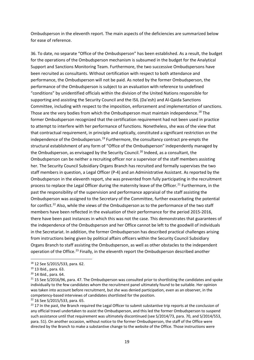Ombudsperson in the eleventh report. The main aspects of the deficiencies are summarized below for ease of reference.

36. To date, no separate "Office of the Ombudsperson" has been established. As a result, the budget for the operations of the Ombudsperson mechanism is subsumed in the budget for the Analytical Support and Sanctions Monitoring Team. Furthermore, the two successive Ombudspersons have been recruited as consultants. Without certification with respect to both attendance and performance, the Ombudsperson will not be paid. As noted by the former Ombudsperson, the performance of the Ombudsperson is subject to an evaluation with reference to undefined "conditions" by unidentified officials within the division of the United Nations responsible for supporting and assisting the Security Council and the ISIL (Da'esh) and Al-Qaida Sanctions Committee, including with respect to the imposition, enforcement and implementation of sanctions. Those are the very bodies from which the Ombudsperson must maintain independence.<sup>[18](#page-18-0)</sup> The former Ombudsperson recognized that the certification requirement had not been used in practice to attempt to interfere with her performance of functions. Nonetheless, she was of the view that that contractual requirement, in principle and optically, constituted a significant restriction on the independence of the Ombudsperson.<sup>[19](#page-18-1)</sup> Furthermore, the consultancy contract pre-empts the structural establishment of any form of "Office of the Ombudsperson" independently managed by the Ombudsperson, as envisaged by the Security Council.<sup>[20](#page-18-2)</sup> Indeed, as a consultant, the Ombudsperson can be neither a recruiting officer nor a supervisor of the staff members assisting her. The Security Council Subsidiary Organs Branch has recruited and formally supervises the two staff members in question, a Legal Officer (P-4) and an Administrative Assistant. As reported by the Ombudsperson in the eleventh report, she was prevented from fully participating in the recruitment process to replace the Legal Officer during the maternity leave of the Officer.<sup>[21](#page-18-3)</sup> Furthermore, in the past the responsibility of the supervision and performance appraisal of the staff assisting the Ombudsperson was assigned to the Secretary of the Committee, further exacerbating the potential for conflict.<sup>[22](#page-18-4)</sup> Also, while the views of the Ombudsperson as to the performance of the two staff members have been reflected in the evaluation of their performance for the period 2015-2016, there have been past instances in which this was not the case. This demonstrates that guarantees of the independence of the Ombudsperson and her Office cannot be left to the goodwill of individuals in the Secretariat. In addition, the former Ombudsperson has described practical challenges arising from instructions being given by political affairs officers within the Security Council Subsidiary Organs Branch to staff assisting the Ombudsperson, as well as other obstacles to the independent operation of the Office.<sup>[23](#page-18-5)</sup> Finally, in the eleventh report the Ombudsperson described another

<span id="page-18-4"></span><sup>22</sup> 16 See S/2015/533, para. 65.

<span id="page-18-0"></span><sup>18</sup> 12 See S/2015/533, para. 62.

<span id="page-18-1"></span><sup>19</sup> 13 Ibid., para. 63.

<span id="page-18-2"></span><sup>20</sup> 14 Ibid., para. 64.

<span id="page-18-3"></span> $21$  15 See S/2016/96, para. 47. The Ombudsperson was consulted prior to shortlisting the candidates and spoke individually to the few candidates whom the recruitment panel ultimately found to be suitable. Her opinion was taken into account before recruitment, but she was denied participation, even as an observer, in the competency-based interviews of candidates shortlisted for the position.

<span id="page-18-5"></span><sup>&</sup>lt;sup>23</sup> 17 In the past, the Branch required the Legal Officer to submit substantive trip reports at the conclusion of any official travel undertaken to assist the Ombudsperson, and this led the former Ombudsperson to suspend such assistance until that requirement was ultimately discontinued (see S/2014/73, para. 70, and S/2014/553, para. 51). On another occasion, without notice to the former Ombudsperson, the staff of the Office were directed by the Branch to make a substantive change to the website of the Office. Those instructions were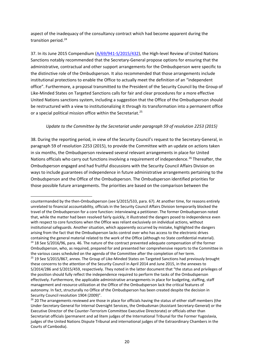aspect of the inadequacy of the consultancy contract which had become apparent during the transition period.<sup>[24](#page-19-0)</sup>

37. In its June 2015 Compendium [\(A/69/941-S/2015/432\)](https://www.un.org/en/ga/search/view_doc.asp?symbol=S/2015/432), the High-level Review of United Nations Sanctions notably recommended that the Secretary-General propose options for ensuring that the administrative, contractual and other support arrangements for the Ombudsperson were specific to the distinctive role of the Ombudsperson. It also recommended that those arrangements include institutional protections to enable the Office to actually meet the definition of an "independent office". Furthermore, a proposal transmitted to the President of the Security Council by the Group of Like-Minded States on Targeted Sanctions calls for fair and clear procedures for a more effective United Nations sanctions system, including a suggestion that the Office of the Ombudsperson should be restructured with a view to institutionalizing it through its transformation into a permanent office or a special political mission office within the Secretariat.<sup>[25](#page-19-1)</sup>

# *Update to the Committee by the Secretariat under paragraph 59 of resolution 2253 (2015)*

38. During the reporting period, in view of the Security Council's request to the Secretary-General, in paragraph 59 of resolution 2253 (2015), to provide the Committee with an update on actions taken in six months, the Ombudsperson reviewed several relevant arrangements in place for United Nations officials who carry out functions involving a requirement of independence.<sup>[26](#page-19-2)</sup> Thereafter, the Ombudsperson engaged and had fruitful discussions with the Security Council Affairs Division on ways to include guarantees of independence in future administrative arrangements pertaining to the Ombudsperson and the Office of the Ombudsperson. The Ombudsperson identified priorities for those possible future arrangements. The priorities are based on the comparison between the

<span id="page-19-0"></span>countermanded by the then-Ombudsperson (see S/2015/533, para. 67). At another time, for reasons entirely unrelated to financial accountability, officials in the Security Council Affairs Division temporarily blocked the travel of the Ombudsperson for a core function: interviewing a petitioner. The former Ombudsperson noted that, while the matter had been resolved fairly quickly, it illustrated the dangers posed to independence even with respect to core functions when the Office was reliant exclusively on individual actions, without institutional safeguards. Another situation, which apparently occurred by mistake, highlighted the dangers arising from the fact that the Ombudsperson lacks control over who has access to the electronic drives containing the general material related to the work of the Office (although no State confidential material). <sup>24</sup> 18 See S/2016/96, para. 46. The nature of the contract prevented adequate compensation of the former Ombudsperson, who, as required, prepared for and presented her comprehensive reports to the Committee in the various cases scheduled on the agenda of the Committee after the completion of her term. <sup>25</sup> 19 See S/2015/867, annex. The Group of Like-Minded States on Targeted Sanctions had previously brought these concerns to the attention of the Security Council in April 2014 and June 2015, in the annexes to S/2014/286 and S/2015/459, respectively. They noted in the latter document that "the status and privileges of the position should fully reflect the independence required to perform the tasks of the Ombudsperson effectively. Furthermore, the applicable administrative arrangements in place for budgeting, staffing, staff management and resource utilization at the Office of the Ombudsperson lack the critical features of autonomy. In fact, structurally no Office of the Ombudsperson has been created despite the decision in Security Council resolution 1904 (2009)".

<span id="page-19-2"></span><span id="page-19-1"></span><sup>&</sup>lt;sup>26</sup> 20 The arrangements reviewed are those in place for officials having the status of either staff members (the Under-Secretary-General for Internal Oversight Services, the Ombudsman (Assistant Secretary-General) or the Executive Director of the Counter-Terrorism Committee Executive Directorate) or officials other than Secretariat officials (permanent and ad litem judges of the International Tribunal for the Former Yugoslavia, judges of the United Nations Dispute Tribunal and international judges of the Extraordinary Chambers in the Courts of Cambodia).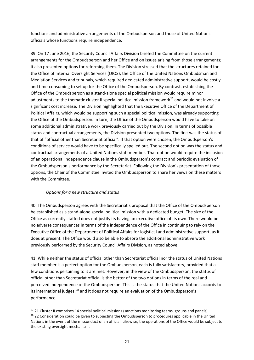functions and administrative arrangements of the Ombudsperson and those of United Nations officials whose functions require independence.

39. On 17 June 2016, the Security Council Affairs Division briefed the Committee on the current arrangements for the Ombudsperson and her Office and on issues arising from those arrangements; it also presented options for reforming them. The Division stressed that the structures retained for the Office of Internal Oversight Services (OIOS), the Office of the United Nations Ombudsman and Mediation Services and tribunals, which required dedicated administrative support, would be costly and time-consuming to set up for the Office of the Ombudsperson. By contrast, establishing the Office of the Ombudsperson as a stand-alone special political mission would require minor adjustments to the thematic cluster II special political mission framework<sup>[27](#page-20-0)</sup> and would not involve a significant cost increase. The Division highlighted that the Executive Office of the Department of Political Affairs, which would be supporting such a special political mission, was already supporting the Office of the Ombudsperson. In turn, the Office of the Ombudsperson would have to take on some additional administrative work previously carried out by the Division. In terms of possible status and contractual arrangements, the Division presented two options. The first was the status of that of "official other than Secretariat official". If that option were chosen, the Ombudsperson's conditions of service would have to be specifically spelled out. The second option was the status and contractual arrangements of a United Nations staff member. That option would require the inclusion of an operational independence clause in the Ombudsperson's contract and periodic evaluation of the Ombudsperson's performance by the Secretariat. Following the Division's presentation of those options, the Chair of the Committee invited the Ombudsperson to share her views on these matters with the Committee.

#### *Options for a new structure and status*

40. The Ombudsperson agrees with the Secretariat's proposal that the Office of the Ombudsperson be established as a stand-alone special political mission with a dedicated budget. The size of the Office as currently staffed does not justify its having an executive office of its own. There would be no adverse consequences in terms of the independence of the Office in continuing to rely on the Executive Office of the Department of Political Affairs for logistical and administrative support, as it does at present. The Office would also be able to absorb the additional administrative work previously performed by the Security Council Affairs Division, as noted above.

41. While neither the status of official other than Secretariat official nor the status of United Nations staff member is a perfect option for the Ombudsperson, each is fully satisfactory, provided that a few conditions pertaining to it are met. However, in the view of the Ombudsperson, the status of official other than Secretariat official is the better of the two options in terms of the real and perceived independence of the Ombudsperson. This is the status that the United Nations accords to its international judges, $28$  and it does not require an evaluation of the Ombudsperson's performance.

<span id="page-20-0"></span><sup>&</sup>lt;sup>27</sup> 21 Cluster II comprises 14 special political missions (sanctions monitoring teams, groups and panels).

<span id="page-20-1"></span><sup>&</sup>lt;sup>28</sup> 22 Consideration could be given to subjecting the Ombudsperson to procedures applicable in the United Nations in the event of the misconduct of an official. Likewise, the operations of the Office would be subject to the existing oversight mechanism.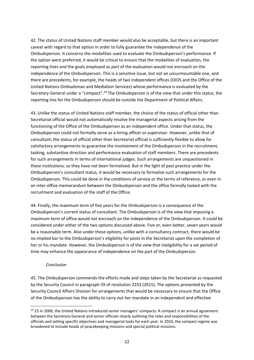42. The status of United Nations staff member would also be acceptable, but there is an important caveat with regard to that option in order to fully guarantee the independence of the Ombudsperson. It concerns the modalities used to evaluate the Ombudsperson's performance. If the option were preferred, it would be critical to ensure that the modalities of evaluation, the reporting lines and the goals employed as part of the evaluation would not encroach on the independence of the Ombudsperson. This is a sensitive issue, but not an unsurmountable one, and there are precedents, for example, the heads of two independent offices (OIOS and the Office of the United Nations Ombudsman and Mediation Services) whose performance is evaluated by the Secretary-General under a "compact".<sup>[29](#page-21-0)</sup> The Ombudsperson is of the view that under this status, the reporting line for the Ombudsperson should be outside the Department of Political Affairs.

43. Unlike the status of United Nations staff member, the choice of the status of official other than Secretariat official would not automatically resolve the managerial aspects arising from the functioning of the Office of the Ombudsperson as an independent office. Under that status, the Ombudsperson could not formally serve as a hiring officer or supervisor. However, unlike that of consultant, the status of official other than Secretariat official is sufficiently flexible to allow for satisfactory arrangements to guarantee the involvement of the Ombudsperson in the recruitment, tasking, substantive direction and performance evaluation of staff members. There are precedents for such arrangements in terms of international judges. Such arrangements are unquestioned in these institutions, so they have not been formalized. But in the light of past practice under the Ombudsperson's consultant status, it would be necessary to formalize such arrangements for the Ombudsperson. This could be done in the conditions of service or the terms of reference, or even in an inter-office memorandum between the Ombudsperson and the office formally tasked with the recruitment and evaluation of the staff of the Office.

44. Finally, the maximum term of five years for the Ombudsperson is a consequence of the Ombudsperson's current status of consultant. The Ombudsperson is of the view that imposing a maximum term of office would not encroach on the independence of the Ombudsperson. It could be considered under either of the two options discussed above. Five or, even better, seven years would be a reasonable term. Also under these options, unlike with a consultancy contract, there would be no implied bar to the Ombudsperson's eligibility for posts in the Secretariat upon the completion of her or his mandate. However, the Ombudsperson is of the view that ineligibility for a set period of time may enhance the appearance of independence on the part of the Ombudsperson.

#### *Conclusion*

45. The Ombudsperson commends the efforts made and steps taken by the Secretariat as requested by the Security Council in paragraph 59 of resolution 2253 (2015). The options presented by the Security Council Affairs Division for arrangements that would be necessary to ensure that the Office of the Ombudsperson has the ability to carry out her mandate in an independent and effective

<span id="page-21-0"></span><sup>&</sup>lt;sup>29</sup> 23 In 2006, the United Nations introduced senior managers' compacts. A compact is an annual agreement between the Secretary-General and senior officials clearly outlining the roles and responsibilities of the officials and setting specific objectives and managerial tasks for each year. In 2010, the compact regime was broadened to include heads of peacekeeping missions and special political missions.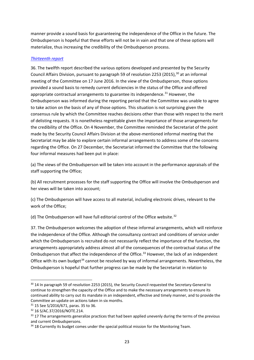manner provide a sound basis for guaranteeing the independence of the Office in the future. The Ombudsperson is hopeful that these efforts will not be in vain and that one of these options will materialize, thus increasing the credibility of the Ombudsperson process.

## *[Thirteenth report](https://undocs.org/S/2017/60)*

36. The twelfth report described the various options developed and presented by the Security Council Affairs Division, pursuant to paragraph 59 of resolution 2253 (2015), <sup>[30](#page-22-0)</sup> at an informal meeting of the Committee on 17 June 2016. In the view of the Ombudsperson, those options provided a sound basis to remedy current deficiencies in the status of the Office and offered appropriate contractual arrangements to guarantee its independence.<sup>[31](#page-22-1)</sup> However, the Ombudsperson was informed during the reporting period that the Committee was unable to agree to take action on the basis of any of those options. This situation is not surprising given the consensus rule by which the Committee reaches decisions other than those with respect to the merit of delisting requests. It is nonetheless regrettable given the importance of those arrangements for the credibility of the Office. On 4 November, the Committee reminded the Secretariat of the point made by the Security Council Affairs Division at the above-mentioned informal meeting that the Secretariat may be able to explore certain informal arrangements to address some of the concerns regarding the Office. On 27 December, the Secretariat informed the Committee that the following four informal measures had been put in place:

(a) The views of the Ombudsperson will be taken into account in the performance appraisals of the staff supporting the Office;

(b) All recruitment processes for the staff supporting the Office will involve the Ombudsperson and her views will be taken into account;

(c) The Ombudsperson will have access to all material, including electronic drives, relevant to the work of the Office;

(d) The Ombudsperson will have full editorial control of the Office website.<sup>[32](#page-22-2)</sup>

37. The Ombudsperson welcomes the adoption of these informal arrangements, which will reinforce the independence of the Office. Although the consultancy contract and conditions of service under which the Ombudsperson is recruited do not necessarily reflect the importance of the function, the arrangements appropriately address almost all of the consequences of the contractual status of the Ombudsperson that affect the independence of the Office.<sup>[33](#page-22-3)</sup> However, the lack of an independent Office with its own budget<sup>[34](#page-22-4)</sup> cannot be resolved by way of informal arrangements. Nevertheless, the Ombudsperson is hopeful that further progress can be made by the Secretariat in relation to

<span id="page-22-0"></span><sup>&</sup>lt;sup>30</sup> 14 In paragraph 59 of resolution 2253 (2015), the Security Council requested the Secretary-General to continue to strengthen the capacity of the Office and to make the necessary arrangements to ensure its continued ability to carry out its mandate in an independent, effective and timely manner, and to provide the Committee an update on actions taken in six months.

<span id="page-22-1"></span><sup>31</sup> 15 See S/2016/671, paras. 35 to 36.

<span id="page-22-2"></span><sup>32</sup> 16 S/AC.37/2016/NOTE.214.

<span id="page-22-3"></span><sup>33 17</sup> The arrangements generalize practices that had been applied unevenly during the terms of the previous and current Ombudspersons.

<span id="page-22-4"></span> $34$  18 Currently its budget comes under the special political mission for the Monitoring Team.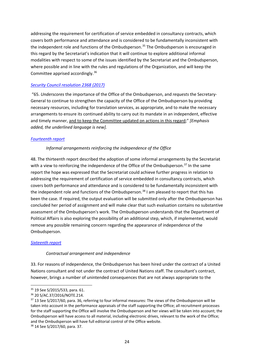addressing the requirement for certification of service embedded in consultancy contracts, which covers both performance and attendance and is considered to be fundamentally inconsistent with the independent role and functions of the Ombudsperson.<sup>[35](#page-23-0)</sup> The Ombudsperson is encouraged in this regard by the Secretariat's indication that it will continue to explore additional informal modalities with respect to some of the issues identified by the Secretariat and the Ombudsperson, where possible and in line with the rules and regulations of the Organization, and will keep the Committee apprised accordingly.[36](#page-23-1)

# *[Security Council resolution 2368 \(2017\)](https://undocs.org/S/RES/2368(2017))*

"65. *Underscores* the importance of the Office of the Ombudsperson, and *requests* the Secretary-General to continue to strengthen the capacity of the Office of the Ombudsperson by providing necessary resources, including for translation services, as appropriate, and to make the necessary arrangements to ensure its continued ability to carry out its mandate in an independent, effective and timely manner, and to keep the Committee updated on actions in this regard;" *[Emphasis added, the underlined language is new].*

#### *[Fourteenth report](https://undocs.org/S/2017/685)*

#### *Informal arrangements reinforcing the independence of the Office*

48. The thirteenth report described the adoption of some informal arrangements by the Secretariat with a view to reinforcing the independence of the Office of the Ombudsperson.<sup>[37](#page-23-2)</sup> In the same report the hope was expressed that the Secretariat could achieve further progress in relation to addressing the requirement of certification of service embedded in consultancy contracts, which covers both performance and attendance and is considered to be fundamentally inconsistent with the independent role and functions of the Ombudsperson.<sup>[38](#page-23-3)</sup> I am pleased to report that this has been the case. If required, the output evaluation will be submitted only after the Ombudsperson has concluded her period of assignment and will make clear that such evaluation contains no substantive assessment of the Ombudsperson's work. The Ombudsperson understands that the Department of Political Affairs is also exploring the possibility of an additional step, which, if implemented, would remove any possible remaining concern regarding the appearance of independence of the Ombudsperson.

#### *[Sixteenth report](https://undocs.org/en/S/2019/112)*

#### *Contractual arrangement and independence*

33. For reasons of independence, the Ombudsperson has been hired under the contract of a United Nations consultant and not under the contract of United Nations staff. The consultant's contract, however, brings a number of unintended consequences that are not always appropriate to the

<span id="page-23-0"></span><sup>35</sup> 19 See S/2015/533, para. 61.

<span id="page-23-1"></span><sup>36</sup> 20 S/AC.37/2016/NOTE.214.

<span id="page-23-2"></span><sup>&</sup>lt;sup>37</sup> 13 See S/2017/60, para. 36, referring to four informal measures: The views of the Ombudsperson will be taken into account in the performance appraisals of the staff supporting the Office; all recruitment processes for the staff supporting the Office will involve the Ombudsperson and her views will be taken into account; the Ombudsperson will have access to all material, including electronic drives, relevant to the work of the Office; and the Ombudsperson will have full editorial control of the Office website.

<span id="page-23-3"></span><sup>38</sup> 14 See S/2017/60, para. 37.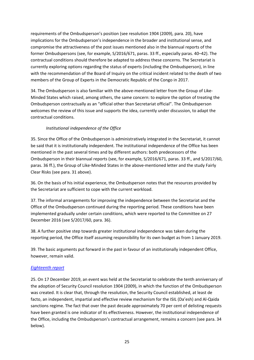requirements of the Ombudsperson's position (see resolution 1904 (2009), para. 20), have implications for the Ombudsperson's independence in the broader and institutional sense, and compromise the attractiveness of the post issues mentioned also in the biannual reports of the former Ombudspersons (see, for example, S/2016/671, paras. 33 ff., especially paras. 40–42). The contractual conditions should therefore be adapted to address these concerns. The Secretariat is currently exploring options regarding the status of experts (including the Ombudsperson), in line with the recommendation of the Board of Inquiry on the critical incident related to the death of two members of the Group of Experts in the Democratic Republic of the Congo in 2017.

34. The Ombudsperson is also familiar with the above-mentioned letter from the Group of Like-Minded States which raised, among others, the same concern: to explore the option of treating the Ombudsperson contractually as an "official other than Secretariat official". The Ombudsperson welcomes the review of this issue and supports the idea, currently under discussion, to adapt the contractual conditions.

# *Institutional independence of the Office*

35. Since the Office of the Ombudsperson is administratively integrated in the Secretariat, it cannot be said that it is institutionally independent. The institutional independence of the Office has been mentioned in the past several times and by different authors: both predecessors of the Ombudsperson in their biannual reports (see, for example, S/2016/671, paras. 33 ff., and S/2017/60, paras. 36 ff.), the Group of Like-Minded States in the above-mentioned letter and the study Fairly Clear Risks (see para. 31 above).

36. On the basis of his initial experience, the Ombudsperson notes that the resources provided by the Secretariat are sufficient to cope with the current workload.

37. The informal arrangements for improving the independence between the Secretariat and the Office of the Ombudsperson continued during the reporting period. These conditions have been implemented gradually under certain conditions, which were reported to the Committee on 27 December 2016 (see S/2017/60, para. 36).

38. A further positive step towards greater institutional independence was taken during the reporting period, the Office itself assuming responsibility for its own budget as from 1 January 2019.

39. The basic arguments put forward in the past in favour of an institutionally independent Office, however, remain valid.

# *Eighteenth report*

25. On 17 December 2019, an event was held at the Secretariat to celebrate the tenth anniversary of the adoption of Security Council resolution 1904 (2009), in which the function of the Ombudsperson was created. It is clear that, through the resolution, the Security Council established, at least de facto, an independent, impartial and effective review mechanism for the ISIL (Da'esh) and Al-Qaida sanctions regime. The fact that over the past decade approximately 70 per cent of delisting requests have been granted is one indicator of its effectiveness. However, the institutional independence of the Office, including the Ombudsperson's contractual arrangement, remains a concern (see para. 34 below).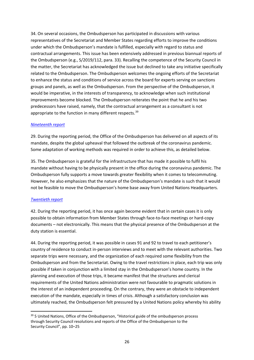34. On several occasions, the Ombudsperson has participated in discussions with various representatives of the Secretariat and Member States regarding efforts to improve the conditions under which the Ombudsperson's mandate is fulfilled, especially with regard to status and contractual arrangements. This issue has been extensively addressed in previous biannual reports of the Ombudsperson (e.g., S/2019/112, para. 33). Recalling the competence of the Security Council in the matter, the Secretariat has acknowledged the issue but declined to take any initiative specifically related to the Ombudsperson. The Ombudsperson welcomes the ongoing efforts of the Secretariat to enhance the status and conditions of service across the board for experts serving on sanctions groups and panels, as well as the Ombudsperson. From the perspective of the Ombudsperson, it would be imperative, in the interests of transparency, to acknowledge when such institutional improvements become blocked. The Ombudsperson reiterates the point that he and his two predecessors have raised, namely, that the contractual arrangement as a consultant is not appropriate to the function in many different respects.<sup>[39](#page-25-0)</sup>

#### *Nineteenth report*

29. During the reporting period, the Office of the Ombudsperson has delivered on all aspects of its mandate, despite the global upheaval that followed the outbreak of the coronavirus pandemic. Some adaptation of working methods was required in order to achieve this, as detailed below.

35. The Ombudsperson is grateful for the infrastructure that has made it possible to fulfil his mandate without having to be physically present in the office during the coronavirus pandemic. The Ombudsperson fully supports a move towards greater flexibility when it comes to telecommuting. However, he also emphasizes that the nature of the Ombudsperson's mandate is such that it would not be feasible to move the Ombudsperson's home base away from United Nations Headquarters.

#### *Twentieth report*

42. During the reporting period, it has once again become evident that in certain cases it is only possible to obtain information from Member States through face-to-face meetings or hard-copy documents – not electronically. This means that the physical presence of the Ombudsperson at the duty station is essential.

44. During the reporting period, it was possible in cases 91 and 92 to travel to each petitioner's country of residence to conduct in-person interviews and to meet with the relevant authorities. Two separate trips were necessary, and the organization of each required some flexibility from the Ombudsperson and from the Secretariat. Owing to the travel restrictions in place, each trip was only possible if taken in conjunction with a limited stay in the Ombudsperson's home country. In the planning and execution of those trips, it became manifest that the structures and clerical requirements of the United Nations administration were not favourable to pragmatic solutions in the interest of an independent proceeding. On the contrary, they were an obstacle to independent execution of the mandate, especially in times of crisis. Although a satisfactory conclusion was ultimately reached, the Ombudsperson felt pressured by a United Nations policy whereby his ability

<span id="page-25-0"></span><sup>&</sup>lt;sup>39</sup> 5 United Nations, Office of the Ombudsperson, "Historical guide of the ombudsperson process through Security Council resolutions and reports of the Office of the Ombudsperson to the Security Council", pp. 10–25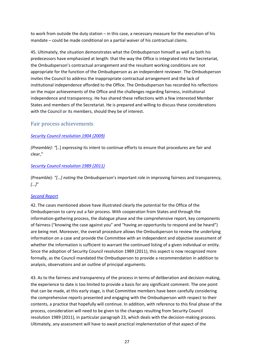to work from outside the duty station – in this case, a necessary measure for the execution of his mandate – could be made conditional on a partial waiver of his contractual claims.

45. Ultimately, the situation demonstrates what the Ombudsperson himself as well as both his predecessors have emphasized at length: that the way the Office is integrated into the Secretariat, the Ombudsperson's contractual arrangement and the resultant working conditions are not appropriate for the function of the Ombudsperson as an independent reviewer. The Ombudsperson invites the Council to address the inappropriate contractual arrangement and the lack of institutional independence afforded to the Office. The Ombudsperson has recorded his reflections on the major achievements of the Office and the challenges regarding fairness, institutional independence and transparency. He has shared these reflections with a few interested Member States and members of the Secretariat. He is prepared and willing to discuss these considerations with the Council or its members, should they be of interest.

# <span id="page-26-0"></span>Fair process achievements

# *[Security Council resolution 1904 \(2009\)](https://undocs.org/S/RES/1904(2009))*

*(Preamble): "*[..] *expressing* its intent to continue efforts to ensure that procedures are fair and clear,"

#### *[Security Council resolution 1989 \(2011\)](https://undocs.org/S/RES/1989(2011))*

(Preamble)*: "[…] noting* the Ombudsperson's important role in improving fairness and transparency, *[…]*"

#### *[Second Report](https://undocs.org/S/2011/447)*

42. The cases mentioned above have illustrated clearly the potential for the Office of the Ombudsperson to carry out a fair process. With cooperation from States and through the information-gathering process, the dialogue phase and the comprehensive report, key components of fairness ("knowing the case against you" and "having an opportunity to respond and be heard") are being met. Moreover, the overall procedure allows the Ombudsperson to review the underlying information on a case and provide the Committee with an independent and objective assessment of whether the information is sufficient to warrant the continued listing of a given individual or entity. Since the adoption of Security Council resolution 1989 (2011), this aspect is now recognized more formally, as the Council mandated the Ombudsperson to provide a recommendation in addition to analysis, observations and an outline of principal arguments.

43. As to the fairness and transparency of the process in terms of deliberation and decision-making, the experience to date is too limited to provide a basis for any significant comment. The one point that can be made, at this early stage, is that Committee members have been carefully considering the comprehensive reports presented and engaging with the Ombudsperson with respect to their contents, a practice that hopefully will continue. In addition, with reference to this final phase of the process, consideration will need to be given to the changes resulting from Security Council resolution 1989 (2011), in particular paragraph 23, which deals with the decision-making process. Ultimately, any assessment will have to await practical implementation of that aspect of the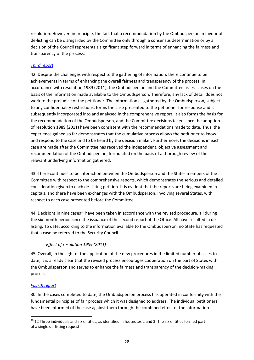resolution. However, in principle, the fact that a recommendation by the Ombudsperson in favour of de-listing can be disregarded by the Committee only through a consensus determination or by a decision of the Council represents a significant step forward in terms of enhancing the fairness and transparency of the process.

# *[Third report](https://undocs.org/S/2012/49)*

42. Despite the challenges with respect to the gathering of information, there continue to be achievements in terms of enhancing the overall fairness and transparency of the process. In accordance with resolution 1989 (2011), the Ombudsperson and the Committee assess cases on the basis of the information made available to the Ombudsperson. Therefore, any lack of detail does not work to the prejudice of the petitioner. The information as gathered by the Ombudsperson, subject to any confidentiality restrictions, forms the case presented to the petitioner for response and is subsequently incorporated into and analysed in the comprehensive report. It also forms the basis for the recommendation of the Ombudsperson, and the Committee decisions taken since the adoption of resolution 1989 (2011) have been consistent with the recommendations made to date. Thus, the experience gained so far demonstrates that the cumulative process allows the petitioner to know and respond to the case and to be heard by the decision maker. Furthermore, the decisions in each case are made after the Committee has received the independent, objective assessment and recommendation of the Ombudsperson, formulated on the basis of a thorough review of the relevant underlying information gathered.

43. There continues to be interaction between the Ombudsperson and the States members of the Committee with respect to the comprehensive reports, which demonstrates the serious and detailed consideration given to each de-listing petition. It is evident that the reports are being examined in capitals, and there have been exchanges with the Ombudsperson, involving several States, with respect to each case presented before the Committee.

44. Decisions in nine cases<sup>[40](#page-27-0)</sup> have been taken in accordance with the revised procedure, all during the six-month period since the issuance of the second report of the Office. All have resulted in delisting. To date, according to the information available to the Ombudsperson, no State has requested that a case be referred to the Security Council.

# *Effect of resolution 1989 (2011)*

45. Overall, in the light of the application of the new procedures in the limited number of cases to date, it is already clear that the revised process encourages cooperation on the part of States with the Ombudsperson and serves to enhance the fairness and transparency of the decision-making process.

# *[Fourth report](https://undocs.org/S/2012/590)*

30. In the cases completed to date, the Ombudsperson process has operated in conformity with the fundamental principles of fair process which it was designed to address. The individual petitioners have been informed of the case against them through the combined effect of the information-

<span id="page-27-0"></span><sup>&</sup>lt;sup>40</sup> 12 Three individuals and six entities, as identified in footnotes 2 and 3. The six entities formed part of a single de-listing request.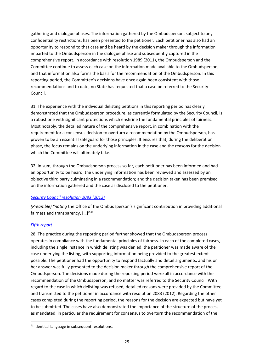gathering and dialogue phases. The information gathered by the Ombudsperson, subject to any confidentiality restrictions, has been presented to the petitioner. Each petitioner has also had an opportunity to respond to that case and be heard by the decision maker through the information imparted to the Ombudsperson in the dialogue phase and subsequently captured in the comprehensive report. In accordance with resolution 1989 (2011), the Ombudsperson and the Committee continue to assess each case on the information made available to the Ombudsperson, and that information also forms the basis for the recommendation of the Ombudsperson. In this reporting period, the Committee's decisions have once again been consistent with those recommendations and to date, no State has requested that a case be referred to the Security Council.

31. The experience with the individual delisting petitions in this reporting period has clearly demonstrated that the Ombudsperson procedure, as currently formulated by the Security Council, is a robust one with significant protections which enshrine the fundamental principles of fairness. Most notably, the detailed nature of the comprehensive report, in combination with the requirement for a consensus decision to overturn a recommendation by the Ombudsperson, has proven to be an essential safeguard for those principles. It ensures that, during the deliberation phase, the focus remains on the underlying information in the case and the reasons for the decision which the Committee will ultimately take.

32. In sum, through the Ombudsperson process so far, each petitioner has been informed and had an opportunity to be heard; the underlying information has been reviewed and assessed by an objective third party culminating in a recommendation; and the decision taken has been premised on the information gathered and the case as disclosed to the petitioner.

#### *[Security Council resolution 2083 \(2012\)](https://undocs.org/S/RES/2083(2012))*

*(Preamble) "noting* the Office of the Ombudsperson's significant contribution in providing additional fairness and transparency,  $[\dots]^{n+1}$ 

#### *[Fifth report](https://undocs.org/S/2013/71)*

28. The practice during the reporting period further showed that the Ombudsperson process operates in compliance with the fundamental principles of fairness. In each of the completed cases, including the single instance in which delisting was denied, the petitioner was made aware of the case underlying the listing, with supporting information being provided to the greatest extent possible. The petitioner had the opportunity to respond factually and detail arguments, and his or her answer was fully presented to the decision maker through the comprehensive report of the Ombudsperson. The decisions made during the reporting period were all in accordance with the recommendation of the Ombudsperson, and no matter was referred to the Security Council. With regard to the case in which delisting was refused, detailed reasons were provided by the Committee and transmitted to the petitioner in accordance with resolution 2083 (2012). Regarding the other cases completed during the reporting period, the reasons for the decision are expected but have yet to be submitted. The cases have also demonstrated the importance of the structure of the process as mandated, in particular the requirement for consensus to overturn the recommendation of the

<span id="page-28-0"></span><sup>&</sup>lt;sup>41</sup> Identical language in subsequent resolutions.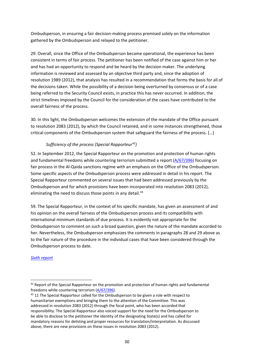Ombudsperson, in ensuring a fair decision-making process premised solely on the information gathered by the Ombudsperson and relayed to the petitioner.

29. Overall, since the Office of the Ombudsperson became operational, the experience has been consistent in terms of fair process. The petitioner has been notified of the case against him or her and has had an opportunity to respond and be heard by the decision maker. The underlying information is reviewed and assessed by an objective third party and, since the adoption of resolution 1989 (2012), that analysis has resulted in a recommendation that forms the basis for all of the decisions taken. While the possibility of a decision being overturned by consensus or of a case being referred to the Security Council exists, in practice this has never occurred. In addition, the strict timelines imposed by the Council for the consideration of the cases have contributed to the overall fairness of the process.

30. In this light, the Ombudsperson welcomes the extension of the mandate of the Office pursuant to resolution 2083 (2012), by which the Council retained, and in some instances strengthened, those critical components of the Ombudsperson system that safeguard the fairness of the process. […]

# *Sufficiency of the process (Special Rapporteur[42\)](#page-29-0)*

52. In September 2012, the Special Rapporteur on the promotion and protection of human rights and fundamental freedoms while countering terrorism submitted a report [\(A/67/396\)](https://undocs.org/A/67/396) focusing on fair process in the Al-Qaida sanctions regime with an emphasis on the Office of the Ombudsperson. Some specific aspects of the Ombudsperson process were addressed in detail in his report. The Special Rapporteur commented on several issues that had been addressed previously by the Ombudsperson and for which provisions have been incorporated into resolution 2083 (2012), eliminating the need to discuss those points in any detail.<sup>[43](#page-29-1)</sup>

59. The Special Rapporteur, in the context of his specific mandate, has given an assessment of and his opinion on the overall fairness of the Ombudsperson process and its compatibility with international minimum standards of due process. It is evidently not appropriate for the Ombudsperson to comment on such a broad question, given the nature of the mandate accorded to her. Nevertheless, the Ombudsperson emphasizes the comments in paragraphs 28 and 29 above as to the fair nature of the procedure in the individual cases that have been considered through the Ombudsperson process to date.

#### *[Sixth report](https://undocs.org/S/2013/452)*

<span id="page-29-0"></span><sup>42</sup> Report of the Special Rapporteur on the promotion and protection of human rights and fundamental freedoms while countering terrorism [\(A/67/396\)](https://undocs.org/A/67/396).

<span id="page-29-1"></span><sup>43 11</sup> The Special Rapporteur called for the Ombudsperson to be given a role with respect to humanitarian exemptions and bringing them to the attention of the Committee. This was addressed in resolution 2083 (2012) through the focal point, who has been accorded that responsibility. The Special Rapporteur also voiced support for the need for the Ombudsperson to be able to disclose to the petitioner the identity of the designating State(s) and has called for mandatory reasons for delisting and proper resources for translation/interpretation. As discussed above, there are new provisions on these issues in resolution 2083 (2012).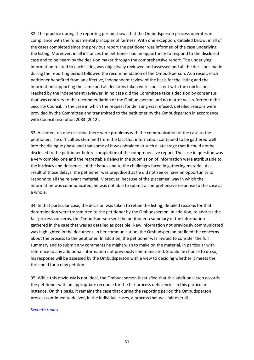32. The practice during the reporting period shows that the Ombudsperson process operates in compliance with the fundamental principles of fairness. With one exception, detailed below, in all of the cases completed since the previous report the petitioner was informed of the case underlying the listing. Moreover, in all instances the petitioner had an opportunity to respond to the disclosed case and to be heard by the decision maker through the comprehensive report. The underlying information related to each listing was objectively reviewed and assessed and all the decisions made during the reporting period followed the recommendation of the Ombudsperson. As a result, each petitioner benefited from an effective, independent review of the basis for the listing and the information supporting the same and all decisions taken were consistent with the conclusions reached by the independent reviewer. In no case did the Committee take a decision by consensus that was contrary to the recommendation of the Ombudsperson and no matter was referred to the Security Council. In the case in which the request for delisting was refused, detailed reasons were provided by the Committee and transmitted to the petitioner by the Ombudsperson in accordance with Council resolution 2083 (2012).

33. As noted, on one occasion there were problems with the communication of the case to the petitioner. The difficulties stemmed from the fact that information continued to be gathered well into the dialogue phase and that some of it was obtained at such a late stage that it could not be disclosed to the petitioner before completion of the comprehensive report. The case in question was a very complex one and the regrettable delays in the submission of information were attributable to the intricacy and denseness of the issues and to the challenges faced in gathering material. As a result of those delays, the petitioner was prejudiced as he did not see or have an opportunity to respond to all the relevant material. Moreover, because of the piecemeal way in which the information was communicated, he was not able to submit a comprehensive response to the case as a whole.

34. In that particular case, the decision was taken to retain the listing; detailed reasons for that determination were transmitted to the petitioner by the Ombudsperson. In addition, to address the fair process concerns, the Ombudsperson sent the petitioner a summary of the information gathered in the case that was as detailed as possible. New information not previously communicated was highlighted in the document. In her communication, the Ombudsperson outlined the concerns about the process to the petitioner. In addition, the petitioner was invited to consider the full summary and to submit any comments he might wish to make on the material, in particular with reference to any additional information not previously communicated. Should he choose to do so, his response will be assessed by the Ombudsperson with a view to deciding whether it meets the threshold for a new petition.

35. While this obviously is not ideal, the Ombudsperson is satisfied that this additional step accords the petitioner with an appropriate recourse for the fair process deficiencies in this particular instance. On this basis, it remains the case that during the reporting period the Ombudsperson process continued to deliver, in the individual cases, a process that was fair overall.

#### *[Seventh report](https://undocs.org/S/2014/73)*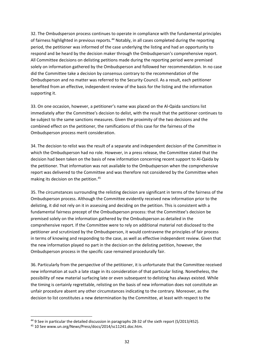32. The Ombudsperson process continues to operate in compliance with the fundamental principles of fairness highlighted in previous reports.<sup>[44](#page-31-0)</sup> Notably, in all cases completed during the reporting period, the petitioner was informed of the case underlying the listing and had an opportunity to respond and be heard by the decision maker through the Ombudsperson's comprehensive report. All Committee decisions on delisting petitions made during the reporting period were premised solely on information gathered by the Ombudsperson and followed her recommendation. In no case did the Committee take a decision by consensus contrary to the recommendation of the Ombudsperson and no matter was referred to the Security Council. As a result, each petitioner benefited from an effective, independent review of the basis for the listing and the information supporting it.

33. On one occasion, however, a petitioner's name was placed on the Al-Qaida sanctions list immediately after the Committee's decision to delist, with the result that the petitioner continues to be subject to the same sanctions measures. Given the proximity of the two decisions and the combined effect on the petitioner, the ramifications of this case for the fairness of the Ombudsperson process merit consideration.

34. The decision to relist was the result of a separate and independent decision of the Committee in which the Ombudsperson had no role. However, in a press release, the Committee stated that the decision had been taken on the basis of new information concerning recent support to Al-Qaida by the petitioner. That information was not available to the Ombudsperson when the comprehensive report was delivered to the Committee and was therefore not considered by the Committee when making its decision on the petition.[45](#page-31-1)

35. The circumstances surrounding the relisting decision are significant in terms of the fairness of the Ombudsperson process. Although the Committee evidently received new information prior to the delisting, it did not rely on it in assessing and deciding on the petition. This is consistent with a fundamental fairness precept of the Ombudsperson process: that the Committee's decision be premised solely on the information gathered by the Ombudsperson as detailed in the comprehensive report. If the Committee were to rely on additional material not disclosed to the petitioner and scrutinized by the Ombudsperson, it would contravene the principles of fair process in terms of knowing and responding to the case, as well as effective independent review. Given that the new information played no part in the decision on the delisting petition, however, the Ombudsperson process in the specific case remained procedurally fair.

36. Particularly from the perspective of the petitioner, it is unfortunate that the Committee received new information at such a late stage in its consideration of that particular listing. Nonetheless, the possibility of new material surfacing late or even subsequent to delisting has always existed. While the timing is certainly regrettable, relisting on the basis of new information does not constitute an unfair procedure absent any other circumstances indicating to the contrary. Moreover, as the decision to list constitutes a new determination by the Committee, at least with respect to the

<span id="page-31-0"></span><sup>44</sup> 9 See in particular the detailed discussion in paragraphs 28-32 of the sixth report (S/2013/452).

<span id="page-31-1"></span><sup>45</sup> 10 See www.un.org/News/Press/docs/2014/sc11241.doc.htm.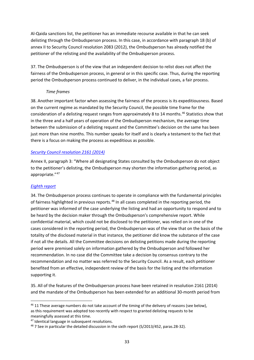Al-Qaida sanctions list, the petitioner has an immediate recourse available in that he can seek delisting through the Ombudsperson process. In this case, in accordance with paragraph 18 (b) of annex II to Security Council resolution 2083 (2012), the Ombudsperson has already notified the petitioner of the relisting and the availability of the Ombudsperson process.

37. The Ombudsperson is of the view that an independent decision to relist does not affect the fairness of the Ombudsperson process, in general or in this specific case. Thus, during the reporting period the Ombudsperson process continued to deliver, in the individual cases, a fair process.

#### *Time frames*

38. Another important factor when assessing the fairness of the process is its expeditiousness. Based on the current regime as mandated by the Security Council, the possible time frame for the consideration of a delisting request ranges from approximately 8 to 14 months.<sup>[46](#page-32-0)</sup> Statistics show that in the three and a half years of operation of the Ombudsperson mechanism, the average time between the submission of a delisting request and the Committee's decision on the same has been just more than nine months. This number speaks for itself and is clearly a testament to the fact that there is a focus on making the process as expeditious as possible.

#### *[Security Council resolution 2161 \(2014\)](https://undocs.org/S/RES/2161(2014))*

Annex II, paragraph 3: "Where all designating States consulted by the Ombudsperson do not object to the petitioner's delisting, the Ombudsperson may shorten the information gathering period, as appropriate."[47](#page-32-1)

#### *[Eighth report](https://undocs.org/S/2014/553)*

34. The Ombudsperson process continues to operate in compliance with the fundamental principles of fairness highlighted in previous reports.<sup>[48](#page-32-2)</sup> In all cases completed in the reporting period, the petitioner was informed of the case underlying the listing and had an opportunity to respond and to be heard by the decision maker through the Ombudsperson's comprehensive report. While confidential material, which could not be disclosed to the petitioner, was relied on in one of the cases considered in the reporting period, the Ombudsperson was of the view that on the basis of the totality of the disclosed material in that instance, the petitioner did know the substance of the case if not all the details. All the Committee decisions on delisting petitions made during the reporting period were premised solely on information gathered by the Ombudsperson and followed her recommendation. In no case did the Committee take a decision by consensus contrary to the recommendation and no matter was referred to the Security Council. As a result, each petitioner benefited from an effective, independent review of the basis for the listing and the information supporting it.

35. All of the features of the Ombudsperson process have been retained in resolution 2161 (2014) and the mandate of the Ombudsperson has been extended for an additional 30-month period from

<span id="page-32-0"></span><sup>&</sup>lt;sup>46</sup> 11 These average numbers do not take account of the timing of the delivery of reasons (see below), as this requirement was adopted too recently with respect to granted delisting requests to be meaningfully assessed at this time.

<span id="page-32-1"></span><sup>47</sup> Identical language in subsequent resolutions.

<span id="page-32-2"></span><sup>&</sup>lt;sup>48</sup> 7 See in particular the detailed discussion in the sixth report (S/2013/452, paras.28-32).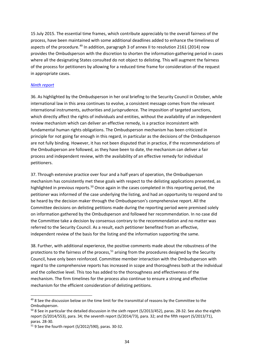15 July 2015. The essential time frames, which contribute appreciably to the overall fairness of the process, have been maintained with some additional deadlines added to enhance the timeliness of aspects of the procedure.<sup>[49](#page-33-0)</sup> In addition, paragraph 3 of annex II to resolution 2161 (2014) now provides the Ombudsperson with the discretion to shorten the information-gathering period in cases where all the designating States consulted do not object to delisting. This will augment the fairness of the process for petitioners by allowing for a reduced time frame for consideration of the request in appropriate cases.

#### *[Ninth report](https://undocs.org/S/2015/80)*

36. As highlighted by the Ombudsperson in her oral briefing to the Security Council in October, while international law in this area continues to evolve, a consistent message comes from the relevant international instruments, authorities and jurisprudence. The imposition of targeted sanctions, which directly affect the rights of individuals and entities, without the availability of an independent review mechanism which can deliver an effective remedy, is a practice inconsistent with fundamental human rights obligations. The Ombudsperson mechanism has been criticized in principle for not going far enough in this regard, in particular as the decisions of the Ombudsperson are not fully binding. However, it has not been disputed that in practice, if the recommendations of the Ombudsperson are followed, as they have been to date, the mechanism can deliver a fair process and independent review, with the availability of an effective remedy for individual petitioners.

37. Through extensive practice over four and a half years of operation, the Ombudsperson mechanism has consistently met these goals with respect to the delisting applications presented, as highlighted in previous reports.<sup>[50](#page-33-1)</sup> Once again in the cases completed in this reporting period, the petitioner was informed of the case underlying the listing, and had an opportunity to respond and to be heard by the decision maker through the Ombudsperson's comprehensive report. All the Committee decisions on delisting petitions made during the reporting period were premised solely on information gathered by the Ombudsperson and followed her recommendation. In no case did the Committee take a decision by consensus contrary to the recommendation and no matter was referred to the Security Council. As a result, each petitioner benefited from an effective, independent review of the basis for the listing and the information supporting the same.

38. Further, with additional experience, the positive comments made about the robustness of the protections to the fairness of the process,  $51$  arising from the procedures designed by the Security Council, have only been reinforced. Committee member interaction with the Ombudsperson with regard to the comprehensive reports has increased in scope and thoroughness both at the individual and the collective level. This too has added to the thoroughness and effectiveness of the mechanism. The firm timelines for the process also continue to ensure a strong and effective mechanism for the efficient consideration of delisting petitions.

<span id="page-33-0"></span><sup>&</sup>lt;sup>49</sup> 8 See the discussion below on the time limit for the transmittal of reasons by the Committee to the Ombudsperson.

<span id="page-33-1"></span><sup>&</sup>lt;sup>50</sup> 8 See in particular the detailed discussion in the sixth report (S/2013/452), paras. 28-32. See also the eighth report (S/2014/553), para. 34; the seventh report (S/2014/73), para. 32; and the fifth report (S/2013/71), paras. 28-30.

<span id="page-33-2"></span><sup>51</sup> 9 See the fourth report (S/2012/590), paras. 30-32.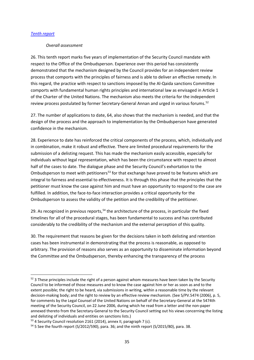#### *[Tenth report](https://undocs.org/S/2015/533)*

#### *Overall assessment*

26. This tenth report marks five years of implementation of the Security Council mandate with respect to the Office of the Ombudsperson. Experience over this period has consistently demonstrated that the mechanism designed by the Council provides for an independent review process that comports with the principles of fairness and is able to deliver an effective remedy. In this regard, the practice with respect to sanctions imposed by the Al-Qaida sanctions Committee comports with fundamental human rights principles and international law as envisaged in Article 1 of the Charter of the United Nations. The mechanism also meets the criteria for the independent review process postulated by former Secretary-General Annan and urged in various forums.<sup>[52](#page-34-0)</sup>

27. The number of applications to date, 64, also shows that the mechanism is needed, and that the design of the process and the approach to implementation by the Ombudsperson have generated confidence in the mechanism.

28. Experience to date has reinforced the critical components of the process, which, individually and in combination, make it robust and effective. There are limited procedural requirements for the submission of a delisting request. This has made the mechanism easily accessible, especially for individuals without legal representation, which has been the circumstance with respect to almost half of the cases to date. The dialogue phase and the Security Council's exhortation to the Ombudsperson to meet with petitioners<sup>[53](#page-34-1)</sup> for that exchange have proved to be features which are integral to fairness and essential to effectiveness. It is through this phase that the principles that the petitioner must know the case against him and must have an opportunity to respond to the case are fulfilled. In addition, the face-to-face interaction provides a critical opportunity for the Ombudsperson to assess the validity of the petition and the credibility of the petitioner.

29. As recognized in previous reports,<sup>[54](#page-34-2)</sup> the architecture of the process, in particular the fixed timelines for all of the procedural stages, has been fundamental to success and has contributed considerably to the credibility of the mechanism and the external perception of this quality.

30. The requirement that reasons be given for the decisions taken in both delisting and retention cases has been instrumental in demonstrating that the process is reasonable, as opposed to arbitrary. The provision of reasons also serves as an opportunity to disseminate information beyond the Committee and the Ombudsperson, thereby enhancing the transparency of the process

<span id="page-34-0"></span> $52$  3 These principles include the right of a person against whom measures have been taken by the Security Council to be informed of those measures and to know the case against him or her as soon as and to the extent possible; the right to be heard, via submissions in writing, within a reasonable time by the relevant decision-making body; and the right to review by an effective review mechanism. (See S/PV.5474 (2006), p. 5, for comments by the Legal Counsel of the United Nations on behalf of the Secretary-General at the 5474th meeting of the Security Council, on 22 June 2006, during which he read from a letter and the non-paper annexed thereto from the Secretary-General to the Security Council setting out his views concerning the listing and delisting of individuals and entities on sanctions lists.)

<span id="page-34-1"></span><sup>&</sup>lt;sup>53</sup> 4 Security Council resolution 2161 (2014), annex II, paragraph 7 (c).

<span id="page-34-2"></span> $54$  5 See the fourth report (S/2012/590), para. 36; and the ninth report (S/2015/80), para. 38.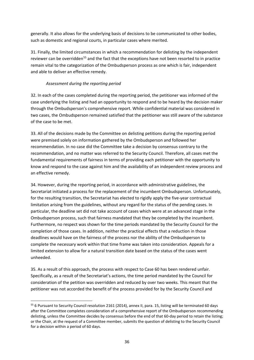generally. It also allows for the underlying basis of decisions to be communicated to other bodies, such as domestic and regional courts, in particular cases where merited.

31. Finally, the limited circumstances in which a recommendation for delisting by the independent reviewer can be overridden<sup>[55](#page-35-0)</sup> and the fact that the exceptions have not been resorted to in practice remain vital to the categorization of the Ombudsperson process as one which is fair, independent and able to deliver an effective remedy.

## *Assessment during the reporting period*

32. In each of the cases completed during the reporting period, the petitioner was informed of the case underlying the listing and had an opportunity to respond and to be heard by the decision maker through the Ombudsperson's comprehensive report. While confidential material was considered in two cases, the Ombudsperson remained satisfied that the petitioner was still aware of the substance of the case to be met.

33. All of the decisions made by the Committee on delisting petitions during the reporting period were premised solely on information gathered by the Ombudsperson and followed her recommendation. In no case did the Committee take a decision by consensus contrary to the recommendation, and no matter was referred to the Security Council. Therefore, all cases met the fundamental requirements of fairness in terms of providing each petitioner with the opportunity to know and respond to the case against him and the availability of an independent review process and an effective remedy.

34. However, during the reporting period, in accordance with administrative guidelines, the Secretariat initiated a process for the replacement of the incumbent Ombudsperson. Unfortunately, for the resulting transition, the Secretariat has elected to rigidly apply the five-year contractual limitation arising from the guidelines, without any regard for the status of the pending cases. In particular, the deadline set did not take account of cases which were at an advanced stage in the Ombudsperson process, such that fairness mandated that they be completed by the incumbent. Furthermore, no respect was shown for the time periods mandated by the Security Council for the completion of those cases. In addition, neither the practical effects that a reduction in those deadlines would have on the fairness of the process nor the ability of the Ombudsperson to complete the necessary work within that time frame was taken into consideration. Appeals for a limited extension to allow for a natural transition date based on the status of the cases went unheeded.

35. As a result of this approach, the process with respect to Case 60 has been rendered unfair. Specifically, as a result of the Secretariat's actions, the time period mandated by the Council for consideration of the petition was overridden and reduced by over two weeks. This meant that the petitioner was not accorded the benefit of the process provided for by the Security Council and

<span id="page-35-0"></span><sup>55 6</sup> Pursuant to Security Council resolution 2161 (2014), annex II, para. 15, listing will be terminated 60 days after the Committee completes consideration of a comprehensive report of the Ombudsperson recommending delisting, unless the Committee decides by consensus before the end of that 60-day period to retain the listing; or the Chair, at the request of a Committee member, submits the question of delisting to the Security Council for a decision within a period of 60 days.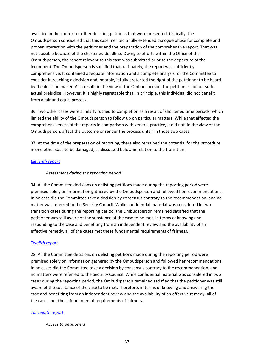available in the context of other delisting petitions that were presented. Critically, the Ombudsperson considered that this case merited a fully extended dialogue phase for complete and proper interaction with the petitioner and the preparation of the comprehensive report. That was not possible because of the shortened deadline. Owing to efforts within the Office of the Ombudsperson, the report relevant to this case was submitted prior to the departure of the incumbent. The Ombudsperson is satisfied that, ultimately, the report was sufficiently comprehensive. It contained adequate information and a complete analysis for the Committee to consider in reaching a decision and, notably, it fully protected the right of the petitioner to be heard by the decision maker. As a result, in the view of the Ombudsperson, the petitioner did not suffer actual prejudice. However, it is highly regrettable that, in principle, this individual did not benefit from a fair and equal process.

36. Two other cases were similarly rushed to completion as a result of shortened time periods, which limited the ability of the Ombudsperson to follow up on particular matters. While that affected the comprehensiveness of the reports in comparison with general practice, it did not, in the view of the Ombudsperson, affect the outcome or render the process unfair in those two cases.

37. At the time of the preparation of reporting, there also remained the potential for the procedure in one other case to be damaged, as discussed below in relation to the transition.

## *[Eleventh report](https://undocs.org/S/2016/96)*

## *Assessment during the reporting period*

34. All the Committee decisions on delisting petitions made during the reporting period were premised solely on information gathered by the Ombudsperson and followed her recommendations. In no case did the Committee take a decision by consensus contrary to the recommendation, and no matter was referred to the Security Council. While confidential material was considered in two transition cases during the reporting period, the Ombudsperson remained satisfied that the petitioner was still aware of the substance of the case to be met. In terms of knowing and responding to the case and benefiting from an independent review and the availability of an effective remedy, all of the cases met these fundamental requirements of fairness.

#### *[Twelfth report](https://undocs.org/S/2016/671)*

28. All the Committee decisions on delisting petitions made during the reporting period were premised solely on information gathered by the Ombudsperson and followed her recommendations. In no cases did the Committee take a decision by consensus contrary to the recommendation, and no matters were referred to the Security Council. While confidential material was considered in two cases during the reporting period, the Ombudsperson remained satisfied that the petitioner was still aware of the substance of the case to be met. Therefore, in terms of knowing and answering the case and benefiting from an independent review and the availability of an effective remedy, all of the cases met these fundamental requirements of fairness.

#### *[Thirteenth report](https://undocs.org/S/2017/60)*

*Access to petitioners*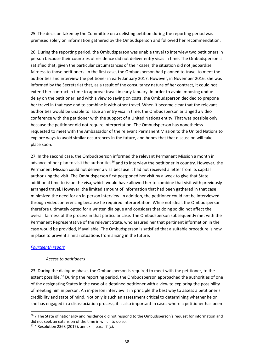25. The decision taken by the Committee on a delisting petition during the reporting period was premised solely on information gathered by the Ombudsperson and followed her recommendation.

26. During the reporting period, the Ombudsperson was unable travel to interview two petitioners in person because their countries of residence did not deliver entry visas in time. The Ombudsperson is satisfied that, given the particular circumstances of their cases, the situation did not jeopardize fairness to those petitioners. In the first case, the Ombudsperson had planned to travel to meet the authorities and interview the petitioner in early January 2017. However, in November 2016, she was informed by the Secretariat that, as a result of the consultancy nature of her contract, it could not extend her contract in time to approve travel in early January. In order to avoid imposing undue delay on the petitioner, and with a view to saving on costs, the Ombudsperson decided to prepone her travel in that case and to combine it with other travel. When it became clear that the relevant authorities would be unable to issue an entry visa in time, the Ombudsperson arranged a video conference with the petitioner with the support of a United Nations entity. That was possible only because the petitioner did not require interpretation. The Ombudsperson has nonetheless requested to meet with the Ambassador of the relevant Permanent Mission to the United Nations to explore ways to avoid similar occurrences in the future, and hopes that that discussion will take place soon.

27. In the second case, the Ombudsperson informed the relevant Permanent Mission a month in advance of her plan to visit the authorities<sup>[56](#page-37-0)</sup> and to interview the petitioner in country. However, the Permanent Mission could not deliver a visa because it had not received a letter from its capital authorizing the visit. The Ombudsperson first postponed her visit by a week to give that State additional time to issue the visa, which would have allowed her to combine that visit with previously arranged travel. However, the limited amount of information that had been gathered in that case minimized the need for an in-person interview. In addition, the petitioner could not be interviewed through videoconferencing because he required interpretation. While not ideal, the Ombudsperson therefore ultimately opted for a written dialogue and considers that doing so did not affect the overall fairness of the process in that particular case. The Ombudsperson subsequently met with the Permanent Representative of the relevant State, who assured her that pertinent information in the case would be provided, if available. The Ombudsperson is satisfied that a suitable procedure is now in place to prevent similar situations from arising in the future.

## *[Fourteenth report](https://undocs.org/S/2017/685)*

#### *Access to petitioners*

23. During the dialogue phase, the Ombudsperson is required to meet with the petitioner, to the extent possible.<sup>[57](#page-37-1)</sup> During the reporting period, the Ombudsperson approached the authorities of one of the designating States in the case of a detained petitioner with a view to exploring the possibility of meeting him in person. An in-person interview is in principle the best way to assess a petitioner's credibility and state of mind. Not only is such an assessment critical to determining whether he or she has engaged in a disassociation process, it is also important in cases where a petitioner has been

<span id="page-37-0"></span><sup>&</sup>lt;sup>56</sup> 7 The State of nationality and residence did not respond to the Ombudsperson's request for information and did not seek an extension of the time in which to do so.

<span id="page-37-1"></span><sup>57</sup> 4 Resolution 2368 (2017), annex II, para. 7 (c).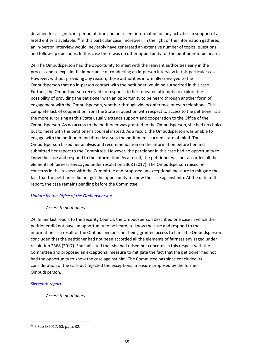detained for a significant period of time and no recent information on any activities in support of a listed entity is available.<sup>[58](#page-38-0)</sup> In this particular case, moreover, in the light of the information gathered, an in-person interview would inevitably have generated an extensive number of topics, questions and follow-up questions. In this case there was no other opportunity for the petitioner to be heard.

24. The Ombudsperson had the opportunity to meet with the relevant authorities early in the process and to explain the importance of conducting an in-person interview in this particular case. However, without providing any reason, those authorities informally conveyed to the Ombudsperson that no in-person contact with the petitioner would be authorized in this case. Further, the Ombudsperson received no response to her repeated attempts to explore the possibility of providing the petitioner with an opportunity to be heard through another form of engagement with the Ombudsperson, whether through videoconference or even telephone. This complete lack of cooperation from the State in question with respect to access to the petitioner is all the more surprising as this State usually extends support and cooperation to the Office of the Ombudsperson. As no access to the petitioner was granted to the Ombudsperson, she had no choice but to meet with the petitioner's counsel instead. As a result, the Ombudsperson was unable to engage with the petitioner and directly assess the petitioner's current state of mind. The Ombudsperson based her analysis and recommendation on the information before her and submitted her report to the Committee. However, the petitioner in this case had no opportunity to know the case and respond to the information. As a result, the petitioner was not accorded all the elements of fairness envisaged under resolution 2368 (2017). The Ombudsperson raised her concerns in this respect with the Committee and proposed an exceptional measure to mitigate the fact that the petitioner did not get the opportunity to know the case against him. At the date of this report, the case remains pending before the Committee.

## *[Update by the Office](https://undocs.org/S/2018/120) of the Ombudsperson*

## *Access to petitioners*

24. In her last report to the Security Council, the Ombudsperson described one case in which the petitioner did not have an opportunity to be heard, to know the case and respond to the information as a result of the Ombudsperson's not being granted access to him. The Ombudsperson concluded that the petitioner had not been accorded all the elements of fairness envisaged under resolution 2368 (2017). She indicated that she had raised her concerns in this respect with the Committee and proposed an exceptional measure to mitigate the fact that the petitioner had not had the opportunity to know the case against him. The Committee has since concluded its consideration of the case but rejected the exceptional measure proposed by the former Ombudsperson.

## *[Sixteenth](https://undocs.org/en/S/2019/112) report*

*Access to petitioners*

<span id="page-38-0"></span><sup>58</sup> 5 See S/2017/60, para. 32.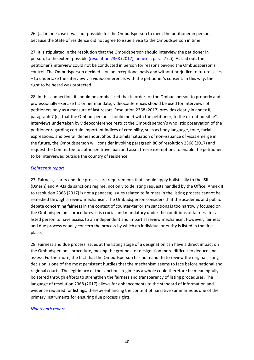26. […] in one case it was not possible for the Ombudsperson to meet the petitioner in person, because the State of residence did not agree to issue a visa to the Ombudsperson in time.

27. It is stipulated in the resolution that the Ombudsperson should interview the petitioner in person, to the extent possible [\(resolution 2368 \(2017\), annex II, para. 7 \(c\)\)](https://undocs.org/S/RES/2368(2017)). As laid out, the petitioner's interview could not be conducted in person for reasons beyond the Ombudsperson's control. The Ombudsperson decided – on an exceptional basis and without prejudice to future cases – to undertake the interview via videoconference, with the petitioner's consent. In this way, the right to be heard was protected.

28. In this connection, it should be emphasized that in order for the Ombudsperson to properly and professionally exercise his or her mandate, videoconferences should be used for interviews of petitioners only as a measure of last resort. Resolution 2368 (2017) provides clearly in annex II, paragraph 7 (c), that the Ombudsperson "should meet with the petitioner, to the extent possible". Interviews undertaken by videoconference restrict the Ombudsperson's wholistic observation of the petitioner regarding certain important indices of credibility, such as body language, tone, facial expressions, and overall demeanour. Should a similar situation of non-issuance of visas emerge in the future, the Ombudsperson will consider invoking paragraph 80 of resolution 2368 (2017) and request the Committee to authorize travel ban and asset freeze exemptions to enable the petitioner to be interviewed outside the country of residence.

#### *Eighteenth report*

27. Fairness, clarity and due process are requirements that should apply holistically to the ISIL (Da'esh) and Al-Qaida sanctions regime, not only to delisting requests handled by the Office. Annex II to resolution 2368 (2017) is not a panacea; issues related to fairness in the listing process cannot be remedied through a review mechanism. The Ombudsperson considers that the academic and public debate concerning fairness in the context of counter-terrorism sanctions is too narrowly focused on the Ombudsperson's procedures. It is crucial and mandatory under the conditions of fairness for a listed person to have access to an independent and impartial review mechanism. However, fairness and due process equally concern the process by which an individual or entity is listed in the first place.

28. Fairness and due process issues at the listing stage of a designation can have a direct impact on the Ombudsperson's procedure, making the grounds for designation more difficult to deduce and assess. Furthermore, the fact that the Ombudsperson has no mandate to review the original listing decision is one of the most persistent hurdles that the mechanism seems to face before national and regional courts. The legitimacy of the sanctions regime as a whole could therefore be meaningfully bolstered through efforts to strengthen the fairness and transparency of listing procedures. The language of resolution 2368 (2017) allows for enhancements to the standard of information and evidence required for listings, thereby enhancing the content of narrative summaries as one of the primary instruments for ensuring due process rights.

#### *Nineteenth report*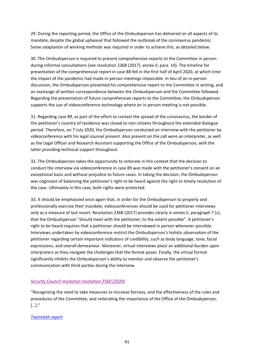29. During the reporting period, the Office of the Ombudsperson has delivered on all aspects of its mandate, despite the global upheaval that followed the outbreak of the coronavirus pandemic. Some adaptation of working methods was required in order to achieve this, as detailed below.

30. The Ombudsperson is required to present comprehensive reports to the Committee in person during informal consultations (see resolution 2368 (2017), annex II, para. 10). The timeline for presentation of the comprehensive report in case 88 fell in the first half of April 2020, at which time the impact of the pandemic had made in-person meetings impossible. In lieu of an in-person discussion, the Ombudsperson presented his comprehensive report to the Committee in writing, and an exchange of written correspondence between the Ombudsperson and the Committee followed. Regarding the presentation of future comprehensive reports to the Committee, the Ombudsperson supports the use of videoconference technology where an in-person meeting is not possible.

31. Regarding case 89, as part of the effort to contain the spread of the coronavirus, the border of the petitioner's country of residence was closed to non-citizens throughout the extended dialogue period. Therefore, on 7 July 2020, the Ombudsperson conducted an interview with the petitioner by videoconference with his legal counsel present. Also present on the call were an interpreter, as well as the Legal Officer and Research Assistant supporting the Office of the Ombudsperson, with the latter providing technical support throughout.

32. The Ombudsperson takes the opportunity to reiterate in this context that the decision to conduct the interview via videoconference in case 89 was made with the petitioner's consent on an exceptional basis and without prejudice to future cases. In taking the decision, the Ombudsperson was cognisant of balancing the petitioner's right to be heard against the right to timely resolution of the case. Ultimately in this case, both rights were protected.

33. It should be emphasized once again that, in order for the Ombudsperson to properly and professionally exercise their mandate, videoconferences should be used for petitioner interviews only as a measure of last resort. Resolution 2368 (2017) provides clearly in annex II, paragraph 7 (c), that the Ombudsperson "should meet with the petitioner, to the extent possible". A petitioner's right to be heard requires that a petitioner should be interviewed in person whenever possible. Interviews undertaken by videoconference restrict the Ombudsperson's holistic observation of the petitioner regarding certain important indicators of credibility, such as body language, tone, facial expressions, and overall demeanour. Moreover, virtual interviews place an additional burden upon interpreters as they navigate the challenges that the format poses. Finally, the virtual format significantly inhibits the Ombudsperson's ability to monitor and observe the petitioner's communication with third parties during the interview.

## *[Security Council resolution resolution 2560 \(2020\)](https://undocs.org/S/RES/2560(2020))*

"Recognizing the need to take measures to increase fairness, and the effectiveness of the rules and procedures of the Committee, and reiterating the importance of the Office of the Ombudsperson, […]."

## *Twentieth report*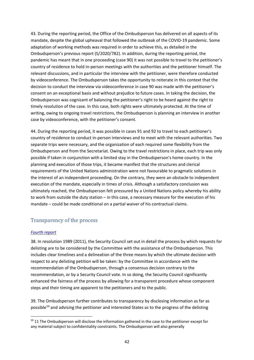43. During the reporting period, the Office of the Ombudsperson has delivered on all aspects of its mandate, despite the global upheaval that followed the outbreak of the COVID-19 pandemic. Some adaptation of working methods was required in order to achieve this, as detailed in the Ombudsperson's previous report (S/2020/782). In addition, during the reporting period, the pandemic has meant that in one proceeding (case 90) it was not possible to travel to the petitioner's country of residence to hold in-person meetings with the authorities and the petitioner himself. The relevant discussions, and in particular the interview with the petitioner, were therefore conducted by videoconference. The Ombudsperson takes the opportunity to reiterate in this context that the decision to conduct the interview via videoconference in case 90 was made with the petitioner's consent on an exceptional basis and without prejudice to future cases. In taking the decision, the Ombudsperson was cognizant of balancing the petitioner's right to be heard against the right to timely resolution of the case. In this case, both rights were ultimately protected. At the time of writing, owing to ongoing travel restrictions, the Ombudsperson is planning an interview in another case by videoconference, with the petitioner's consent.

44. During the reporting period, it was possible in cases 91 and 92 to travel to each petitioner's country of residence to conduct in-person interviews and to meet with the relevant authorities. Two separate trips were necessary, and the organization of each required some flexibility from the Ombudsperson and from the Secretariat. Owing to the travel restrictions in place, each trip was only possible if taken in conjunction with a limited stay in the Ombudsperson's home country. In the planning and execution of those trips, it became manifest that the structures and clerical requirements of the United Nations administration were not favourable to pragmatic solutions in the interest of an independent proceeding. On the contrary, they were an obstacle to independent execution of the mandate, especially in times of crisis. Although a satisfactory conclusion was ultimately reached, the Ombudsperson felt pressured by a United Nations policy whereby his ability to work from outside the duty station – in this case, a necessary measure for the execution of his mandate – could be made conditional on a partial waiver of his contractual claims.

# Transparency of the process

#### *[Fourth report](https://undocs.org/S/2012/590)*

38. In resolution 1989 (2011), the Security Council set out in detail the process by which requests for delisting are to be considered by the Committee with the assistance of the Ombudsperson. This includes clear timelines and a delineation of the three means by which the ultimate decision with respect to any delisting petition will be taken: by the Committee in accordance with the recommendation of the Ombudsperson, through a consensus decision contrary to the recommendation, or by a Security Council vote. In so doing, the Security Council significantly enhanced the fairness of the process by allowing for a transparent procedure whose component steps and their timing are apparent to the petitioners and to the public.

39. The Ombudsperson further contributes to transparency by disclosing information as far as possible<sup>[59](#page-41-0)</sup> and advising the petitioner and interested States as to the progress of the delisting

<span id="page-41-0"></span><sup>&</sup>lt;sup>59</sup> 11 The Ombudsperson will disclose the information gathered in the case to the petitioner except for any material subject to confidentiality constraints. The Ombudsperson will also generally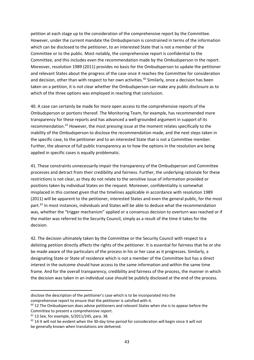petition at each stage up to the consideration of the comprehensive report by the Committee. However, under the current mandate the Ombudsperson is constrained in terms of the information which can be disclosed to the petitioner, to an interested State that is not a member of the Committee or to the public. Most notably, the comprehensive report is confidential to the Committee, and this includes even the recommendation made by the Ombudsperson in the report. Moreover, resolution 1989 (2011) provides no basis for the Ombudsperson to update the petitioner and relevant States about the progress of the case once it reaches the Committee for consideration and decision, other than with respect to her own activities.<sup>[60](#page-42-0)</sup> Similarly, once a decision has been taken on a petition, it is not clear whether the Ombudsperson can make any public disclosure as to which of the three options was employed in reaching that conclusion.

40. A case can certainly be made for more open access to the comprehensive reports of the Ombudsperson or portions thereof. The Monitoring Team, for example, has recommended more transparency for these reports and has advanced a well-grounded argument in support of its recommendation.[61](#page-42-1) However, the most pressing issue at the moment relates specifically to the inability of the Ombudsperson to disclose the recommendation made, and the next steps taken in the specific case, to the petitioner and to an interested State that is not a Committee member. Further, the absence of full public transparency as to how the options in the resolution are being applied in specific cases is equally problematic.

41. These constraints unnecessarily impair the transparency of the Ombudsperson and Committee processes and detract from their credibility and fairness. Further, the underlying rationale for these restrictions is not clear, as they do not relate to the sensitive issue of information provided or positions taken by individual States on the request. Moreover, confidentiality is somewhat misplaced in this context given that the timelines applicable in accordance with resolution 1989 (2011) will be apparent to the petitioner, interested States and even the general public, for the most part.<sup>[62](#page-42-2)</sup> In most instances, individuals and States will be able to deduce what the recommendation was, whether the "trigger mechanism" applied or a consensus decision to overturn was reached or if the matter was referred to the Security Council, simply as a result of the time it takes for the decision.

42. The decision ultimately taken by the Committee or the Security Council with respect to a delisting petition directly affects the rights of the petitioner. It is essential for fairness that he or she be made aware of the particulars of the process in his or her case as it progresses. Similarly, a designating State or State of residence which is not a member of the Committee but has a direct interest in the outcome should have access to the same information and within the same time frame. And for the overall transparency, credibility and fairness of the process, the manner in which the decision was taken in an individual case should be publicly disclosed at the end of the process.

disclose the description of the petitioner's case which is to be incorporated into the comprehensive report to ensure that the petitioner is satisfied with it.

<span id="page-42-0"></span> $60$  12 The Ombudsperson does advise petitioners and relevant States when she is to appear before the Committee to present a comprehensive report.

<span id="page-42-1"></span><sup>61</sup> 13 See, for example, S/2011/245, para. 38.

<span id="page-42-2"></span><sup>&</sup>lt;sup>62</sup> 14 It will not be evident when the 30-day time period for consideration will begin since it will not be generally known when translations are delivered.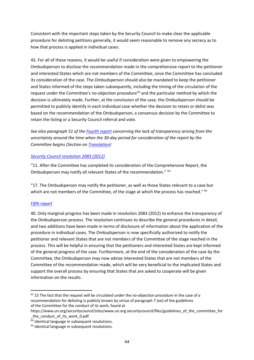Consistent with the important steps taken by the Security Council to make clear the applicable procedure for delisting petitions generally, it would seem reasonable to remove any secrecy as to how that process is applied in individual cases.

43. For all of these reasons, it would be useful if consideration were given to empowering the Ombudsperson to disclose the recommendation made in the comprehensive report to the petitioner and interested States which are not members of the Committee, once the Committee has concluded its consideration of the case. The Ombudsperson should also be mandated to keep the petitioner and States informed of the steps taken subsequently, including the timing of the circulation of the request under the Committee's no-objection procedure<sup>[63](#page-43-0)</sup> and the particular method by which the decision is ultimately made. Further, at the conclusion of the case, the Ombudsperson should be permitted to publicly identify in each individual case whether the decision to retain or delist was based on the recommendation of the Ombudsperson, a consensus decision by the Committee to retain the listing or a Security Council referral and vote.

*See also paragraph 51 of the [Fourth report](https://undocs.org/S/2012/590) concerning the lack of transparency arising from the uncertainty around the time when the 30-day period for consideration of the report by the Committee begins (Section on Translation)*

## *[Security Council resolution 2083 \(2012\)](https://undocs.org/S/RES/2083(2012))*

"11. After the Committee has completed its consideration of the Comprehensive Report, the Ombudsperson may notify all relevant States of the recommendation." [64](#page-43-1)

"17. The Ombudsperson may notify the petitioner, as well as those States relevant to a case but which are not members of the Committee, of the stage at which the process has reached." <sup>[65](#page-43-2)</sup>

## *[Fifth report](https://undocs.org/S/2013/71)*

40. Only marginal progress has been made in resolution 2083 (2012) to enhance the transparency of the Ombudsperson process. The resolution continues to describe the general procedures in detail, and two additions have been made in terms of disclosure of information about the application of the procedure in individual cases. The Ombudsperson is now specifically authorized to notify the petitioner and relevant States that are not members of the Committee of the stage reached in the process. This will be helpful in ensuring that the petitioners and interested States are kept informed of the general progress of the case. Furthermore, at the end of the consideration of the case by the Committee, the Ombudsperson may now advise interested States that are not members of the Committee of the recommendation made, which will be very beneficial to the implicated States and support the overall process by ensuring that States that are asked to cooperate will be given information on the results.

<span id="page-43-0"></span> $63$  15 The fact that the request will be circulated under the no-objection procedure in the case of a recommendation for delisting is publicly known by virtue of paragraph 7 (ee) of the guidelines of the Committee for the conduct of its work, found at

https://www.un.org/securitycouncil/sites/www.un.org.securitycouncil/files/guidelines\_of\_the\_committee\_for the conduct of its work 0.pdf.

<span id="page-43-1"></span> $\overline{64}$  Identical language in subsequent resolutions.

<span id="page-43-2"></span><sup>&</sup>lt;sup>65</sup> Identical language in subsequent resolutions.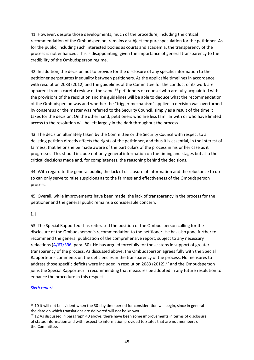41. However, despite those developments, much of the procedure, including the critical recommendation of the Ombudsperson, remains a subject for pure speculation for the petitioner. As for the public, including such interested bodies as courts and academia, the transparency of the process is not enhanced. This is disappointing, given the importance of general transparency to the credibility of the Ombudsperson regime.

42. In addition, the decision not to provide for the disclosure of any specific information to the petitioner perpetuates inequality between petitioners. As the applicable timelines in accordance with resolution 2083 (2012) and the guidelines of the Committee for the conduct of its work are apparent from a careful review of the same,<sup>[66](#page-44-0)</sup> petitioners or counsel who are fully acquainted with the provisions of the resolution and the guidelines will be able to deduce what the recommendation of the Ombudsperson was and whether the "trigger mechanism" applied, a decision was overturned by consensus or the matter was referred to the Security Council, simply as a result of the time it takes for the decision. On the other hand, petitioners who are less familiar with or who have limited access to the resolution will be left largely in the dark throughout the process.

43. The decision ultimately taken by the Committee or the Security Council with respect to a delisting petition directly affects the rights of the petitioner, and thus it is essential, in the interest of fairness, that he or she be made aware of the particulars of the process in his or her case as it progresses. This should include not only general information on the timing and stages but also the critical decisions made and, for completeness, the reasoning behind the decisions.

44. With regard to the general public, the lack of disclosure of information and the reluctance to do so can only serve to raise suspicions as to the fairness and effectiveness of the Ombudsperson process.

45. Overall, while improvements have been made, the lack of transparency in the process for the petitioner and the general public remains a considerable concern.

[..]

53. The Special Rapporteur has reiterated the position of the Ombudsperson calling for the disclosure of the Ombudsperson's recommendation to the petitioner. He has also gone further to recommend the general publication of the comprehensive report, subject to any necessary redactions [\(A/67/396,](https://undocs.org/A/67/396) para. 50). He has argued forcefully for those steps in support of greater transparency of the process. As discussed above, the Ombudsperson agrees fully with the Special Rapporteur's comments on the deficiencies in the transparency of the process. No measures to address those specific deficits were included in resolution 2083 (2012),<sup>[67](#page-44-1)</sup> and the Ombudsperson joins the Special Rapporteur in recommending that measures be adopted in any future resolution to enhance the procedure in this respect.

## *[Sixth report](https://undocs.org/S/2013/452)*

<span id="page-44-0"></span><sup>&</sup>lt;sup>66</sup> 10 It will not be evident when the 30-day time period for consideration will begin, since in general the date on which translations are delivered will not be known.

<span id="page-44-1"></span> $67$  12 As discussed in paragraph 40 above, there have been some improvements in terms of disclosure of status information and with respect to information provided to States that are not members of the Committee.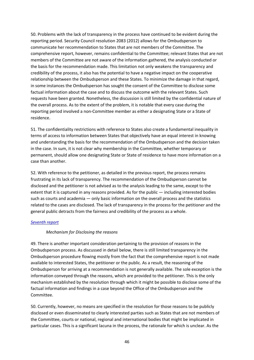50. Problems with the lack of transparency in the process have continued to be evident during the reporting period. Security Council resolution 2083 (2012) allows for the Ombudsperson to communicate her recommendation to States that are not members of the Committee. The comprehensive report, however, remains confidential to the Committee; relevant States that are not members of the Committee are not aware of the information gathered, the analysis conducted or the basis for the recommendation made. This limitation not only weakens the transparency and credibility of the process, it also has the potential to have a negative impact on the cooperative relationship between the Ombudsperson and these States. To minimize the damage in that regard, in some instances the Ombudsperson has sought the consent of the Committee to disclose some factual information about the case and to discuss the outcome with the relevant States. Such requests have been granted. Nonetheless, the discussion is still limited by the confidential nature of the overall process. As to the extent of the problem, it is notable that every case during the reporting period involved a non-Committee member as either a designating State or a State of residence.

51. The confidentiality restrictions with reference to States also create a fundamental inequality in terms of access to information between States that objectively have an equal interest in knowing and understanding the basis for the recommendation of the Ombudsperson and the decision taken in the case. In sum, it is not clear why membership in the Committee, whether temporary or permanent, should allow one designating State or State of residence to have more information on a case than another.

52. With reference to the petitioner, as detailed in the previous report, the process remains frustrating in its lack of transparency. The recommendation of the Ombudsperson cannot be disclosed and the petitioner is not advised as to the analysis leading to the same, except to the extent that it is captured in any reasons provided. As for the public — including interested bodies such as courts and academia — only basic information on the overall process and the statistics related to the cases are disclosed. The lack of transparency in the process for the petitioner and the general public detracts from the fairness and credibility of the process as a whole.

#### *[Seventh report](https://undocs.org/S/2014/73)*

#### *Mechanism for Disclosing the reasons*

49. There is another important consideration pertaining to the provision of reasons in the Ombudsperson process. As discussed in detail below, there is still limited transparency in the Ombudsperson procedure flowing mostly from the fact that the comprehensive report is not made available to interested States, the petitioner or the public. As a result, the reasoning of the Ombudsperson for arriving at a recommendation is not generally available. The sole exception is the information conveyed through the reasons, which are provided to the petitioner. This is the only mechanism established by the resolution through which it might be possible to disclose some of the factual information and findings in a case beyond the Office of the Ombudsperson and the Committee.

50. Currently, however, no means are specified in the resolution for those reasons to be publicly disclosed or even disseminated to clearly interested parties such as States that are not members of the Committee, courts or national, regional and international bodies that might be implicated in particular cases. This is a significant lacuna in the process, the rationale for which is unclear. As the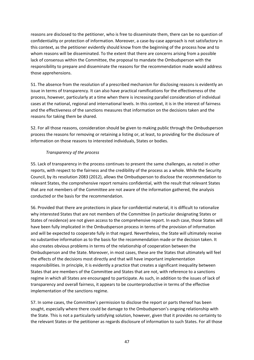reasons are disclosed to the petitioner, who is free to disseminate them, there can be no question of confidentiality or protection of information. Moreover, a case-by-case approach is not satisfactory in this context, as the petitioner evidently should know from the beginning of the process how and to whom reasons will be disseminated. To the extent that there are concerns arising from a possible lack of consensus within the Committee, the proposal to mandate the Ombudsperson with the responsibility to prepare and disseminate the reasons for the recommendation made would address those apprehensions.

51. The absence from the resolution of a prescribed mechanism for disclosing reasons is evidently an issue in terms of transparency. It can also have practical ramifications for the effectiveness of the process, however, particularly at a time when there is increasing parallel consideration of individual cases at the national, regional and international levels. In this context, it is in the interest of fairness and the effectiveness of the sanctions measures that information on the decisions taken and the reasons for taking them be shared.

52. For all those reasons, consideration should be given to making public through the Ombudsperson process the reasons for removing or retaining a listing or, at least, to providing for the disclosure of information on those reasons to interested individuals, States or bodies.

## *Transparency of the process*

55. Lack of transparency in the process continues to present the same challenges, as noted in other reports, with respect to the fairness and the credibility of the process as a whole. While the Security Council, by its resolution 2083 (2012), allows the Ombudsperson to disclose the recommendation to relevant States, the comprehensive report remains confidential, with the result that relevant States that are not members of the Committee are not aware of the information gathered, the analysis conducted or the basis for the recommendation.

56. Provided that there are protections in place for confidential material, it is difficult to rationalize why interested States that are not members of the Committee (in particular designating States or States of residence) are not given access to the comprehensive report. In each case, those States will have been fully implicated in the Ombudsperson process in terms of the provision of information and will be expected to cooperate fully in that regard. Nevertheless, the State will ultimately receive no substantive information as to the basis for the recommendation made or the decision taken. It also creates obvious problems in terms of the relationship of cooperation between the Ombudsperson and the State. Moreover, in most cases, these are the States that ultimately will feel the effects of the decisions most directly and that will have important implementation responsibilities. In principle, it is evidently a practice that creates a significant inequality between States that are members of the Committee and States that are not, with reference to a sanctions regime in which all States are encouraged to participate. As such, in addition to the issues of lack of transparency and overall fairness, it appears to be counterproductive in terms of the effective implementation of the sanctions regime.

57. In some cases, the Committee's permission to disclose the report or parts thereof has been sought, especially where there could be damage to the Ombudsperson's ongoing relationship with the State. This is not a particularly satisfying solution, however, given that it provides no certainty to the relevant States or the petitioner as regards disclosure of information to such States. For all those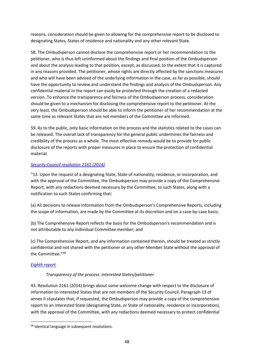reasons, consideration should be given to allowing for the comprehensive report to be disclosed to designating States, States of residence and nationality and any other relevant State.

58. The Ombudsperson cannot disclose the comprehensive report or her recommendation to the petitioner, who is thus left uninformed about the findings and final position of the Ombudsperson and about the analysis leading to that position, except, as discussed, to the extent that it is captured in any reasons provided. The petitioner, whose rights are directly affected by the sanctions measures and who will have been advised of the underlying information in the case, as far as possible, should have the opportunity to review and understand the findings and analysis of the Ombudsperson. Any confidential material in the report can easily be protected through the creation of a redacted version. To enhance the transparency and fairness of the Ombudsperson process, consideration should be given to a mechanism for disclosing the comprehensive report to the petitioner. At the very least, the Ombudsperson should be able to inform the petitioner of her recommendation at the same time as relevant States that are not members of the Committee are informed.

59. As to the public, only basic information on the process and the statistics related to the cases can be released. The overall lack of transparency for the general public undermines the fairness and credibility of the process as a whole. The most effective remedy would be to provide for public disclosure of the reports with proper measures in place to ensure the protection of confidential material.

## *[Security Council resolution 2161 \(2014\)](https://undocs.org/S/RES/2161(2014))*

"13. Upon the request of a designating State, State of nationality, residence, or incorporation, and with the approval of the Committee, the Ombudsperson may provide a copy of the Comprehensive Report, with any redactions deemed necessary by the Committee, to such States, along with a notification to such States confirming that:

(a) All decisions to release information from the Ombudsperson's Comprehensive Reports, including the scope of information, are made by the Committee at its discretion and on a case-by-case basis;

(b) The Comprehensive Report reflects the basis for the Ombudsperson's recommendation and is not attributable to any individual Committee member; and

(c) The Comprehensive Report, and any information contained therein, should be treated as strictly confidential and not shared with the petitioner or any other Member State without the approval of the Committee."<sup>[68](#page-47-0)</sup>

#### *[Eighth report](https://undocs.org/S/2014/553)*

## *Transparency of the process: interested States/petitioner*

43. Resolution 2161 (2014) brings about some welcome change with respect to the disclosure of information to interested States that are not members of the Security Council. Paragraph 13 of annex II stipulates that, if requested, the Ombudsperson may provide a copy of the comprehensive report to an interested State (designating State, or State of nationality, residence or incorporation), with the approval of the Committee, with any redactions deemed necessary to protect confidential

<span id="page-47-0"></span><sup>&</sup>lt;sup>68</sup> Identical language in subsequent resolutions.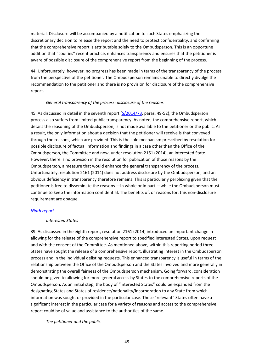material. Disclosure will be accompanied by a notification to such States emphasizing the discretionary decision to release the report and the need to protect confidentiality, and confirming that the comprehensive report is attributable solely to the Ombudsperson. This is an opportune addition that "codifies" recent practice, enhances transparency and ensures that the petitioner is aware of possible disclosure of the comprehensive report from the beginning of the process.

44. Unfortunately, however, no progress has been made in terms of the transparency of the process from the perspective of the petitioner. The Ombudsperson remains unable to directly divulge the recommendation to the petitioner and there is no provision for disclosure of the comprehensive report.

#### *General transparency of the process: disclosure of the reasons*

45. As discussed in detail in the seventh report [\(S/2014/73,](https://undocs.org/S/2014/73) paras. 49-52), the Ombudsperson process also suffers from limited public transparency. As noted, the comprehensive report, which details the reasoning of the Ombudsperson, is not made available to the petitioner or the public. As a result, the only information about a decision that the petitioner will receive is that conveyed through the reasons, which are provided. This is the sole mechanism prescribed by resolution for possible disclosure of factual information and findings in a case other than the Office of the Ombudsperson, the Committee and now, under resolution 2161 (2014), an interested State. However, there is no provision in the resolution for publication of those reasons by the Ombudsperson, a measure that would enhance the general transparency of the process. Unfortunately, resolution 2161 (2014) does not address disclosure by the Ombudsperson, and an obvious deficiency in transparency therefore remains. This is particularly perplexing given that the petitioner is free to disseminate the reasons —in whole or in part —while the Ombudsperson must continue to keep the information confidential. The benefits of, or reasons for, this non-disclosure requirement are opaque.

#### *[Ninth report](https://undocs.org/S/2015/80)*

#### *Interested States*

39. As discussed in the eighth report, resolution 2161 (2014) introduced an important change in allowing for the release of the comprehensive report to specified interested States, upon request and with the consent of the Committee. As mentioned above, within this reporting period three States have sought the release of a comprehensive report, illustrating interest in the Ombudsperson process and in the individual delisting requests. This enhanced transparency is useful in terms of the relationship between the Office of the Ombudsperson and the States involved and more generally in demonstrating the overall fairness of the Ombudsperson mechanism. Going forward, consideration should be given to allowing for more general access by States to the comprehensive reports of the Ombudsperson. As an initial step, the body of "interested States" could be expanded from the designating States and States of residence/nationality/incorporation to any State from which information was sought or provided in the particular case. These "relevant" States often have a significant interest in the particular case for a variety of reasons and access to the comprehensive report could be of value and assistance to the authorities of the same.

*The petitioner and the public*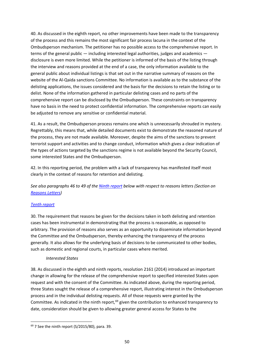40. As discussed in the eighth report, no other improvements have been made to the transparency of the process and this remains the most significant fair process lacuna in the context of the Ombudsperson mechanism. The petitioner has no possible access to the comprehensive report. In terms of the general public — including interested legal authorities, judges and academics disclosure is even more limited. While the petitioner is informed of the basis of the listing through the interview and reasons provided at the end of a case, the only information available to the general public about individual listings is that set out in the narrative summary of reasons on the website of the Al-Qaida sanctions Committee. No information is available as to the substance of the delisting applications, the issues considered and the basis for the decisions to retain the listing or to delist. None of the information gathered in particular delisting cases and no parts of the comprehensive report can be disclosed by the Ombudsperson. These constraints on transparency have no basis in the need to protect confidential information. The comprehensive reports can easily be adjusted to remove any sensitive or confidential material.

41. As a result, the Ombudsperson process remains one which is unnecessarily shrouded in mystery. Regrettably, this means that, while detailed documents exist to demonstrate the reasoned nature of the process, they are not made available. Moreover, despite the aims of the sanctions to prevent terrorist support and activities and to change conduct, information which gives a clear indication of the types of actions targeted by the sanctions regime is not available beyond the Security Council, some interested States and the Ombudsperson.

42. In this reporting period, the problem with a lack of transparency has manifested itself most clearly in the context of reasons for retention and delisting.

*See also paragraphs 46 to 49 of the [Ninth report](https://undocs.org/S/2015/80) below with respect to reasons letters (Section on Reasons Letters)* 

## *[Tenth report](https://undocs.org/S/2015/533)*

30. The requirement that reasons be given for the decisions taken in both delisting and retention cases has been instrumental in demonstrating that the process is reasonable, as opposed to arbitrary. The provision of reasons also serves as an opportunity to disseminate information beyond the Committee and the Ombudsperson, thereby enhancing the transparency of the process generally. It also allows for the underlying basis of decisions to be communicated to other bodies, such as domestic and regional courts, in particular cases where merited.

#### *Interested States*

38. As discussed in the eighth and ninth reports, resolution 2161 (2014) introduced an important change in allowing for the release of the comprehensive report to specified interested States upon request and with the consent of the Committee. As indicated above, during the reporting period, three States sought the release of a comprehensive report, illustrating interest in the Ombudsperson process and in the individual delisting requests. All of those requests were granted by the Committee. As indicated in the ninth report, $69$  given the contribution to enhanced transparency to date, consideration should be given to allowing greater general access for States to the

<span id="page-49-0"></span> $69$  7 See the ninth report (S/2015/80), para. 39.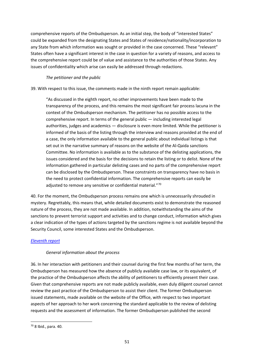comprehensive reports of the Ombudsperson. As an initial step, the body of "interested States" could be expanded from the designating States and States of residence/nationality/incorporation to any State from which information was sought or provided in the case concerned. These "relevant" States often have a significant interest in the case in question for a variety of reasons, and access to the comprehensive report could be of value and assistance to the authorities of those States. Any issues of confidentiality which arise can easily be addressed through redactions.

## *The petitioner and the public*

39. With respect to this issue, the comments made in the ninth report remain applicable:

"As discussed in the eighth report, no other improvements have been made to the transparency of the process, and this remains the most significant fair process lacuna in the context of the Ombudsperson mechanism. The petitioner has no possible access to the comprehensive report. In terms of the general public — including interested legal authorities, judges and academics — disclosure is even more limited. While the petitioner is informed of the basis of the listing through the interview and reasons provided at the end of a case, the only information available to the general public about individual listings is that set out in the narrative summary of reasons on the website of the Al-Qaida sanctions Committee. No information is available as to the substance of the delisting applications, the issues considered and the basis for the decisions to retain the listing or to delist. None of the information gathered in particular delisting cases and no parts of the comprehensive report can be disclosed by the Ombudsperson. These constraints on transparency have no basis in the need to protect confidential information. The comprehensive reports can easily be adjusted to remove any sensitive or confidential material."[70](#page-50-0)

40. For the moment, the Ombudsperson process remains one which is unnecessarily shrouded in mystery. Regrettably, this means that, while detailed documents exist to demonstrate the reasoned nature of the process, they are not made available. In addition, notwithstanding the aims of the sanctions to prevent terrorist support and activities and to change conduct, information which gives a clear indication of the types of actions targeted by the sanctions regime is not available beyond the Security Council, some interested States and the Ombudsperson.

## *[Eleventh report](https://undocs.org/S/2016/96)*

## *General information about the process*

36. In her interaction with petitioners and their counsel during the first few months of her term, the Ombudsperson has measured how the absence of publicly available case law, or its equivalent, of the practice of the Ombudsperson affects the ability of petitioners to efficiently present their case. Given that comprehensive reports are not made publicly available, even duly diligent counsel cannot review the past practice of the Ombudsperson to assist their client. The former Ombudsperson issued statements, made available on the website of the Office, with respect to two important aspects of her approach to her work concerning the standard applicable to the review of delisting requests and the assessment of information. The former Ombudsperson published the second

<span id="page-50-0"></span> $70$  8 Ibid., para, 40.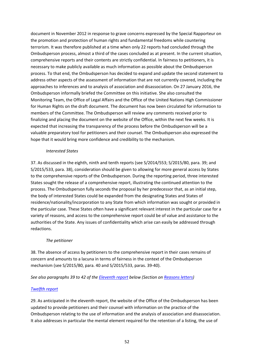document in November 2012 in response to grave concerns expressed by the Special Rapporteur on the promotion and protection of human rights and fundamental freedoms while countering terrorism. It was therefore published at a time when only 22 reports had concluded through the Ombudsperson process, almost a third of the cases concluded as at present. In the current situation, comprehensive reports and their contents are strictly confidential. In fairness to petitioners, it is necessary to make publicly available as much information as possible about the Ombudsperson process. To that end, the Ombudsperson has decided to expand and update the second statement to address other aspects of the assessment of information that are not currently covered, including the approaches to inferences and to analysis of association and disassociation. On 27 January 2016, the Ombudsperson informally briefed the Committee on this initiative. She also consulted the Monitoring Team, the Office of Legal Affairs and the Office of the United Nations High Commissioner for Human Rights on the draft document. The document has now been circulated for information to members of the Committee. The Ombudsperson will review any comments received prior to finalizing and placing the document on the website of the Office, within the next few weeks. It is expected that increasing the transparency of the process before the Ombudsperson will be a valuable preparatory tool for petitioners and their counsel. The Ombudsperson also expressed the hope that it would bring more confidence and credibility to the mechanism.

#### *Interested States*

37. As discussed in the eighth, ninth and tenth reports (see S/2014/553; S/2015/80, para. 39; and S/2015/533, para. 38), consideration should be given to allowing for more general access by States to the comprehensive reports of the Ombudsperson. During the reporting period, three interested States sought the release of a comprehensive report, illustrating the continued attention to the process. The Ombudsperson fully seconds the proposal by her predecessor that, as an initial step, the body of interested States could be expanded from the designating States and States of residence/nationality/incorporation to any State from which information was sought or provided in the particular case. These States often have a significant relevant interest in the particular case for a variety of reasons, and access to the comprehensive report could be of value and assistance to the authorities of the State. Any issues of confidentiality which arise can easily be addressed through redactions.

## *The petitioner*

38. The absence of access by petitioners to the comprehensive report in their cases remains of concern and amounts to a lacuna in terms of fairness in the context of the Ombudsperson mechanism (see S/2015/80, para. 40 and S/2015/533, paras. 39-40).

*See also paragraphs 39 to 42 of the [Eleventh report](https://undocs.org/S/2016/96) below (Section on Reasons letters)*

## *[Twelfth report](https://undocs.org/S/2016/671)*

29. As anticipated in the eleventh report, the website of the Office of the Ombudsperson has been updated to provide petitioners and their counsel with information on the practice of the Ombudsperson relating to the use of information and the analysis of association and disassociation. It also addresses in particular the mental element required for the retention of a listing, the use of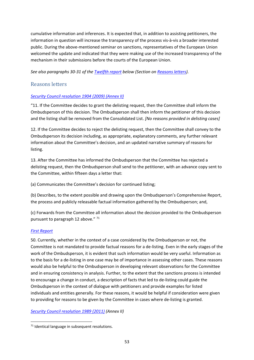cumulative information and inferences. It is expected that, in addition to assisting petitioners, the information in question will increase the transparency of the process vis-à-vis a broader interested public. During the above-mentioned seminar on sanctions, representatives of the European Union welcomed the update and indicated that they were making use of the increased transparency of the mechanism in their submissions before the courts of the European Union.

*See also paragraphs 30-31 of the [Twelfth report](https://undocs.org/S/2016/671) below (Section on Reasons letters).*

## Reasons letters

## *[Security Council resolution 1904 \(2009\)](https://undocs.org/S/RES/1904(2009)) (Annex II)*

"11. If the Committee decides to grant the delisting request, then the Committee shall inform the Ombudsperson of this decision. The Ombudsperson shall then inform the petitioner of this decision and the listing shall be removed from the Consolidated List. *[No reasons provided in delisting cases]*

12. If the Committee decides to reject the delisting request, then the Committee shall convey to the Ombudsperson its decision including, as appropriate, explanatory comments, any further relevant information about the Committee's decision, and an updated narrative summary of reasons for listing.

13. After the Committee has informed the Ombudsperson that the Committee has rejected a delisting request, then the Ombudsperson shall send to the petitioner, with an advance copy sent to the Committee, within fifteen days a letter that:

(a) Communicates the Committee's decision for continued listing;

(b) Describes, to the extent possible and drawing upon the Ombudsperson's Comprehensive Report, the process and publicly releasable factual information gathered by the Ombudsperson; and,

(c) Forwards from the Committee all information about the decision provided to the Ombudsperson pursuant to paragraph 12 above." [71](#page-52-0)

## *[First Report](http://undocs.org/S/2011/29)*

50. Currently, whether in the context of a case considered by the Ombudsperson or not, the Committee is not mandated to provide factual reasons for a de-listing. Even in the early stages of the work of the Ombudsperson, it is evident that such information would be very useful. Information as to the basis for a de-listing in one case may be of importance in assessing other cases. These reasons would also be helpful to the Ombudsperson in developing relevant observations for the Committee and in ensuring consistency in analysis. Further, to the extent that the sanctions process is intended to encourage a change in conduct, a description of facts that led to de-listing could guide the Ombudsperson in the context of dialogue with petitioners and provide examples for listed individuals and entities generally. For these reasons, it would be helpful if consideration were given to providing for reasons to be given by the Committee in cases where de-listing is granted.

*[Security Council resolution 1989 \(2011\)](https://undocs.org/S/RES/1989(2011)) (Annex II)*

<span id="page-52-0"></span> $71$  Identical language in subsequent resolutions.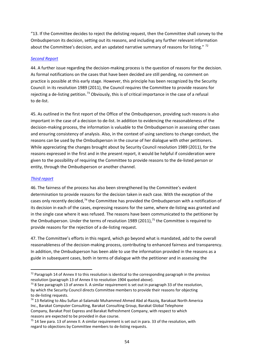"13. If the Committee decides to reject the delisting request, then the Committee shall convey to the Ombudsperson its decision, setting out its reasons, and including any further relevant information about the Committee's decision, and an updated narrative summary of reasons for listing."  $72$ 

#### *[Second Report](https://undocs.org/S/2011/447)*

44. A further issue regarding the decision-making process is the question of reasons for the decision. As formal notifications on the cases that have been decided are still pending, no comment on practice is possible at this early stage. However, this principle has been recognized by the Security Council: in its resolution 1989 (2011), the Council requires the Committee to provide reasons for rejecting a de-listing petition.<sup>[73](#page-53-1)</sup> Obviously, this is of critical importance in the case of a refusal to de-list.

45. As outlined in the first report of the Office of the Ombudsperson, providing such reasons is also important in the case of a decision to de-list. In addition to evidencing the reasonableness of the decision-making process, the information is valuable to the Ombudsperson in assessing other cases and ensuring consistency of analysis. Also, in the context of using sanctions to change conduct, the reasons can be used by the Ombudsperson in the course of her dialogue with other petitioners. While appreciating the changes brought about by Security Council resolution 1989 (2011), for the reasons expressed in the first and in the present report, it would be helpful if consideration were given to the possibility of requiring the Committee to provide reasons to the de-listed person or entity, through the Ombudsperson or another channel.

#### *[Third report](https://undocs.org/S/2012/49)*

46. The fairness of the process has also been strengthened by the Committee's evident determination to provide reasons for the decision taken in each case. With the exception of the cases only recently decided,<sup>[74](#page-53-2)</sup> the Committee has provided the Ombudsperson with a notification of its decision in each of the cases, expressing reasons for the same, where de-listing was granted and in the single case where it was refused. The reasons have been communicated to the petitioner by the Ombudsperson. Under the terms of resolution 1989 (2011),<sup>[75](#page-53-3)</sup> the Committee is required to provide reasons for the rejection of a de-listing request.

47. The Committee's efforts in this regard, which go beyond what is mandated, add to the overall reasonableness of the decision-making process, contributing to enhanced fairness and transparency. In addition, the Ombudsperson has been able to use the information provided in the reasons as a guide in subsequent cases, both in terms of dialogue with the petitioner and in assessing the

<span id="page-53-0"></span> $72$  Paragraph 14 of Annex II to this resolution is identical to the corresponding paragraph in the previous resolution (paragraph 13 of Annex II to resolution 1904 quoted above).

<span id="page-53-1"></span> $73$  8 See paragraph 13 of annex II. A similar requirement is set out in paragraph 33 of the resolution, by which the Security Council directs Committee members to provide their reasons for objecting to de-listing requests.

<span id="page-53-2"></span><sup>&</sup>lt;sup>74</sup> 13 Relating to Abu Sufian al-Salamabi Muhammed Ahmed Abd al-Razziq, Barakaat North America Inc., Barakat Computer Consulting, Barakat Consulting Group, Barakat Global Telephone Company, Barakat Post Express and Barakat Refreshment Company, with respect to which reasons are expected to be provided in due course.

<span id="page-53-3"></span> $75$  14 See para. 13 of annex II. A similar requirement is set out in para. 33 of the resolution, with regard to objections by Committee members to de-listing requests.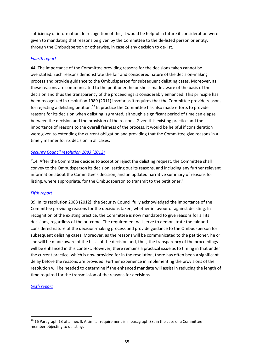sufficiency of information. In recognition of this, it would be helpful in future if consideration were given to mandating that reasons be given by the Committee to the de-listed person or entity, through the Ombudsperson or otherwise, in case of any decision to de-list.

## *[Fourth report](https://undocs.org/S/2012/590)*

44. The importance of the Committee providing reasons for the decisions taken cannot be overstated. Such reasons demonstrate the fair and considered nature of the decision-making process and provide guidance to the Ombudsperson for subsequent delisting cases. Moreover, as these reasons are communicated to the petitioner, he or she is made aware of the basis of the decision and thus the transparency of the proceedings is considerably enhanced. This principle has been recognized in resolution 1989 (2011) insofar as it requires that the Committee provide reasons for rejecting a delisting petition.<sup>[76](#page-54-0)</sup> In practice the Committee has also made efforts to provide reasons for its decision when delisting is granted, although a significant period of time can elapse between the decision and the provision of the reasons. Given this existing practice and the importance of reasons to the overall fairness of the process, it would be helpful if consideration were given to extending the current obligation and providing that the Committee give reasons in a timely manner for its decision in all cases.

## *[Security Council resolution 2083 \(2012\)](https://undocs.org/S/RES/2083(2012))*

"14. After the Committee decides to accept or reject the delisting request, the Committee shall convey to the Ombudsperson its decision, setting out its reasons, and including any further relevant information about the Committee's decision, and an updated narrative summary of reasons for listing, where appropriate, for the Ombudsperson to transmit to the petitioner."

## *[Fifth report](https://undocs.org/S/2013/71)*

39. In its resolution 2083 (2012), the Security Council fully acknowledged the importance of the Committee providing reasons for the decisions taken, whether in favour or against delisting. In recognition of the existing practice, the Committee is now mandated to give reasons for all its decisions, regardless of the outcome. The requirement will serve to demonstrate the fair and considered nature of the decision-making process and provide guidance to the Ombudsperson for subsequent delisting cases. Moreover, as the reasons will be communicated to the petitioner, he or she will be made aware of the basis of the decision and, thus, the transparency of the proceedings will be enhanced in this context. However, there remains a practical issue as to timing in that under the current practice, which is now provided for in the resolution, there has often been a significant delay before the reasons are provided. Further experience in implementing the provisions of the resolution will be needed to determine if the enhanced mandate will assist in reducing the length of time required for the transmission of the reasons for decisions.

## *[Sixth report](https://undocs.org/S/2013/452)*

<span id="page-54-0"></span><sup>&</sup>lt;sup>76</sup> 16 Paragraph 13 of annex II. A similar requirement is in paragraph 33, in the case of a Committee member objecting to delisting.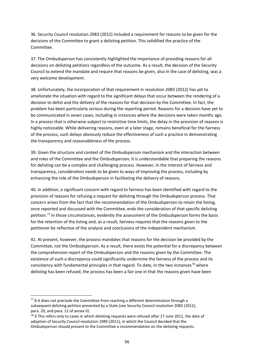36. Security Council resolution 2083 (2012) included a requirement for reasons to be given for the decisions of the Committee to grant a delisting petition. This solidified the practice of the Committee.

37. The Ombudsperson has consistently highlighted the importance of providing reasons for all decisions on delisting petitions regardless of the outcome. As a result, the decision of the Security Council to extend the mandate and require that reasons be given, also in the case of delisting, was a very welcome development.

38. Unfortunately, the incorporation of that requirement in resolution 2083 (2012) has yet to ameliorate the situation with regard to the significant delays that occur between the rendering of a decision to delist and the delivery of the reasons for that decision by the Committee. In fact, the problem has been particularly serious during the reporting period. Reasons for a decision have yet to be communicated in seven cases, including in instances where the decisions were taken months ago. In a process that is otherwise subject to restrictive time limits, the delay in the provision of reasons is highly noticeable. While delivering reasons, even at a later stage, remains beneficial for the fairness of the process, such delays obviously reduce the effectiveness of such a practice in demonstrating the transparency and reasonableness of the process.

39. Given the structure and context of the Ombudsperson mechanism and the interaction between and roles of the Committee and the Ombudsperson, it is understandable that preparing the reasons for delisting can be a complex and challenging process. However, in the interest of fairness and transparency, consideration needs to be given to ways of improving the process, including by enhancing the role of the Ombudsperson in facilitating the delivery of reasons.

40. In addition, a significant concern with regard to fairness has been identified with regard to the provision of reasons for refusing a request for delisting through the Ombudsperson process. That concern arises from the fact that the recommendation of the Ombudsperson to retain the listing, once reported and discussed with the Committee, ends the consideration of that specific delisting petition.[77](#page-55-0) In those circumstances, evidently the assessment of the Ombudsperson forms the basis for the retention of the listing and, as a result, fairness requires that the reasons given to the petitioner be reflective of the analysis and conclusions of the independent mechanism.

41. At present, however, the process mandates that reasons for the decision be provided by the Committee, not the Ombudsperson. As a result, there exists the potential for a discrepancy between the comprehensive report of the Ombudsperson and the reasons given by the Committee. The existence of such a discrepancy could significantly undermine the fairness of the process and its consistency with fundamental principles in that regard. To date, in the two instances<sup>[78](#page-55-1)</sup> where delisting has been refused, the process has been a fair one in that the reasons given have been

<span id="page-55-0"></span> $77$  8 It does not preclude the Committee from reaching a different determination through a subsequent delisting petition presented by a State (see Security Council resolution 2083 (2012), para. 20, and para. 12 of annex II).

<span id="page-55-1"></span><sup>78 9</sup> This refers only to cases in which delisting requests were refused after 17 June 2011, the date of adoption of Security Council resolution 1989 (2011), in which the Council decided that the Ombudsperson should present to the Committee a recommendation on the delisting requests.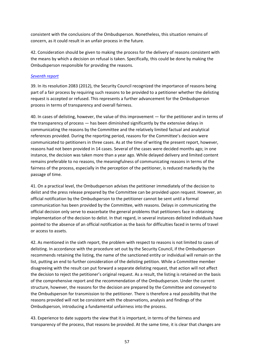consistent with the conclusions of the Ombudsperson. Nonetheless, this situation remains of concern, as it could result in an unfair process in the future.

42. Consideration should be given to making the process for the delivery of reasons consistent with the means by which a decision on refusal is taken. Specifically, this could be done by making the Ombudsperson responsible for providing the reasons.

#### *[Seventh report](https://undocs.org/S/2014/73)*

39. In its resolution 2083 (2012), the Security Council recognized the importance of reasons being part of a fair process by requiring such reasons to be provided to a petitioner whether the delisting request is accepted or refused. This represents a further advancement for the Ombudsperson process in terms of transparency and overall fairness.

40. In cases of delisting, however, the value of this improvement — for the petitioner and in terms of the transparency of process — has been diminished significantly by the extensive delays in communicating the reasons by the Committee and the relatively limited factual and analytical references provided. During the reporting period, reasons for the Committee's decision were communicated to petitioners in three cases. As at the time of writing the present report, however, reasons had not been provided in 14 cases. Several of the cases were decided months ago; in one instance, the decision was taken more than a year ago. While delayed delivery and limited content remains preferable to no reasons, the meaningfulness of communicating reasons in terms of the fairness of the process, especially in the perception of the petitioner, is reduced markedly by the passage of time.

41. On a practical level, the Ombudsperson advises the petitioner immediately of the decision to delist and the press release prepared by the Committee can be provided upon request. However, an official notification by the Ombudsperson to the petitioner cannot be sent until a formal communication has been provided by the Committee, with reasons. Delays in communicating the official decision only serve to exacerbate the general problems that petitioners face in obtaining implementation of the decision to delist. In that regard, in several instances delisted individuals have pointed to the absence of an official notification as the basis for difficulties faced in terms of travel or access to assets.

42. As mentioned in the sixth report, the problem with respect to reasons is not limited to cases of delisting. In accordance with the procedure set out by the Security Council, if the Ombudsperson recommends retaining the listing, the name of the sanctioned entity or individual will remain on the list, putting an end to further consideration of the delisting petition. While a Committee member disagreeing with the result can put forward a separate delisting request, that action will not affect the decision to reject the petitioner's original request. As a result, the listing is retained on the basis of the comprehensive report and the recommendation of the Ombudsperson. Under the current structure, however, the reasons for the decision are prepared by the Committee and conveyed to the Ombudsperson for transmission to the petitioner. There is therefore a real possibility that the reasons provided will not be consistent with the observations, analysis and findings of the Ombudsperson, introducing a fundamental unfairness into the process.

43. Experience to date supports the view that it is important, in terms of the fairness and transparency of the process, that reasons be provided. At the same time, it is clear that changes are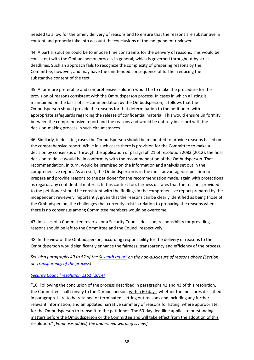needed to allow for the timely delivery of reasons and to ensure that the reasons are substantive in content and properly take into account the conclusions of the independent reviewer.

44. A partial solution could be to impose time constraints for the delivery of reasons. This would be consistent with the Ombudsperson process in general, which is governed throughout by strict deadlines. Such an approach fails to recognize the complexity of preparing reasons by the Committee, however, and may have the unintended consequence of further reducing the substantive content of the text.

45. A far more preferable and comprehensive solution would be to make the procedure for the provision of reasons consistent with the Ombudsperson process. In cases in which a listing is maintained on the basis of a recommendation by the Ombudsperson, it follows that the Ombudsperson should provide the reasons for that determination to the petitioner, with appropriate safeguards regarding the release of confidential material. This would ensure uniformity between the comprehensive report and the reasons and would be entirely in accord with the decision-making process in such circumstances.

46. Similarly, in delisting cases the Ombudsperson should be mandated to provide reasons based on the comprehensive report. While in such cases there is provision for the Committee to make a decision by consensus or through the application of paragraph 21 of resolution 2083 (2012), the final decision to delist would be in conformity with the recommendation of the Ombudsperson. That recommendation, in turn, would be premised on the information and analysis set out in the comprehensive report. As a result, the Ombudsperson is in the most advantageous position to prepare and provide reasons to the petitioner for the recommendation made, again with protections as regards any confidential material. In this context too, fairness dictates that the reasons provided to the petitioner should be consistent with the findings in the comprehensive report prepared by the independent reviewer. Importantly, given that the reasons can be clearly identified as being those of the Ombudsperson, the challenges that currently exist in relation to preparing the reasons when there is no consensus among Committee members would be overcome.

47. In cases of a Committee reversal or a Security Council decision, responsibility for providing reasons should be left to the Committee and the Council respectively.

48. In the view of the Ombudsperson, according responsibility for the delivery of reasons to the Ombudsperson would significantly enhance the fairness, transparency and efficiency of the process.

*See also paragraphs 49 to 52 of the [Seventh report](https://undocs.org/S/2014/73) on the non-disclosure of reasons above (Section on Transparency of the process)*

## *[Security Council resolution 2161 \(2014\)](https://undocs.org/S/RES/2161(2014))*

"16. Following the conclusion of the process described in paragraphs 42 and 43 of this resolution, the Committee shall convey to the Ombudsperson, within 60 days, whether the measures described in paragraph 1 are to be retained or terminated, setting out reasons and including any further relevant information, and an updated narrative summary of reasons for listing, where appropriate, for the Ombudsperson to transmit to the petitioner. The 60-day deadline applies to outstanding matters before the Ombudsperson or the Committee and will take effect from the adoption of this resolution." *[Emphasis added, the underlined wording is new].*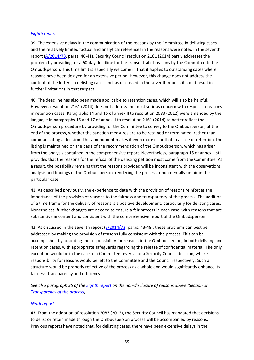#### *[Eighth report](https://undocs.org/S/2014/553)*

39. The extensive delays in the communication of the reasons by the Committee in delisting cases and the relatively limited factual and analytical references in the reasons were noted in the seventh report [\(A/2014/73,](https://undocs.org/S/2014/73) paras. 40-41). Security Council resolution 2161 (2014) partly addresses the problem by providing for a 60-day deadline for the transmittal of reasons by the Committee to the Ombudsperson. This time limit is especially welcome in that it applies to outstanding cases where reasons have been delayed for an extensive period. However, this change does not address the content of the letters in delisting cases and, as discussed in the seventh report, it could result in further limitations in that respect.

40. The deadline has also been made applicable to retention cases, which will also be helpful. However, resolution 2161 (2014) does not address the most serious concern with respect to reasons in retention cases. Paragraphs 14 and 15 of annex II to resolution 2083 (2012) were amended by the language in paragraphs 16 and 17 of annex II to resolution 2161 (2014) to better reflect the Ombudsperson procedure by providing for the Committee to convey to the Ombudsperson, at the end of the process, whether the sanction measures are to be retained or terminated, rather than communicating a decision. This amendment makes it even more clear that in a case of retention, the listing is maintained on the basis of the recommendation of the Ombudsperson, which has arisen from the analysis contained in the comprehensive report. Nevertheless, paragraph 16 of annex II still provides that the reasons for the refusal of the delisting petition must come from the Committee. As a result, the possibility remains that the reasons provided will be inconsistent with the observations, analysis and findings of the Ombudsperson, rendering the process fundamentally unfair in the particular case.

41. As described previously, the experience to date with the provision of reasons reinforces the importance of the provision of reasons to the fairness and transparency of the process. The addition of a time frame for the delivery of reasons is a positive development, particularly for delisting cases. Nonetheless, further changes are needed to ensure a fair process in each case, with reasons that are substantive in content and consistent with the comprehensive report of the Ombudsperson.

42. As discussed in the seventh report [\(S/2014/73,](https://undocs.org/S/2014/73) paras. 43-48), these problems can best be addressed by making the provision of reasons fully consistent with the process. This can be accomplished by according the responsibility for reasons to the Ombudsperson, in both delisting and retention cases, with appropriate safeguards regarding the release of confidential material. The only exception would be in the case of a Committee reversal or a Security Council decision, where responsibility for reasons would be left to the Committee and the Council respectively. Such a structure would be properly reflective of the process as a whole and would significantly enhance its fairness, transparency and efficiency.

*See also paragraph 35 of the [Eighth report](https://undocs.org/S/2014/553) on the non-disclosure of reasons above (Section on Transparency of the process)*

#### *[Ninth report](https://undocs.org/S/2015/80)*

43. From the adoption of resolution 2083 (2012), the Security Council has mandated that decisions to delist or retain made through the Ombudsperson process will be accompanied by reasons. Previous reports have noted that, for delisting cases, there have been extensive delays in the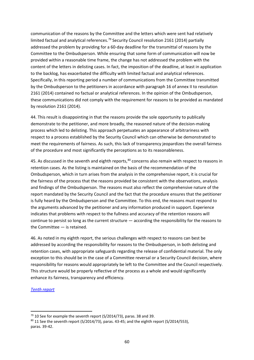communication of the reasons by the Committee and the letters which were sent had relatively limited factual and analytical references.<sup>[79](#page-59-0)</sup> Security Council resolution 2161 (2014) partially addressed the problem by providing for a 60-day deadline for the transmittal of reasons by the Committee to the Ombudsperson. While ensuring that some form of communication will now be provided within a reasonable time frame, the change has not addressed the problem with the content of the letters in delisting cases. In fact, the imposition of the deadline, at least in application to the backlog, has exacerbated the difficulty with limited factual and analytical references. Specifically, in this reporting period a number of communications from the Committee transmitted by the Ombudsperson to the petitioners in accordance with paragraph 16 of annex II to resolution 2161 (2014) contained no factual or analytical references. In the opinion of the Ombudsperson, these communications did not comply with the requirement for reasons to be provided as mandated by resolution 2161 (2014).

44. This result is disappointing in that the reasons provide the sole opportunity to publically demonstrate to the petitioner, and more broadly, the reasoned nature of the decision-making process which led to delisting. This approach perpetuates an appearance of arbitrariness with respect to a process established by the Security Council which can otherwise be demonstrated to meet the requirements of fairness. As such, this lack of transparency jeopardizes the overall fairness of the procedure and most significantly the perceptions as to its reasonableness.

45. As discussed in the seventh and eighth reports,<sup>[80](#page-59-1)</sup> concerns also remain with respect to reasons in retention cases. As the listing is maintained on the basis of the recommendation of the Ombudsperson, which in turn arises from the analysis in the comprehensive report, it is crucial for the fairness of the process that the reasons provided be consistent with the observations, analysis and findings of the Ombudsperson. The reasons must also reflect the comprehensive nature of the report mandated by the Security Council and the fact that the procedure ensures that the petitioner is fully heard by the Ombudsperson and the Committee. To this end, the reasons must respond to the arguments advanced by the petitioner and any information produced in support. Experience indicates that problems with respect to the fullness and accuracy of the retention reasons will continue to persist so long as the current structure — according the responsibility for the reasons to the Committee — is retained.

46. As noted in my eighth report, the serious challenges with respect to reasons can best be addressed by according the responsibility for reasons to the Ombudsperson, in both delisting and retention cases, with appropriate safeguards regarding the release of confidential material. The only exception to this should be in the case of a Committee reversal or a Security Council decision, where responsibility for reasons would appropriately be left to the Committee and the Council respectively. This structure would be properly reflective of the process as a whole and would significantly enhance its fairness, transparency and efficiency.

#### *[Tenth report](https://undocs.org/S/2015/533)*

<span id="page-59-0"></span><sup>&</sup>lt;sup>79</sup> 10 See for example the seventh report (S/2014/73), paras. 38 and 39.

<span id="page-59-1"></span><sup>80 11</sup> See the seventh report (S/2014/73), paras. 43-45; and the eighth report (S/2014/553), paras. 39-42.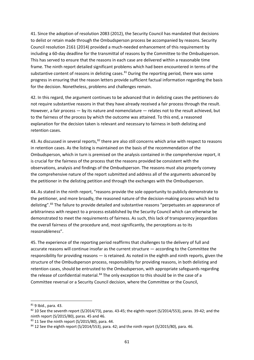41. Since the adoption of resolution 2083 (2012), the Security Council has mandated that decisions to delist or retain made through the Ombudsperson process be accompanied by reasons. Security Council resolution 2161 (2014) provided a much-needed enhancement of this requirement by including a 60-day deadline for the transmittal of reasons by the Committee to the Ombudsperson. This has served to ensure that the reasons in each case are delivered within a reasonable time frame. The ninth report detailed significant problems which had been encountered in terms of the substantive content of reasons in delisting cases. $81$  During the reporting period, there was some progress in ensuring that the reason letters provide sufficient factual information regarding the basis for the decision. Nonetheless, problems and challenges remain.

42. In this regard, the argument continues to be advanced that in delisting cases the petitioners do not require substantive reasons in that they have already received a fair process through the result. However, a fair process — by its nature and nomenclature — relates not to the result achieved, but to the fairness of the process by which the outcome was attained. To this end, a reasoned explanation for the decision taken is relevant and necessary to fairness in both delisting and retention cases.

43. As discussed in several reports, <sup>[82](#page-60-1)</sup> there are also still concerns which arise with respect to reasons in retention cases. As the listing is maintained on the basis of the recommendation of the Ombudsperson, which in turn is premised on the analysis contained in the comprehensive report, it is crucial for the fairness of the process that the reasons provided be consistent with the observations, analysis and findings of the Ombudsperson. The reasons must also properly convey the comprehensive nature of the report submitted and address all of the arguments advanced by the petitioner in the delisting petition and through the exchanges with the Ombudsperson.

44. As stated in the ninth report, "reasons provide the sole opportunity to publicly demonstrate to the petitioner, and more broadly, the reasoned nature of the decision-making process which led to delisting".<sup>[83](#page-60-2)</sup> The failure to provide detailed and substantive reasons "perpetuates an appearance of arbitrariness with respect to a process established by the Security Council which can otherwise be demonstrated to meet the requirements of fairness. As such, this lack of transparency jeopardizes the overall fairness of the procedure and, most significantly, the perceptions as to its reasonableness".

45. The experience of the reporting period reaffirms that challenges to the delivery of full and accurate reasons will continue insofar as the current structure — according to the Committee the responsibility for providing reasons — is retained. As noted in the eighth and ninth reports, given the structure of the Ombudsperson process, responsibility for providing reasons, in both delisting and retention cases, should be entrusted to the Ombudsperson, with appropriate safeguards regarding the release of confidential material.<sup>[84](#page-60-3)</sup> The only exception to this should be in the case of a Committee reversal or a Security Council decision, where the Committee or the Council,

<span id="page-60-0"></span><sup>81</sup> 9 Ibid., para. 43.

<span id="page-60-1"></span> $82$  10 See the seventh report (S/2014/73), paras. 43-45; the eighth report (S/2014/553), paras. 39-42; and the ninth report (S/2015/80), paras. 45 and 46.

<span id="page-60-2"></span> $83$  11 See the ninth report (S/2015/80), para. 44.

<span id="page-60-3"></span> $84$  12 See the eighth report (S/2014/553), para. 42; and the ninth report (S/2015/80), para. 46.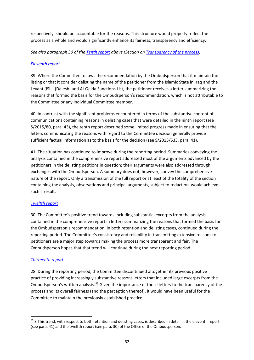respectively, should be accountable for the reasons. This structure would properly reflect the process as a whole and would significantly enhance its fairness, transparency and efficiency.

*See also paragraph 30 of the [Tenth report](https://undocs.org/S/2015/533) above (Section on Transparency of the process).*

## *[Eleventh report](https://undocs.org/S/2016/96)*

39. Where the Committee follows the recommendation by the Ombudsperson that it maintain the listing or that it consider delisting the name of the petitioner from the Islamic State in Iraq and the Levant (ISIL) (Da'esh) and Al-Qaida Sanctions List, the petitioner receives a letter summarizing the reasons that formed the basis for the Ombudsperson's recommendation, which is not attributable to the Committee or any individual Committee member.

40. In contrast with the significant problems encountered in terms of the substantive content of communications containing reasons in delisting cases that were detailed in the ninth report (see S/2015/80, para. 43), the tenth report described some limited progress made in ensuring that the letters communicating the reasons with regard to the Committee decision generally provide sufficient factual information as to the basis for the decision (see S/2015/533, para. 41).

41. The situation has continued to improve during the reporting period. Summaries conveying the analysis contained in the comprehensive report addressed most of the arguments advanced by the petitioners in the delisting petitions in question; their arguments were also addressed through exchanges with the Ombudsperson. A summary does not, however, convey the comprehensive nature of the report. Only a transmission of the full report or at least of the totality of the section containing the analysis, observations and principal arguments, subject to redaction, would achieve such a result.

## *[Twelfth report](https://undocs.org/S/2016/671)*

30. The Committee's positive trend towards including substantial excerpts from the analysis contained in the comprehensive report in letters summarizing the reasons that formed the basis for the Ombudsperson's recommendation, in both retention and delisting cases, continued during the reporting period. The Committee's consistency and reliability in transmitting extensive reasons to petitioners are a major step towards making the process more transparent and fair. The Ombudsperson hopes that that trend will continue during the next reporting period.

## *[Thirteenth report](https://undocs.org/S/2017/60)*

28. During the reporting period, the Committee discontinued altogether its previous positive practice of providing increasingly substantive reasons letters that included large excerpts from the Ombudsperson's written analysis.<sup>[85](#page-61-0)</sup> Given the importance of those letters to the transparency of the process and its overall fairness (and the perception thereof), it would have been useful for the Committee to maintain the previously established practice.

<span id="page-61-0"></span><sup>85 8</sup> This trend, with respect to both retention and delisting cases, is described in detail in the eleventh report (see para. 41) and the twelfth report (see para. 30) of the Office of the Ombudsperson.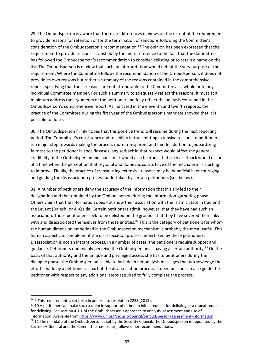29. The Ombudsperson is aware that there are differences of views on the extent of the requirement to provide reasons for retention or for the termination of sanctions following the Committee's consideration of the Ombudsperson's recommendation.[86](#page-62-0) The opinion has been expressed that the requirement to provide reasons is satisfied by the mere reference to the fact that the Committee has followed the Ombudsperson's recommendation to consider delisting or to retain a name on the list. The Ombudsperson is of view that such an interpretation would defeat the very purpose of the requirement. Where the Committee follows the recommendation of the Ombudsperson, it does not provide its own reasons but rather a summary of the reasons contained in the comprehensive report, specifying that those reasons are not attributable to the Committee as a whole or to any individual Committee member. For such a summary to adequately reflect the reasons, it must at a minimum address the arguments of the petitioner and fully reflect the analysis contained in the Ombudsperson's comprehensive report. As indicated in the eleventh and twelfth reports, the practice of the Committee during the first year of the Ombudsperson's mandate showed that it is possible to do so.

30. The Ombudsperson firmly hopes that this positive trend will resume during the next reporting period. The Committee's consistency and reliability in transmitting extensive reasons to petitioners is a major step towards making the process more transparent and fair. In addition to jeopardizing fairness to the petitioner in specific cases, any setback in that respect would affect the general credibility of the Ombudsperson mechanism. It would also be ironic that such a setback would occur at a time when the perception that regional and domestic courts have of the mechanism is starting to improve. Finally, the practice of transmitting extensive reasons may be beneficial in encouraging and guiding the disassociation process undertaken by certain petitioners (see below).

31. A number of petitioners deny the accuracy of the information that initially led to their designation and that obtained by the Ombudsperson during the information-gathering phase. Others claim that the information does not show their association with the Islamic State in Iraq and the Levant (Da'esh) or Al-Qaida. Certain petitioners admit, however, that they have had such an association. Those petitioners seek to be delisted on the grounds that they have severed their links with and disassociated themselves from those entities.<sup>[87](#page-62-1)</sup> This is the category of petitioners for whom the human dimension embedded in the Ombudsperson mechanism is probably the most useful. This human aspect can complement the disassociation process undertaken by these petitioners. Disassociation is not an instant process. In a number of cases, the petitioners require support and guidance. Petitioners undeniably perceive the Ombudsperson as having a certain authority.<sup>[88](#page-62-2)</sup> On the basis of that authority and the unique and privileged access she has to petitioners during the dialogue phase, the Ombudsperson is able to include in her analysis messages that acknowledge the efforts made by a petitioner as part of the disassociation process. If need be, she can also guide the petitioner with respect to any additional steps required to fully complete the process.

<span id="page-62-0"></span><sup>86 9</sup> This requirement is set forth in annex II to resolution 2253 (2015).

<span id="page-62-2"></span><span id="page-62-1"></span><sup>87 10</sup> A petitioner can make such a claim in support of either an initial request for delisting or a repeat request for delisting. See section 4.1.1 of the Ombudsperson's approach to analysis, assessment and use of information. Available fro[m https://www.un.org/securitycouncil/ombudsperson/assessment-information.](https://www.un.org/securitycouncil/ombudsperson/assessment-information) 88 11 The mandate of the Ombudsperson is set by the Security Council. The Ombudsperson is appointed by the Secretary-General and the Committee has, so far, followed her recommendations.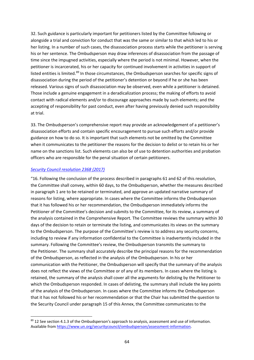32. Such guidance is particularly important for petitioners listed by the Committee following or alongside a trial and conviction for conduct that was the same or similar to that which led to his or her listing. In a number of such cases, the disassociation process starts while the petitioner is serving his or her sentence. The Ombudsperson may draw inferences of disassociation from the passage of time since the impugned activities, especially where the period is not minimal. However, when the petitioner is incarcerated, his or her capacity for continued involvement in activities in support of listed entities is limited.<sup>[89](#page-63-0)</sup> In those circumstances, the Ombudsperson searches for specific signs of disassociation during the period of the petitioner's detention or beyond if he or she has been released. Various signs of such disassociation may be observed, even while a petitioner is detained. Those include a genuine engagement in a deradicalization process; the making of efforts to avoid contact with radical elements and/or to discourage approaches made by such elements; and the accepting of responsibility for past conduct, even after having previously denied such responsibility at trial.

33. The Ombudsperson's comprehensive report may provide an acknowledgement of a petitioner's disassociation efforts and contain specific encouragement to pursue such efforts and/or provide guidance on how to do so. It is important that such elements not be omitted by the Committee when it communicates to the petitioner the reasons for the decision to delist or to retain his or her name on the sanctions list. Such elements can also be of use to detention authorities and probation officers who are responsible for the penal situation of certain petitioners.

#### *[Security Council resolution 2368 \(2017\)](https://undocs.org/S/RES/2368(2017))*

"16. Following the conclusion of the process described in paragraphs 61 and 62 of this resolution, the Committee shall convey, within 60 days, to the Ombudsperson, whether the measures described in paragraph 1 are to be retained or terminated, and approve an updated narrative summary of reasons for listing, where appropriate. In cases where the Committee informs the Ombudsperson that it has followed his or her recommendation, the Ombudsperson immediately informs the Petitioner of the Committee's decision and submits to the Committee, for its review, a summary of the analysis contained in the Comprehensive Report. The Committee reviews the summary within 30 days of the decision to retain or terminate the listing, and communicates its views on the summary to the Ombudsperson. The purpose of the Committee's review is to address any security concerns, including to review if any information confidential to the Committee is inadvertently included in the summary. Following the Committee's review, the Ombudsperson transmits the summary to the Petitioner. The summary shall accurately describe the principal reasons for the recommendation of the Ombudsperson, as reflected in the analysis of the Ombudsperson. In his or her communication with the Petitioner, the Ombudsperson will specify that the summary of the analysis does not reflect the views of the Committee or of any of its members. In cases where the listing is retained, the summary of the analysis shall cover all the arguments for delisting by the Petitioner to which the Ombudsperson responded. In cases of delisting, the summary shall include the key points of the analysis of the Ombudsperson. In cases where the Committee informs the Ombudsperson that it has not followed his or her recommendation or that the Chair has submitted the question to the Security Council under paragraph 15 of this Annex, the Committee communicates to the

<span id="page-63-0"></span><sup>89 12</sup> See section 4.1.3 of the Ombudsperson's approach to analysis, assessment and use of information. Available fro[m https://www.un.org/securitycouncil/ombudsperson/assessment-information.](https://www.un.org/securitycouncil/ombudsperson/assessment-information)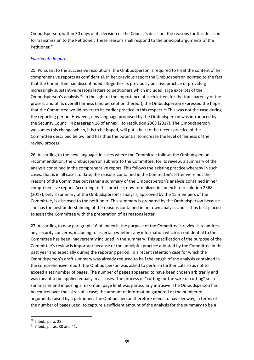Ombudsperson, within 30 days of its decision or the Council's decision, the reasons for this decision for transmission to the Petitioner. These reasons shall respond to the principal arguments of the Petitioner."

#### *[Fourteenth Report](https://undocs.org/S/2017/685)*

25. Pursuant to the successive resolutions, the Ombudsperson is required to treat the content of her comprehensive reports as confidential. In her previous report the Ombudsperson pointed to the fact that the Committee had discontinued altogether its previously positive practice of providing increasingly substantive reasons letters to petitioners which included large excerpts of the Ombudsperson's analysis.<sup>[90](#page-64-0)</sup> In the light of the importance of such letters for the transparency of the process and of its overall fairness (and perception thereof), the Ombudsperson expressed the hope that the Committee would revert to its earlier practice in this respect.<sup>[91](#page-64-1)</sup> This was not the case during the reporting period. However, new language proposed by the Ombudsperson was introduced by the Security Council in paragraph 16 of annex II to resolution 2368 (2017). The Ombudsperson welcomes this change which, it is to be hoped, will put a halt to the recent practice of the Committee described below, and has thus the potential to increase the level of fairness of the review process.

26. According to the new language, in cases where the Committee follows the Ombudsperson's recommendation, the Ombudsperson submits to the Committee, for its review, a summary of the analysis contained in the comprehensive report. This follows the existing practice whereby in such cases, that is in all cases to date, the reasons contained in the Committee's letter were not the reasons of the Committee but rather a summary of the Ombudsperson's analysis contained in her comprehensive report. According to this practice, now formalized in annex II to resolution 2368 (2017), only a summary of the Ombudsperson's analysis, approved by the 15 members of the Committee, is disclosed to the petitioner. This summary is prepared by the Ombudsperson because she has the best understanding of the reasons contained in her own analysis and is thus best placed to assist the Committee with the preparation of its reasons letter.

27. According to new paragraph 16 of annex II, the purpose of the Committee's review is to address any security concerns, including to ascertain whether any information which is confidential to the Committee has been inadvertently included in the summary. This specification of the purpose of the Committee's review is important because of the unhelpful practice adopted by the Committee in the past year and especially during the reporting period. In a recent retention case for which the Ombudsperson's draft summary was already reduced to half the length of the analysis contained in the comprehensive report, the Ombudsperson was asked to perform further cuts so as not to exceed a set number of pages. The number of pages appeared to have been chosen arbitrarily and was meant to be applied equally in all cases. The process of "cutting for the sake of cutting" such summaries and imposing a maximum page limit was particularly intrusive. The Ombudsperson has no control over the "size" of a case, the amount of information gathered or the number of arguments raised by a petitioner. The Ombudsperson therefore needs to have leeway, in terms of the number of pages used, to capture a sufficient amount of the analysis for the summary to be a

<span id="page-64-0"></span><sup>90</sup> 6 Ibid., para. 28.

<span id="page-64-1"></span> $91$  7 Ibid., paras. 30 and 41.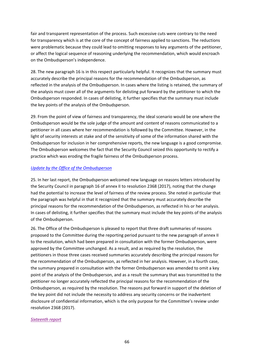fair and transparent representation of the process. Such excessive cuts were contrary to the need for transparency which is at the core of the concept of fairness applied to sanctions. The reductions were problematic because they could lead to omitting responses to key arguments of the petitioner, or affect the logical sequence of reasoning underlying the recommendation, which would encroach on the Ombudsperson's independence.

28. The new paragraph 16 is in this respect particularly helpful. It recognizes that the summary must accurately describe the principal reasons for the recommendation of the Ombudsperson, as reflected in the analysis of the Ombudsperson. In cases where the listing is retained, the summary of the analysis must cover all of the arguments for delisting put forward by the petitioner to which the Ombudsperson responded. In cases of delisting, it further specifies that the summary must include the key points of the analysis of the Ombudsperson.

29. From the point of view of fairness and transparency, the ideal scenario would be one where the Ombudsperson would be the sole judge of the amount and content of reasons communicated to a petitioner in all cases where her recommendation is followed by the Committee. However, in the light of security interests at stake and of the sensitivity of some of the information shared with the Ombudsperson for inclusion in her comprehensive reports, the new language is a good compromise. The Ombudsperson welcomes the fact that the Security Council seized this opportunity to rectify a practice which was eroding the fragile fairness of the Ombudsperson process.

#### *[Update by the Office](https://undocs.org/S/2018/120) of the Ombudsperson*

25. In her last report, the Ombudsperson welcomed new language on reasons letters introduced by the Security Council in paragraph 16 of annex II to resolution 2368 (2017), noting that the change had the potential to increase the level of fairness of the review process. She noted in particular that the paragraph was helpful in that it recognized that the summary must accurately describe the principal reasons for the recommendation of the Ombudsperson, as reflected in his or her analysis. In cases of delisting, it further specifies that the summary must include the key points of the analysis of the Ombudsperson.

26. The Office of the Ombudsperson is pleased to report that three draft summaries of reasons proposed to the Committee during the reporting period pursuant to the new paragraph of annex II to the resolution, which had been prepared in consultation with the former Ombudsperson, were approved by the Committee unchanged. As a result, and as required by the resolution, the petitioners in those three cases received summaries accurately describing the principal reasons for the recommendation of the Ombudsperson, as reflected in her analysis. However, in a fourth case, the summary prepared in consultation with the former Ombudsperson was amended to omit a key point of the analysis of the Ombudsperson, and as a result the summary that was transmitted to the petitioner no longer accurately reflected the principal reasons for the recommendation of the Ombudsperson, as required by the resolution. The reasons put forward in support of the deletion of the key point did not include the necessity to address any security concerns or the inadvertent disclosure of confidential information, which is the only purpose for the Committee's review under resolution 2368 (2017).

#### *[Sixteenth](https://undocs.org/en/S/2019/112) report*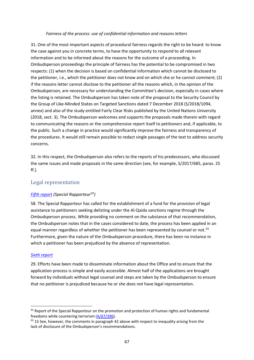#### *Fairness of the process: use of confidential information and reasons letters*

31. One of the most important aspects of procedural fairness regards the right to be heard: to know the case against you in concrete terms, to have the opportunity to respond to all relevant information and to be informed about the reasons for the outcome of a proceeding. In Ombudsperson proceedings the principle of fairness has the potential to be compromised in two respects: (1) when the decision is based on confidential information which cannot be disclosed to the petitioner, i.e., which the petitioner does not know and on which she or he cannot comment; (2) if the reasons letter cannot disclose to the petitioner all the reasons which, in the opinion of the Ombudsperson, are necessary for understanding the Committee's decision, especially in cases where the listing is retained. The Ombudsperson has taken note of the proposal to the Security Council by the Group of Like-Minded States on Targeted Sanctions dated 7 December 2018 (S/2018/1094, annex) and also of the study entitled Fairly Clear Risks published by the United Nations University (2018, sect. 3). The Ombudsperson welcomes and supports the proposals made therein with regard to communicating the reasons or the comprehensive report itself to petitioners and, if applicable, to the public. Such a change in practice would significantly improve the fairness and transparency of the procedures. It would still remain possible to redact single passages of the text to address security concerns.

32. In this respect, the Ombudsperson also refers to the reports of his predecessors, who discussed the same issues and made proposals in the same direction (see, for example, S/2017/685, paras. 25 ff.).

# Legal representation

## *[Fifth report](https://undocs.org/S/2013/71) (Special Rapporteur[92](#page-66-0))*

58. The Special Rapporteur has called for the establishment of a fund for the provision of legal assistance to petitioners seeking delisting under the Al-Qaida sanctions regime through the Ombudsperson process. While providing no comment on the substance of that recommendation, the Ombudsperson notes that in the cases considered to date, the process has been applied in an equal manner regardless of whether the petitioner has been represented by counsel or not.<sup>[93](#page-66-1)</sup> Furthermore, given the nature of the Ombudsperson procedure, there has been no instance in which a petitioner has been prejudiced by the absence of representation.

## *[Sixth report](https://undocs.org/S/2013/452)*

29. Efforts have been made to disseminate information about the Office and to ensure that the application process is simple and easily accessible. Almost half of the applications are brought forward by individuals without legal counsel and steps are taken by the Ombudsperson to ensure that no petitioner is prejudiced because he or she does not have legal representation.

<span id="page-66-0"></span><sup>92</sup> Report of the Special Rapporteur on the promotion and protection of human rights and fundamental freedoms while countering terrorism [\(A/67/396\)](https://undocs.org/A/67/396).

<span id="page-66-1"></span> $93$  15 See, however, the comments in paragraph 42 above with respect to inequality arising from the lack of disclosure of the Ombudsperson's recommendations.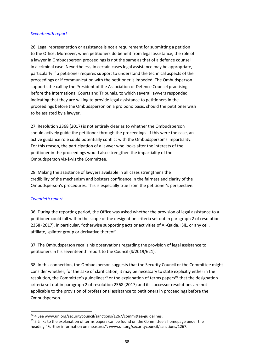#### *Seventeenth report*

26. Legal representation or assistance is not a requirement for submitting a petition to the Office. Moreover, when petitioners do benefit from legal assistance, the role of a lawyer in Ombudsperson proceedings is not the same as that of a defence counsel in a criminal case. Nevertheless, in certain cases legal assistance may be appropriate, particularly if a petitioner requires support to understand the technical aspects of the proceedings or if communication with the petitioner is impeded. The Ombudsperson supports the call by the President of the Association of Defence Counsel practising before the International Courts and Tribunals, to which several lawyers responded indicating that they are willing to provide legal assistance to petitioners in the proceedings before the Ombudsperson on a pro bono basis, should the petitioner wish to be assisted by a lawyer.

27. Resolution 2368 (2017) is not entirely clear as to whether the Ombudsperson should actively guide the petitioner through the proceedings. If this were the case, an active guidance role could potentially conflict with the Ombudsperson's impartiality. For this reason, the participation of a lawyer who looks after the interests of the petitioner in the proceedings would also strengthen the impartiality of the Ombudsperson vis-à-vis the Committee.

28. Making the assistance of lawyers available in all cases strengthens the credibility of the mechanism and bolsters confidence in the fairness and clarity of the Ombudsperson's procedures. This is especially true from the petitioner's perspective.

## *Twentieth report*

36. During the reporting period, the Office was asked whether the provision of legal assistance to a petitioner could fall within the scope of the designation criteria set out in paragraph 2 of resolution 2368 (2017), in particular, "otherwise supporting acts or activities of Al-Qaida, ISIL, or any cell, affiliate, splinter group or derivative thereof".

37. The Ombudsperson recalls his observations regarding the provision of legal assistance to petitioners in his seventeenth report to the Council (S/2019/621).

38. In this connection, the Ombudsperson suggests that the Security Council or the Committee might consider whether, for the sake of clarification, it may be necessary to state explicitly either in the resolution, the Committee's guidelines<sup>[94](#page-67-0)</sup> or the explanation of terms papers<sup>[95](#page-67-1)</sup> that the designation criteria set out in paragraph 2 of resolution 2368 (2017) and its successor resolutions are not applicable to the provision of professional assistance to petitioners in proceedings before the Ombudsperson.

<span id="page-67-0"></span><sup>94 4</sup> See www.un.org/securitycouncil/sanctions/1267/committee-guidelines.

<span id="page-67-1"></span><sup>&</sup>lt;sup>95</sup> 5 Links to the explanation of terms papers can be found on the Committee's homepage under the heading "Further information on measures": www.un.org/securitycouncil/sanctions/1267.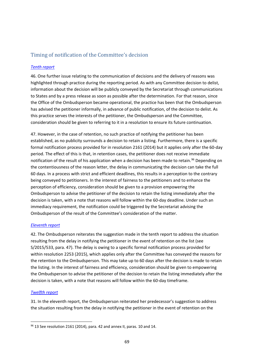# Timing of notification of the Committee's decision

## *[Tenth report](https://undocs.org/S/2015/533)*

46. One further issue relating to the communication of decisions and the delivery of reasons was highlighted through practice during the reporting period. As with any Committee decision to delist, information about the decision will be publicly conveyed by the Secretariat through communications to States and by a press release as soon as possible after the determination. For that reason, since the Office of the Ombudsperson became operational, the practice has been that the Ombudsperson has advised the petitioner informally, in advance of public notification, of the decision to delist. As this practice serves the interests of the petitioner, the Ombudsperson and the Committee, consideration should be given to referring to it in a resolution to ensure its future continuation.

47. However, in the case of retention, no such practice of notifying the petitioner has been established, as no publicity surrounds a decision to retain a listing. Furthermore, there is a specific formal notification process provided for in resolution 2161 (2014) but it applies only after the 60-day period. The effect of this is that, in retention cases, the petitioner does not receive immediate notification of the result of his application when a decision has been made to retain.<sup>[96](#page-68-0)</sup> Depending on the contentiousness of the reason letter, the delay in communicating the decision can take the full 60 days. In a process with strict and efficient deadlines, this results in a perception to the contrary being conveyed to petitioners. In the interest of fairness to the petitioners and to enhance the perception of efficiency, consideration should be given to a provision empowering the Ombudsperson to advise the petitioner of the decision to retain the listing immediately after the decision is taken, with a note that reasons will follow within the 60-day deadline. Under such an immediacy requirement, the notification could be triggered by the Secretariat advising the Ombudsperson of the result of the Committee's consideration of the matter.

## *[Eleventh report](https://undocs.org/S/2016/96)*

42. The Ombudsperson reiterates the suggestion made in the tenth report to address the situation resulting from the delay in notifying the petitioner in the event of retention on the list (see S/2015/533, para. 47). The delay is owing to a specific formal notification process provided for within resolution 2253 (2015), which applies only after the Committee has conveyed the reasons for the retention to the Ombudsperson. This may take up to 60 days after the decision is made to retain the listing. In the interest of fairness and efficiency, consideration should be given to empowering the Ombudsperson to advise the petitioner of the decision to retain the listing immediately after the decision is taken, with a note that reasons will follow within the 60-day timeframe.

## *[Twelfth report](https://undocs.org/S/2016/671)*

31. In the eleventh report, the Ombudsperson reiterated her predecessor's suggestion to address the situation resulting from the delay in notifying the petitioner in the event of retention on the

<span id="page-68-0"></span> $96$  13 See resolution 2161 (2014), para. 42 and annex II, paras. 10 and 14.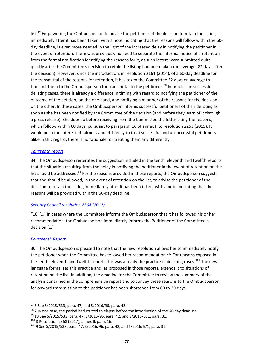list. $97$  Empowering the Ombudsperson to advise the petitioner of the decision to retain the listing immediately after it has been taken, with a note indicating that the reasons will follow within the 60 day deadline, is even more needed in the light of the increased delay in notifying the petitioner in the event of retention. There was previously no need to separate the informal notice of a retention from the formal notification identifying the reasons for it, as such letters were submitted quite quickly after the Committee's decision to retain the listing had been taken (on average, 22 days after the decision). However, since the introduction, in resolution 2161 (2014), of a 60-day deadline for the transmittal of the reasons for retention, it has taken the Committee 52 days on average to transmit them to the Ombudsperson for transmittal to the petitioner.<sup>[98](#page-69-1)</sup> In practice in successful delisting cases, there is already a difference in timing with regard to notifying the petitioner of the outcome of the petition, on the one hand, and notifying him or her of the reasons for the decision, on the other. In these cases, the Ombudsperson informs successful petitioners of their delisting as soon as she has been notified by the Committee of the decision (and before they learn of it through a press release). She does so before receiving from the Committee the letter citing the reasons, which follows within 60 days, pursuant to paragraph 16 of annex II to resolution 2253 (2015). It would be in the interest of fairness and efficiency to treat successful and unsuccessful petitioners alike in this regard; there is no rationale for treating them any differently.

#### *[Thirteenth report](https://undocs.org/S/2017/60)*

34. The Ombudsperson reiterates the suggestion included in the tenth, eleventh and twelfth reports that the situation resulting from the delay in notifying the petitioner in the event of retention on the list should be addressed.<sup>[99](#page-69-2)</sup> For the reasons provided in those reports, the Ombudsperson suggests that she should be allowed, in the event of retention on the list, to advise the petitioner of the decision to retain the listing immediately after it has been taken, with a note indicating that the reasons will be provided within the 60-day deadline.

## *[Security Council resolution 2368 \(2017\)](https://undocs.org/S/RES/2368(2017))*

"16. […] In cases where the Committee informs the Ombudsperson that it has followed his or her recommendation, the Ombudsperson immediately informs the Petitioner of the Committee's decision […]

## *[Fourteenth Report](https://undocs.org/S/2017/685)*

30. The Ombudsperson is pleased to note that the new resolution allows her to immediately notify the petitioner when the Committee has followed her recommendation.<sup>[100](#page-69-3)</sup> For reasons exposed in the tenth, eleventh and twelfth reports this was already the practice in delisting cases.<sup>[101](#page-69-4)</sup> The new language formalizes this practice and, as proposed in those reports, extends it to situations of retention on the list. In addition, the deadline for the Committee to review the summary of the analysis contained in the comprehensive report and to convey these reasons to the Ombudsperson for onward transmission to the petitioner has been shortened from 60 to 30 days.

<span id="page-69-0"></span><sup>97</sup> 6 See S/2015/533, para. 47, and S/2016/96, para. 42.

<span id="page-69-1"></span><sup>98 7</sup> In one case, the period had started to elapse before the introduction of the 60-day deadline.

<span id="page-69-2"></span><sup>99 13</sup> See S/2015/533, para. 47, S/2016/96, para. 42, and S/2016/671, para. 31.

<span id="page-69-3"></span><sup>100</sup> 8 Resolution 2368 (2017), annex II, para. 16.

<span id="page-69-4"></span><sup>101</sup> 9 See S/2015/533, para. 47, S/2016/96, para. 42, and S/2016/671, para. 31.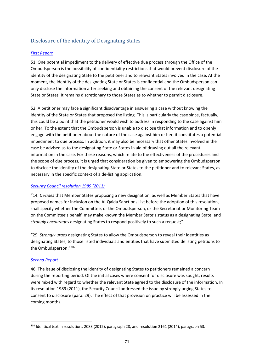# Disclosure of the identity of Designating States

## *[First Report](http://undocs.org/S/2011/29)*

51. One potential impediment to the delivery of effective due process through the Office of the Ombudsperson is the possibility of confidentiality restrictions that would prevent disclosure of the identity of the designating State to the petitioner and to relevant States involved in the case. At the moment, the identity of the designating State or States is confidential and the Ombudsperson can only disclose the information after seeking and obtaining the consent of the relevant designating State or States. It remains discretionary to those States as to whether to permit disclosure.

52. A petitioner may face a significant disadvantage in answering a case without knowing the identity of the State or States that proposed the listing. This is particularly the case since, factually, this could be a point that the petitioner would wish to address in responding to the case against him or her. To the extent that the Ombudsperson is unable to disclose that information and to openly engage with the petitioner about the nature of the case against him or her, it constitutes a potential impediment to due process. In addition, it may also be necessary that other States involved in the case be advised as to the designating State or States in aid of drawing out all the relevant information in the case. For these reasons, which relate to the effectiveness of the procedures and the scope of due process, it is urged that consideration be given to empowering the Ombudsperson to disclose the identity of the designating State or States to the petitioner and to relevant States, as necessary in the specific context of a de-listing application.

## *[Security Council resolution 1989 \(2011\)](https://undocs.org/S/RES/1989(2011))*

"14. *Decides* that Member States proposing a new designation, as well as Member States that have proposed names for inclusion on the Al-Qaida Sanctions List before the adoption of this resolution, shall specify whether the Committee, or the Ombudsperson, or the Secretariat or Monitoring Team on the Committee's behalf, may make known the Member State's status as a designating State; and *strongly encourages* designating States to respond positively to such a request;"

"29. *Strongly urges* designating States to allow the Ombudsperson to reveal their identities as designating States, to those listed individuals and entities that have submitted delisting petitions to the Ombudsperson;"<sup>[102](#page-70-0)</sup>

## *[Second Report](https://undocs.org/S/2011/447)*

46. The issue of disclosing the identity of designating States to petitioners remained a concern during the reporting period. Of the initial cases where consent for disclosure was sought, results were mixed with regard to whether the relevant State agreed to the disclosure of the information. In its resolution 1989 (2011), the Security Council addressed the issue by strongly urging States to consent to disclosure (para. 29). The effect of that provision on practice will be assessed in the coming months.

<span id="page-70-0"></span><sup>102</sup> Identical text in resolutions 2083 (2012), paragraph 28, and resolution 2161 (2014), paragraph 53.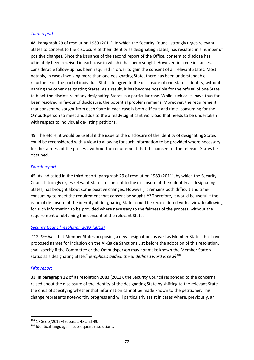#### *[Third report](https://undocs.org/S/2012/49)*

48. Paragraph 29 of resolution 1989 (2011), in which the Security Council strongly urges relevant States to consent to the disclosure of their identity as designating States, has resulted in a number of positive changes. Since the issuance of the second report of the Office, consent to disclose has ultimately been received in each case in which it has been sought. However, in some instances, considerable follow-up has been required in order to gain the consent of all relevant States. Most notably, in cases involving more than one designating State, there has been understandable reluctance on the part of individual States to agree to the disclosure of one State's identity, without naming the other designating States. As a result, it has become possible for the refusal of one State to block the disclosure of any designating States in a particular case. While such cases have thus far been resolved in favour of disclosure, the potential problem remains. Moreover, the requirement that consent be sought from each State in each case is both difficult and time- consuming for the Ombudsperson to meet and adds to the already significant workload that needs to be undertaken with respect to individual de-listing petitions.

49. Therefore, it would be useful if the issue of the disclosure of the identity of designating States could be reconsidered with a view to allowing for such information to be provided where necessary for the fairness of the process, without the requirement that the consent of the relevant States be obtained.

#### *[Fourth report](https://undocs.org/S/2012/590)*

45. As indicated in the third report, paragraph 29 of resolution 1989 (2011), by which the Security Council strongly urges relevant States to consent to the disclosure of their identity as designating States, has brought about some positive changes. However, it remains both difficult and time-consuming to meet the requirement that consent be sought.<sup>[103](#page-71-0)</sup> Therefore, it would be useful if the issue of disclosure of the identity of designating States could be reconsidered with a view to allowing for such information to be provided where necessary to the fairness of the process, without the requirement of obtaining the consent of the relevant States.

## *[Security Council resolution 2083 \(2012\)](https://undocs.org/S/RES/2083(2012))*

"12. *Decides* that Member States proposing a new designation, as well as Member States that have proposed names for inclusion on the Al-Qaida Sanctions List before the adoption of this resolution, shall specify if the Committee or the Ombudsperson may *not* make known the Member State's status as a designating State;" *[emphasis added, the underlined word is new] [104](#page-71-1)*

#### *[Fifth report](https://undocs.org/S/2013/71)*

31. In paragraph 12 of its resolution 2083 (2012), the Security Council responded to the concerns raised about the disclosure of the identity of the designating State by shifting to the relevant State the onus of specifying whether that information cannot be made known to the petitioner. This change represents noteworthy progress and will particularly assist in cases where, previously, an

<span id="page-71-0"></span><sup>103</sup> 17 See S/2012/49, paras. 48 and 49.

<span id="page-71-1"></span><sup>&</sup>lt;sup>104</sup> Identical language in subsequent resolutions.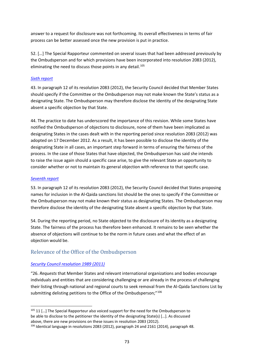answer to a request for disclosure was not forthcoming. Its overall effectiveness in terms of fair process can be better assessed once the new provision is put in practice.

52. […] The Special Rapporteur commented on several issues that had been addressed previously by the Ombudsperson and for which provisions have been incorporated into resolution 2083 (2012), eliminating the need to discuss those points in any detail.<sup>[105](#page-72-0)</sup>

#### *[Sixth report](https://undocs.org/S/2013/452)*

43. In paragraph 12 of its resolution 2083 (2012), the Security Council decided that Member States should specify if the Committee or the Ombudsperson may not make known the State's status as a designating State. The Ombudsperson may therefore disclose the identity of the designating State absent a specific objection by that State.

44. The practice to date has underscored the importance of this revision. While some States have notified the Ombudsperson of objections to disclosure, none of them have been implicated as designating States in the cases dealt with in the reporting period since resolution 2083 (2012) was adopted on 17 December 2012. As a result, it has been possible to disclose the identity of the designating State in all cases, an important step forward in terms of ensuring the fairness of the process. In the case of those States that have objected, the Ombudsperson has said she intends to raise the issue again should a specific case arise, to give the relevant State an opportunity to consider whether or not to maintain its general objection with reference to that specific case.

#### *[Seventh report](https://undocs.org/S/2014/73)*

53. In paragraph 12 of its resolution 2083 (2012), the Security Council decided that States proposing names for inclusion in the Al-Qaida sanctions list should be the ones to specify if the Committee or the Ombudsperson may not make known their status as designating States. The Ombudsperson may therefore disclose the identity of the designating State absent a specific objection by that State.

54. During the reporting period, no State objected to the disclosure of its identity as a designating State. The fairness of the process has therefore been enhanced. It remains to be seen whether the absence of objections will continue to be the norm in future cases and what the effect of an objection would be.

# Relevance of the Office of the Ombudsperson

#### *[Security Council resolution 1989 \(2011\)](https://undocs.org/S/RES/1989(2011))*

"26. *Requests* that Member States and relevant international organizations and bodies encourage individuals and entities that are considering challenging or are already in the process of challenging their listing through national and regional courts to seek removal from the Al-Qaida Sanctions List by submitting delisting petitions to the Office of the Ombudsperson;"<sup>[106](#page-72-1)</sup>

<span id="page-72-0"></span> $105$  11 [...] The Special Rapporteur also voiced support for the need for the Ombudsperson to be able to disclose to the petitioner the identity of the designating State(s) […]. As discussed above, there are new provisions on these issues in resolution 2083 (2012).

<span id="page-72-1"></span><sup>106</sup> Identical language in resolutions 2083 (2012), paragraph 24 and 2161 (2014), paragraph 48.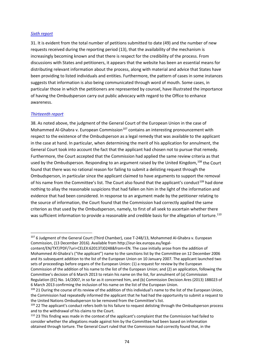#### *[Sixth report](https://undocs.org/S/2013/452)*

31. It is evident from the total number of petitions submitted to date (49) and the number of new requests received during the reporting period (13), that the availability of the mechanism is increasingly becoming known and that there is respect for the credibility of the process. From discussions with States and petitioners, it appears that the website has been an essential means for distributing relevant information about the process, along with material and advice that States have been providing to listed individuals and entities. Furthermore, the pattern of cases in some instances suggests that information is also being communicated through word of mouth. Some cases, in particular those in which the petitioners are represented by counsel, have illustrated the importance of having the Ombudsperson carry out public advocacy with regard to the Office to enhance awareness.

#### *[Thirteenth report](https://undocs.org/S/2017/60)*

38. As noted above, the judgment of the General Court of the European Union in the case of Mohammed Al-Ghabra v. European Commission<sup>[107](#page-73-0)</sup> contains an interesting pronouncement with respect to the existence of the Ombudsperson as a legal remedy that was available to the applicant in the case at hand. In particular, when determining the merit of his application for annulment, the General Court took into account the fact that the applicant had chosen not to pursue that remedy. Furthermore, the Court accepted that the Commission had applied the same review criteria as that used by the Ombudsperson. Responding to an argument raised by the United Kingdom, [108](#page-73-1) the Court found that there was no rational reason for failing to submit a delisting request through the Ombudsperson, in particular since the applicant claimed to have arguments to support the removal of his name from the Committee's list. The Court also found that the applicant's conduct<sup>[109](#page-73-2)</sup> had done nothing to allay the reasonable suspicions that had fallen on him in the light of the information and evidence that had been considered. In response to an argument made by the petitioner relating to the source of information, the Court found that the Commission had correctly applied the same criterion as that used by the Ombudsperson, namely, to first of all seek to ascertain whether there was sufficient information to provide a reasonable and credible basis for the allegation of torture.<sup>[110](#page-73-3)</sup>

<span id="page-73-0"></span><sup>&</sup>lt;sup>107</sup> 6 Judgment of the General Court (Third Chamber), case T-248/13, Mohammed Al-Ghabra v. European Commission, (13 December 2016). Available from http://eur-lex.europa.eu/legal-

content/EN/TXT/PDF/?uri=CELEX:62013TJ0248&from=EN. The case initially arose from the addition of Mohammed Al-Ghabra's ("the applicant") name to the sanctions list by the Committee on 12 December 2006 and its subsequent addition to the list of the European Union on 10 January 2007. The applicant launched two sets of proceedings before organs of the European Union: (1) a request for review by the European Commission of the addition of his name to the list of the European Union; and (2) an application, following the Committee's decision of 6 March 2013 to retain his name on the list, for annulment of (a) Commission Regulation (EC) No. 14/2007, in so far as it concerned him, and (b) Commission Decision Ares (2013) 188023 of 6 March 2013 confirming the inclusion of his name on the list of the European Union.

<span id="page-73-1"></span><sup>&</sup>lt;sup>108</sup> 21 During the course of its review of the addition of this individual's name to the list of the European Union, the Commission had repeatedly informed the applicant that he had had the opportunity to submit a request to the United Nations Ombudsperson to be removed from the Committee's list.

<span id="page-73-2"></span><sup>109 22</sup> The applicant's conduct refers both to his failure to request delisting through the Ombudsperson process and to the withdrawal of his claims to the Court.

<span id="page-73-3"></span><sup>110</sup> 23 This finding was made in the context of the applicant's complaint that the Commission had failed to consider whether the allegations made against him by the Committee had been based on information obtained through torture. The General Court ruled that the Commission had correctly found that, in the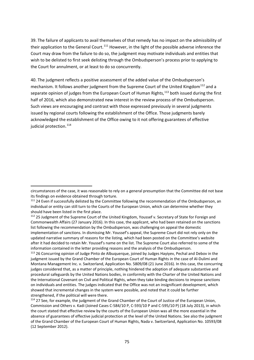39. The failure of applicants to avail themselves of that remedy has no impact on the admissibility of their application to the General Court.<sup>[111](#page-74-0)</sup> However, in the light of the possible adverse inference the Court may draw from the failure to do so, the judgment may motivate individuals and entities that wish to be delisted to first seek delisting through the Ombudsperson's process prior to applying to the Court for annulment, or at least to do so concurrently.

40. The judgment reflects a positive assessment of the added value of the Ombudsperson's mechanism. It follows another judgment from the Supreme Court of the United Kingdom<sup>[112](#page-74-1)</sup> and a separate opinion of judges from the European Court of Human Rights,<sup>[113](#page-74-2)</sup> both issued during the first half of 2016, which also demonstrated new interest in the review process of the Ombudsperson. Such views are encouraging and contrast with those expressed previously in several judgments issued by regional courts following the establishment of the Office. Those judgments barely acknowledged the establishment of the Office owing to it not offering guarantees of effective judicial protection.<sup>[114](#page-74-3)</sup>

circumstances of the case, it was reasonable to rely on a general presumption that the Committee did not base its findings on evidence obtained through torture.

<span id="page-74-0"></span><sup>&</sup>lt;sup>111</sup> 24 Even if successfully delisted by the Committee following the recommendation of the Ombudsperson, an individual or entity can still turn to the Courts of the European Union, which can determine whether they should have been listed in the first place.

<span id="page-74-1"></span><sup>&</sup>lt;sup>112</sup> 25 Judgment of the Supreme Court of the United Kingdom, Youssef v. Secretary of State for Foreign and Commonwealth Affairs (27 January 2016). In this case, the applicant, who had been retained on the sanctions list following the recommendation by the Ombudsperson, was challenging on appeal the domestic implementation of sanctions. In dismissing Mr. Youssef's appeal, the Supreme Court did not rely only on the updated narrative summary of reasons for the listing, which had been posted on the Committee's website after it had decided to retain Mr. Youssef's name on the list. The Supreme Court also referred to some of the information contained in the letter providing reasons and the analysis of the Ombudsperson.

<span id="page-74-2"></span><sup>&</sup>lt;sup>113</sup> 26 Concurring opinion of Judge Pinto de Albuquerque, joined by Judges Hayiyev, Pechal and Debov in the judgment issued by the Grand Chamber of the European Court of Human Rights in the case of Al-Dulimi and Montana Management Inc. v. Switzerland, Application No. 5809/08 (21 June 2016). In this case, the concurring judges considered that, as a matter of principle, nothing hindered the adoption of adequate substantive and procedural safeguards by the United Nations bodies, in conformity with the Charter of the United Nations and the International Covenant on Civil and Political Rights, when they take binding decisions to impose sanctions on individuals and entities. The judges indicated that the Office was not an insignificant development, which showed that incremental changes in the system were possible, and noted that it could be further strengthened, if the political will were there.

<span id="page-74-3"></span><sup>&</sup>lt;sup>114</sup> 27 See, for example, the judgment of the Grand Chamber of the Court of Justice of the European Union, Commission and Others v. Kadi (Joined Cases C-584/10 P, C-593/10 P and C-595/10 P) (18 July 2013), in which the court stated that effective review by the courts of the European Union was all the more essential in the absence of guarantees of effective judicial protection at the level of the United Nations. See also the judgment of the Grand Chamber of the European Court of Human Rights, Nada v. Switzerland, Application No. 10593/08 (12 September 2012).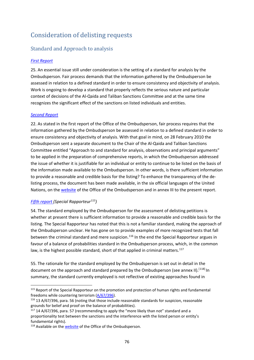# Consideration of delisting requests

# Standard and Approach to analysis

# *[First Report](http://undocs.org/S/2011/29)*

25. An essential issue still under consideration is the setting of a standard for analysis by the Ombudsperson. Fair process demands that the information gathered by the Ombudsperson be assessed in relation to a defined standard in order to ensure consistency and objectivity of analysis. Work is ongoing to develop a standard that properly reflects the serious nature and particular context of decisions of the Al-Qaida and Taliban Sanctions Committee and at the same time recognizes the significant effect of the sanctions on listed individuals and entities.

#### *[Second Report](https://undocs.org/S/2011/447)*

22. As stated in the first report of the Office of the Ombudsperson, fair process requires that the information gathered by the Ombudsperson be assessed in relation to a defined standard in order to ensure consistency and objectivity of analysis. With that goal in mind, on 28 February 2010 the Ombudsperson sent a separate document to the Chair of the Al-Qaida and Taliban Sanctions Committee entitled "Approach to and standard for analysis, observations and principal arguments" to be applied in the preparation of comprehensive reports, in which the Ombudsperson addressed the issue of whether it is justifiable for an individual or entity to continue to be listed on the basis of the information made available to the Ombudsperson. In other words, is there sufficient information to provide a reasonable and credible basis for the listing? To enhance the transparency of the delisting process, the document has been made available, in the six official languages of the United Nations, on the [website](https://www.un.org/securitycouncil/ombudsperson) of the Office of the Ombudsperson and in annex III to the present report.

# *[Fifth report](https://undocs.org/S/2013/71) (Special Rapporteur[115\)](#page-75-0)*

54. The standard employed by the Ombudsperson for the assessment of delisting petitions is whether at present there is sufficient information to provide a reasonable and credible basis for the listing. The Special Rapporteur has noted that this is not a familiar standard, making the approach of the Ombudsperson unclear. He has gone on to provide examples of more recognized tests that fall between the criminal standard and mere suspicion.<sup>[116](#page-75-1)</sup> In the end the Special Rapporteur argues in favour of a balance of probabilities standard in the Ombudsperson process, which, in the common law, is the highest possible standard, short of that applied in criminal matters.<sup>[117](#page-75-2)</sup>

55. The rationale for the standard employed by the Ombudsperson is set out in detail in the document on the approach and standard prepared by the Ombudsperson (see annex II).<sup>[[118\]](#page-75-3)</sup> In summary, the standard currently employed is not reflective of existing approaches found in

<span id="page-75-0"></span><sup>&</sup>lt;sup>115</sup> Report of the Special Rapporteur on the promotion and protection of human rights and fundamental freedoms while countering terrorism [\(A/67/396\)](https://undocs.org/A/67/396).

<span id="page-75-1"></span><sup>116</sup> 13 A/67/396, para. 56 (noting that those include reasonable standards for suspicion, reasonable grounds for belief and proof on the balance of probabilities).

<span id="page-75-2"></span> $117$  14 A/67/396, para. 57 (recommending to apply the "more likely than not" standard and a proportionality test between the sanctions and the interference with the listed person or entity's fundamental rights).

<span id="page-75-3"></span><sup>&</sup>lt;sup>118</sup> Available on the [website](https://www.un.org/securitycouncil/ombudsperson/approach-and-standard) of the Office of the Ombudsperson.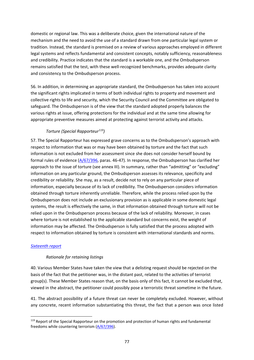domestic or regional law. This was a deliberate choice, given the international nature of the mechanism and the need to avoid the use of a standard drawn from one particular legal system or tradition. Instead, the standard is premised on a review of various approaches employed in different legal systems and reflects fundamental and consistent concepts, notably sufficiency, reasonableness and credibility. Practice indicates that the standard is a workable one, and the Ombudsperson remains satisfied that the test, with these well-recognized benchmarks, provides adequate clarity and consistency to the Ombudsperson process.

56. In addition, in determining an appropriate standard, the Ombudsperson has taken into account the significant rights implicated in terms of both individual rights to property and movement and collective rights to life and security, which the Security Council and the Committee are obligated to safeguard. The Ombudsperson is of the view that the standard adopted properly balances the various rights at issue, offering protections for the individual and at the same time allowing for appropriate preventive measures aimed at protecting against terrorist activity and attacks.

# *Torture (Special Rapporteur[119](#page-76-0))*

57. The Special Rapporteur has expressed grave concerns as to the Ombudsperson's approach with respect to information that was or may have been obtained by torture and the fact that such information is not excluded from her assessment since she does not consider herself bound by formal rules of evidence [\(A/67/396,](https://undocs.org/A/67/396) paras. 46-47). In response, the Ombudsperson has clarified her approach to the issue of torture (see annex III). In summary, rather than "admitting" or "excluding" information on any particular ground, the Ombudsperson assesses its relevance, specificity and credibility or reliability. She may, as a result, decide not to rely on any particular piece of information, especially because of its lack of credibility. The Ombudsperson considers information obtained through torture inherently unreliable. Therefore, while the process relied upon by the Ombudsperson does not include an exclusionary provision as is applicable in some domestic legal systems, the result is effectively the same, in that information obtained through torture will not be relied upon in the Ombudsperson process because of the lack of reliability. Moreover, in cases where torture is not established to the applicable standard but concerns exist, the weight of information may be affected. The Ombudsperson is fully satisfied that the process adopted with respect to information obtained by torture is consistent with international standards and norms.

#### *[Sixteenth](https://undocs.org/en/S/2019/112) report*

#### *Rationale for retaining listings*

40. Various Member States have taken the view that a delisting request should be rejected on the basis of the fact that the petitioner was, in the distant past, related to the activities of terrorist group(s). These Member States reason that, on the basis only of this fact, it cannot be excluded that, viewed in the abstract, the petitioner could possibly pose a terroristic threat sometime in the future.

41. The abstract possibility of a future threat can never be completely excluded. However, without any concrete, recent information substantiating this threat, the fact that a person was once listed

<span id="page-76-0"></span><sup>&</sup>lt;sup>119</sup> Report of the Special Rapporteur on the promotion and protection of human rights and fundamental freedoms while countering terrorism [\(A/67/396\)](https://undocs.org/A/67/396).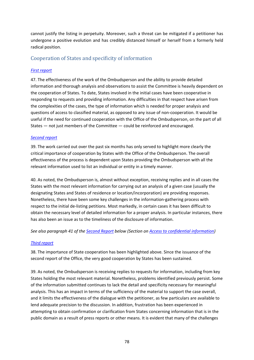cannot justify the listing in perpetuity. Moreover, such a threat can be mitigated if a petitioner has undergone a positive evolution and has credibly distanced himself or herself from a formerly held radical position.

# Cooperation of States and specificity of information

### *[First report](http://undocs.org/S/2011/29)*

47. The effectiveness of the work of the Ombudsperson and the ability to provide detailed information and thorough analysis and observations to assist the Committee is heavily dependent on the cooperation of States. To date, States involved in the initial cases have been cooperative in responding to requests and providing information. Any difficulties in that respect have arisen from the complexities of the cases, the type of information which is needed for proper analysis and questions of access to classified material, as opposed to any issue of non-cooperation. It would be useful if the need for continued cooperation with the Office of the Ombudsperson, on the part of all States — not just members of the Committee — could be reinforced and encouraged.

#### *[Second report](https://undocs.org/S/2011/447)*

39. The work carried out over the past six months has only served to highlight more clearly the critical importance of cooperation by States with the Office of the Ombudsperson. The overall effectiveness of the process is dependent upon States providing the Ombudsperson with all the relevant information used to list an individual or entity in a timely manner.

40. As noted, the Ombudsperson is, almost without exception, receiving replies and in all cases the States with the most relevant information for carrying out an analysis of a given case (usually the designating States and States of residence or location/incorporation) are providing responses. Nonetheless, there have been some key challenges in the information-gathering process with respect to the initial de-listing petitions. Most markedly, in certain cases it has been difficult to obtain the necessary level of detailed information for a proper analysis. In particular instances, there has also been an issue as to the timeliness of the disclosure of information.

*See also paragraph 41 of the [Second Report](https://undocs.org/S/2011/447) below (Section on Access to confidential information)*

#### *[Third report](https://undocs.org/S/2012/49)*

38. The importance of State cooperation has been highlighted above. Since the issuance of the second report of the Office, the very good cooperation by States has been sustained.

39. As noted, the Ombudsperson is receiving replies to requests for information, including from key States holding the most relevant material. Nonetheless, problems identified previously persist. Some of the information submitted continues to lack the detail and specificity necessary for meaningful analysis. This has an impact in terms of the sufficiency of the material to support the case overall, and it limits the effectiveness of the dialogue with the petitioner, as few particulars are available to lend adequate precision to the discussion. In addition, frustration has been experienced in attempting to obtain confirmation or clarification from States concerning information that is in the public domain as a result of press reports or other means. It is evident that many of the challenges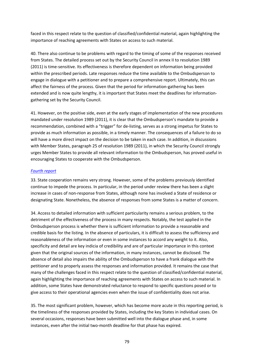faced in this respect relate to the question of classified/confidential material, again highlighting the importance of reaching agreements with States on access to such material.

40. There also continue to be problems with regard to the timing of some of the responses received from States. The detailed process set out by the Security Council in annex II to resolution 1989 (2011) is time-sensitive. Its effectiveness is therefore dependent on information being provided within the prescribed periods. Late responses reduce the time available to the Ombudsperson to engage in dialogue with a petitioner and to prepare a comprehensive report. Ultimately, this can affect the fairness of the process. Given that the period for information-gathering has been extended and is now quite lengthy, it is important that States meet the deadlines for informationgathering set by the Security Council.

41. However, on the positive side, even at the early stages of implementation of the new procedures mandated under resolution 1989 (2011), it is clear that the Ombudsperson's mandate to provide a recommendation, combined with a "trigger" for de-listing, serves as a strong impetus for States to provide as much information as possible, in a timely manner. The consequences of a failure to do so will have a more direct impact on the decision to be taken in each case. In addition, in discussions with Member States, paragraph 25 of resolution 1989 (2011), in which the Security Council strongly urges Member States to provide all relevant information to the Ombudsperson, has proved useful in encouraging States to cooperate with the Ombudsperson.

#### *[Fourth report](https://undocs.org/S/2012/590)*

33. State cooperation remains very strong. However, some of the problems previously identified continue to impede the process. In particular, in the period under review there has been a slight increase in cases of non-response from States, although none has involved a State of residence or designating State. Nonetheless, the absence of responses from some States is a matter of concern.

34. Access to detailed information with sufficient particularity remains a serious problem, to the detriment of the effectiveness of the process in many respects. Notably, the test applied in the Ombudsperson process is whether there is sufficient information to provide a reasonable and credible basis for the listing. In the absence of particulars, it is difficult to assess the sufficiency and reasonableness of the information or even in some instances to accord any weight to it. Also, specificity and detail are key indicia of credibility and are of particular importance in this context given that the original sources of the information, in many instances, cannot be disclosed. The absence of detail also impairs the ability of the Ombudsperson to have a frank dialogue with the petitioner and to properly assess the responses and information provided. It remains the case that many of the challenges faced in this respect relate to the question of classified/confidential material, again highlighting the importance of reaching agreements with States on access to such material. In addition, some States have demonstrated reluctance to respond to specific questions posed or to give access to their operational agencies even when the issue of confidentiality does not arise.

35. The most significant problem, however, which has become more acute in this reporting period, is the timeliness of the responses provided by States, including the key States in individual cases. On several occasions, responses have been submitted well into the dialogue phase and, in some instances, even after the initial two-month deadline for that phase has expired.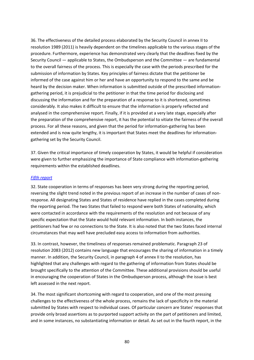36. The effectiveness of the detailed process elaborated by the Security Council in annex II to resolution 1989 (2011) is heavily dependent on the timelines applicable to the various stages of the procedure. Furthermore, experience has demonstrated very clearly that the deadlines fixed by the Security Council — applicable to States, the Ombudsperson and the Committee — are fundamental to the overall fairness of the process. This is especially the case with the periods prescribed for the submission of information by States. Key principles of fairness dictate that the petitioner be informed of the case against him or her and have an opportunity to respond to the same and be heard by the decision maker. When information is submitted outside of the prescribed informationgathering period, it is prejudicial to the petitioner in that the time period for disclosing and discussing the information and for the preparation of a response to it is shortened, sometimes considerably. It also makes it difficult to ensure that the information is properly reflected and analysed in the comprehensive report. Finally, if it is provided at a very late stage, especially after the preparation of the comprehensive report, it has the potential to vitiate the fairness of the overall process. For all these reasons, and given that the period for information-gathering has been extended and is now quite lengthy, it is important that States meet the deadlines for informationgathering set by the Security Council.

37. Given the critical importance of timely cooperation by States, it would be helpful if consideration were given to further emphasizing the importance of State compliance with information-gathering requirements within the established deadlines.

#### *[Fifth report](https://undocs.org/S/2013/71)*

32. State cooperation in terms of responses has been very strong during the reporting period, reversing the slight trend noted in the previous report of an increase in the number of cases of nonresponse. All designating States and States of residence have replied in the cases completed during the reporting period. The two States that failed to respond were both States of nationality, which were contacted in accordance with the requirements of the resolution and not because of any specific expectation that the State would hold relevant information. In both instances, the petitioners had few or no connections to the State. It is also noted that the two States faced internal circumstances that may well have precluded easy access to information from authorities.

33. In contrast, however, the timeliness of responses remained problematic. Paragraph 23 of resolution 2083 (2012) contains new language that encourages the sharing of information in a timely manner. In addition, the Security Council, in paragraph 4 of annex II to the resolution, has highlighted that any challenges with regard to the gathering of information from States should be brought specifically to the attention of the Committee. These additional provisions should be useful in encouraging the cooperation of States in the Ombudsperson process, although the issue is best left assessed in the next report.

34. The most significant shortcoming with regard to cooperation, and one of the most pressing challenges to the effectiveness of the whole process, remains the lack of specificity in the material submitted by States with respect to individual cases. Of particular concern are States' responses that provide only broad assertions as to purported support activity on the part of petitioners and limited, and in some instances, no substantiating information or detail. As set out in the fourth report, in the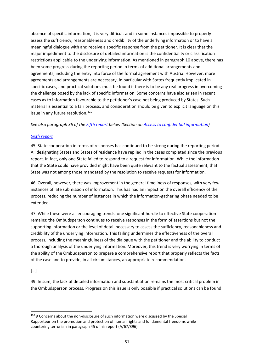absence of specific information, it is very difficult and in some instances impossible to properly assess the sufficiency, reasonableness and credibility of the underlying information or to have a meaningful dialogue with and receive a specific response from the petitioner. It is clear that the major impediment to the disclosure of detailed information is the confidentiality or classification restrictions applicable to the underlying information. As mentioned in paragraph 10 above, there has been some progress during the reporting period in terms of additional arrangements and agreements, including the entry into force of the formal agreement with Austria. However, more agreements and arrangements are necessary, in particular with States frequently implicated in specific cases, and practical solutions must be found if there is to be any real progress in overcoming the challenge posed by the lack of specific information. Some concerns have also arisen in recent cases as to information favourable to the petitioner's case not being produced by States. Such material is essential to a fair process, and consideration should be given to explicit language on this issue in any future resolution.<sup>[120](#page-80-0)</sup>

#### *See also paragraph 35 of the [Fifth report](https://undocs.org/S/2013/71) below (Section on Access to confidential information)*

### *[Sixth report](https://undocs.org/S/2013/452)*

45. State cooperation in terms of responses has continued to be strong during the reporting period. All designating States and States of residence have replied in the cases completed since the previous report. In fact, only one State failed to respond to a request for information. While the information that the State could have provided might have been quite relevant to the factual assessment, that State was not among those mandated by the resolution to receive requests for information.

46. Overall, however, there was improvement in the general timeliness of responses, with very few instances of late submission of information. This has had an impact on the overall efficiency of the process, reducing the number of instances in which the information-gathering phase needed to be extended.

47. While these were all encouraging trends, one significant hurdle to effective State cooperation remains: the Ombudsperson continues to receive responses in the form of assertions but not the supporting information or the level of detail necessary to assess the sufficiency, reasonableness and credibility of the underlying information. This failing undermines the effectiveness of the overall process, including the meaningfulness of the dialogue with the petitioner and the ability to conduct a thorough analysis of the underlying information. Moreover, this trend is very worrying in terms of the ability of the Ombudsperson to prepare a comprehensive report that properly reflects the facts of the case and to provide, in all circumstances, an appropriate recommendation.

#### […]

49. In sum, the lack of detailed information and substantiation remains the most critical problem in the Ombudsperson process. Progress on this issue is only possible if practical solutions can be found

<span id="page-80-0"></span><sup>&</sup>lt;sup>120</sup> 9 Concerns about the non-disclosure of such information were discussed by the Special Rapporteur on the promotion and protection of human rights and fundamental freedoms while countering terrorism in paragraph 45 of his report (A/67/396).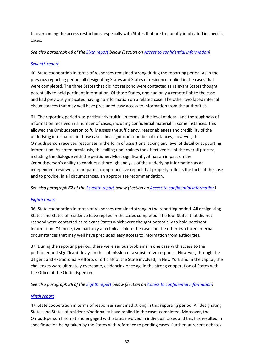to overcoming the access restrictions, especially with States that are frequently implicated in specific cases.

*See also paragraph 48 of the [Sixth report](https://undocs.org/S/2013/452) below (Section on Access to confidential information)*

#### *[Seventh report](https://undocs.org/S/2014/73)*

60. State cooperation in terms of responses remained strong during the reporting period. As in the previous reporting period, all designating States and States of residence replied in the cases that were completed. The three States that did not respond were contacted as relevant States thought potentially to hold pertinent information. Of those States, one had only a remote link to the case and had previously indicated having no information on a related case. The other two faced internal circumstances that may well have precluded easy access to information from the authorities.

61. The reporting period was particularly fruitful in terms of the level of detail and thoroughness of information received in a number of cases, including confidential material in some instances. This allowed the Ombudsperson to fully assess the sufficiency, reasonableness and credibility of the underlying information in those cases. In a significant number of instances, however, the Ombudsperson received responses in the form of assertions lacking any level of detail or supporting information. As noted previously, this failing undermines the effectiveness of the overall process, including the dialogue with the petitioner. Most significantly, it has an impact on the Ombudsperson's ability to conduct a thorough analysis of the underlying information as an independent reviewer, to prepare a comprehensive report that properly reflects the facts of the case and to provide, in all circumstances, an appropriate recommendation.

*See also paragraph 62 of the [Seventh report](https://undocs.org/S/2014/73) below (Section on Access to confidential information)*

#### *[Eighth report](https://undocs.org/S/2014/553)*

36. State cooperation in terms of responses remained strong in the reporting period. All designating States and States of residence have replied in the cases completed. The four States that did not respond were contacted as relevant States which were thought potentially to hold pertinent information. Of those, two had only a technical link to the case and the other two faced internal circumstances that may well have precluded easy access to information from authorities.

37. During the reporting period, there were serious problems in one case with access to the petitioner and significant delays in the submission of a substantive response. However, through the diligent and extraordinary efforts of officials of the State involved, in New York and in the capital, the challenges were ultimately overcome, evidencing once again the strong cooperation of States with the Office of the Ombudsperson.

*See also paragraph 38 of the [Eighth report](https://undocs.org/S/2014/553) below (Section on Access to confidential information)*

#### *[Ninth report](https://undocs.org/S/2015/80)*

47. State cooperation in terms of responses remained strong in this reporting period. All designating States and States of residence/nationality have replied in the cases completed. Moreover, the Ombudsperson has met and engaged with States involved in individual cases and this has resulted in specific action being taken by the States with reference to pending cases. Further, at recent debates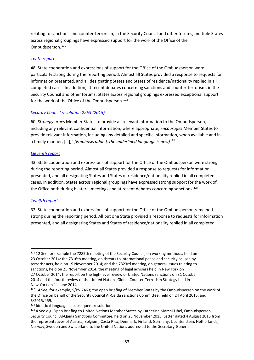relating to sanctions and counter-terrorism, in the Security Council and other forums, multiple States across regional groupings have expressed support for the work of the Office of the Ombudsperson.<sup>[121](#page-82-0)</sup>

#### *[Tenth report](https://undocs.org/S/2015/533)*

48. State cooperation and expressions of support for the Office of the Ombudsperson were particularly strong during the reporting period. Almost all States provided a response to requests for information presented, and all designating States and States of residence/nationality replied in all completed cases. In addition, at recent debates concerning sanctions and counter-terrorism, in the Security Council and other forums, States across regional groupings expressed exceptional support for the work of the Office of the Ombudsperson.<sup>[122](#page-82-1)</sup>

### *[Security Council resolution 2253 \(2015\)](https://undocs.org/S/RES/2253(2015))*

60. *Strongly urges* Member States to provide all relevant information to the Ombudsperson, including any relevant confidential information, where appropriate, *encourages* Member States to provide relevant information, including any detailed and specific information, when available and in a timely manner, […];" *[Emphasis added, the underlined language is new][123](#page-82-2)*

#### *[Eleventh report](https://undocs.org/S/2016/96)*

43. State cooperation and expressions of support for the Office of the Ombudsperson were strong during the reporting period. Almost all States provided a response to requests for information presented, and all designating States and States of residence/nationality replied in all completed cases. In addition, States across regional groupings have expressed strong support for the work of the Office both during bilateral meetings and at recent debates concerning sanctions.<sup>[124](#page-82-3)</sup>

# *[Twelfth report](https://undocs.org/S/2016/671)*

32. State cooperation and expressions of support for the Office of the Ombudsperson remained strong during the reporting period. All but one State provided a response to requests for information presented, and all designating States and States of residence/nationality replied in all completed

<span id="page-82-0"></span><sup>&</sup>lt;sup>121</sup> 12 See for example the 7285th meeting of the Security Council, on working methods, held on 23 October 2014; the 7316th meeting, on threats to international peace and security caused by terrorist acts, held on 19 November 2014; and the 7323rd meeting, on general issues relating to sanctions, held on 25 November 2014; the meeting of legal advisers held in New York on 27 October 2014; the report on the high-level review of United Nations sanctions on 31 October

<sup>2014</sup> and the fourth review of the United Nations Global Counter-Terrorism Strategy held in New York on 11 June 2014.

<span id="page-82-1"></span> $122$  14 See, for example, S/PV.7463; the open briefing of Member States by the Ombudsperson on the work of the Office on behalf of the Security Council Al-Qaida sanctions Committee, held on 24 April 2015; and S/2015/459.

<span id="page-82-2"></span><sup>123</sup> Identical language in subsequent resolution.

<span id="page-82-3"></span><sup>&</sup>lt;sup>124</sup> 4 See e.g. Open Briefing to United Nations Member States by Catherine Marchi-Uhel, Ombudsperson, Security Council Al-Qaida Sanctions Committee, held on 23 November 2015; Letter dated 4 August 2015 from the representatives of Austria, Belgium, Costa Rica, Denmark, Finland, Germany, Liechtenstein, Netherlands, Norway, Sweden and Switzerland to the United Nations addressed to the Secretary-General.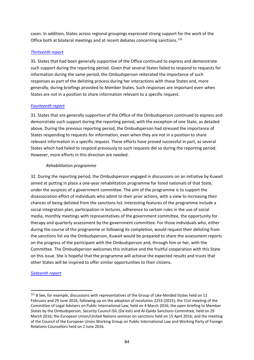cases. In addition, States across regional groupings expressed strong support for the work of the Office both at bilateral meetings and at recent debates concerning sanctions.<sup>[125](#page-83-0)</sup>

#### *[Thirteenth report](https://undocs.org/S/2017/60)*

35. States that had been generally supportive of the Office continued to express and demonstrate such support during the reporting period. Given that several States failed to respond to requests for information during the same period, the Ombudsperson reiterated the importance of such responses as part of the delisting process during her interactions with those States and, more generally, during briefings provided to Member States. Such responses are important even when States are not in a position to share information relevant to a specific request.

#### *[Fourteenth report](https://undocs.org/S/2017/685)*

31. States that are generally supportive of the Office of the Ombudsperson continued to express and demonstrate such support during the reporting period, with the exception of one State, as detailed above. During the previous reporting period, the Ombudsperson had stressed the importance of States responding to requests for information, even when they are not in a position to share relevant information in a specific request. These efforts have proved successful in part, as several States which had failed to respond previously to such requests did so during the reporting period. However, more efforts in this direction are needed.

#### *Rehabilitation programme*

32. During the reporting period, the Ombudsperson engaged in discussions on an initiative by Kuwait aimed at putting in place a one-year rehabilitation programme for listed nationals of that State, under the auspices of a government committee. The aim of the programme is to support the disassociation effort of individuals who admit to their prior actions, with a view to increasing their chances of being delisted from the sanctions list. Interesting features of the programme include a social integration plan, participation in lectures, adherence to certain rules in the use of social media, monthly meetings with representatives of the government committee, the opportunity for therapy and quarterly assessment by the government committee. For those individuals who, either during the course of the programme or following its completion, would request their delisting from the sanctions list via the Ombudsperson, Kuwait would be prepared to share the assessment reports on the progress of the participant with the Ombudsperson and, through him or her, with the Committee. The Ombudsperson welcomes this initiative and the fruitful cooperation with this State on this issue. She is hopeful that the programme will achieve the expected results and trusts that other States will be inspired to offer similar opportunities to their citizens.

#### *Sixteenth report*

<span id="page-83-0"></span> $125$  8 See, for example, discussions with representatives of the Group of Like-Minded States held on 11 February and 29 June 2016, following up on the adoption of resolution 2253 (2015); the 51st meeting of the Committee of Legal Advisers on Public International Law, held on 4 March 2016; the open briefing to Member States by the Ombudsperson, Security Council ISIL (Da'esh) and Al-Qaida Sanctions Committee, held on 29 March 2016; the European Union/United Nations seminar on sanctions held on 15 April 2016; and the meeting of the Council of the European Union Working Group on Public International Law and Working Party of Foreign Relations Counsellors held on 2 June 2016.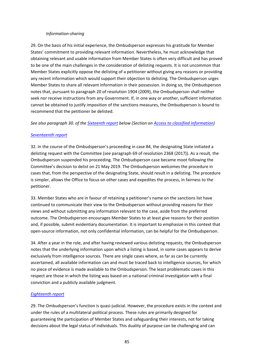#### *Information-sharing*

29. On the basis of his initial experience, the Ombudsperson expresses his gratitude for Member States' commitment to providing relevant information. Nevertheless, he must acknowledge that obtaining relevant and usable information from Member States is often very difficult and has proved to be one of the main challenges in the consideration of delisting requests. It is not uncommon that Member States explicitly oppose the delisting of a petitioner without giving any reasons or providing any recent information which would support their objection to delisting. The Ombudsperson urges Member States to share all relevant information in their possession. In doing so, the Ombudsperson notes that, pursuant to paragraph 20 of resolution 1904 (2009), the Ombudsperson shall neither seek nor receive instructions from any Government. If, in one way or another, sufficient information cannot be obtained to justify imposition of the sanctions measures, the Ombudsperson is bound to recommend that the petitioner be delisted.

*See also paragraph [30.](#page-90-0) of the [Sixteenth](https://undocs.org/en/S/2019/112) report below (Section on Access to classified information)*

#### *Seventeenth report*

32. In the course of the Ombudsperson's proceeding in case 84, the designating State initiated a delisting request with the Committee (see paragraph 69 of resolution 2368 (2017)). As a result, the Ombudsperson suspended his proceeding. The Ombudsperson case became moot following the Committee's decision to delist on 21 May 2019. The Ombudsperson welcomes the procedure in cases that, from the perspective of the designating State, should result in a delisting. The procedure is simpler, allows the Office to focus on other cases and expedites the process, in fairness to the petitioner.

33. Member States who are in favour of retaining a petitioner's name on the sanctions list have continued to communicate their view to the Ombudsperson without providing reasons for their views and without submitting any information relevant to the case, aside from the preferred outcome. The Ombudsperson encourages Member States to at least give reasons for their position and, if possible, submit evidentiary documentation. It is important to emphasize in this context that open-source information, not only confidential information, can be helpful for the Ombudsperson.

34. After a year in the role, and after having reviewed various delisting requests, the Ombudsperson notes that the underlying information upon which a listing is based, in some cases appears to derive exclusively from intelligence sources. There are single cases where, as far as can be currently ascertained, all available information can and must be traced back to intelligence sources, for which no piece of evidence is made available to the Ombudsperson. The least problematic cases in this respect are those in which the listing was based on a national criminal investigation with a final conviction and a publicly available judgment.

#### *Eighteenth report*

29. The Ombudsperson's function is quasi-judicial. However, the procedure exists in the context and under the rules of a multilateral political process. These rules are primarily designed for guaranteeing the participation of Member States and safeguarding their interests, not for taking decisions about the legal status of individuals. This duality of purpose can be challenging and can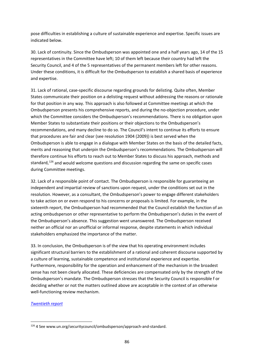pose difficulties in establishing a culture of sustainable experience and expertise. Specific issues are indicated below.

30. Lack of continuity. Since the Ombudsperson was appointed one and a half years ago, 14 of the 15 representatives in the Committee have left; 10 of them left because their country had left the Security Council, and 4 of the 5 representatives of the permanent members left for other reasons. Under these conditions, it is difficult for the Ombudsperson to establish a shared basis of experience and expertise.

31. Lack of rational, case-specific discourse regarding grounds for delisting. Quite often, Member States communicate their position on a delisting request without addressing the reasons or rationale for that position in any way. This approach is also followed at Committee meetings at which the Ombudsperson presents his comprehensive reports, and during the no-objection procedure, under which the Committee considers the Ombudsperson's recommendations. There is no obligation upon Member States to substantiate their positions or their objections to the Ombudsperson's recommendations, and many decline to do so. The Council's intent to continue its efforts to ensure that procedures are fair and clear (see resolution 1904 (2009)) is best served when the Ombudsperson is able to engage in a dialogue with Member States on the basis of the detailed facts, merits and reasoning that underpin the Ombudsperson's recommendations. The Ombudsperson will therefore continue his efforts to reach out to Member States to discuss his approach, methods and standard,  $126$  and would welcome questions and discussion regarding the same on specific cases during Committee meetings.

32. Lack of a responsible point of contact. The Ombudsperson is responsible for guaranteeing an independent and impartial review of sanctions upon request, under the conditions set out in the resolution. However, as a consultant, the Ombudsperson's power to engage different stakeholders to take action on or even respond to his concerns or proposals is limited. For example, in the sixteenth report, the Ombudsperson had recommended that the Council establish the function of an acting ombudsperson or other representative to perform the Ombudsperson's duties in the event of the Ombudsperson's absence. This suggestion went unanswered. The Ombudsperson received neither an official nor an unofficial or informal response, despite statements in which individual stakeholders emphasized the importance of the matter.

33. In conclusion, the Ombudsperson is of the view that his operating environment includes significant structural barriers to the establishment of a rational and coherent discourse supported by a culture of learning, sustainable competence and institutional experience and expertise. Furthermore, responsibility for the operation and enhancement of the mechanism in the broadest sense has not been clearly allocated. These deficiencies are compensated only by the strength of the Ombudsperson's mandate. The Ombudsperson stresses that the Security Council is responsible f or deciding whether or not the matters outlined above are acceptable in the context of an otherwise well-functioning review mechanism.

#### *Twentieth report*

<span id="page-85-0"></span><sup>126</sup> 4 See www.un.org/securitycouncil/ombudsperson/approach-and-standard.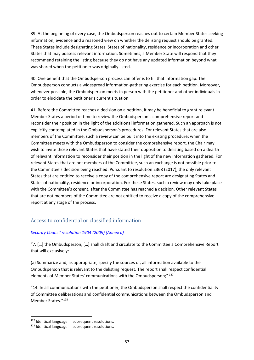39. At the beginning of every case, the Ombudsperson reaches out to certain Member States seeking information, evidence and a reasoned view on whether the delisting request should be granted. These States include designating States, States of nationality, residence or incorporation and other States that may possess relevant information. Sometimes, a Member State will respond that they recommend retaining the listing because they do not have any updated information beyond what was shared when the petitioner was originally listed.

40. One benefit that the Ombudsperson process can offer is to fill that information gap. The Ombudsperson conducts a widespread information-gathering exercise for each petition. Moreover, whenever possible, the Ombudsperson meets in person with the petitioner and other individuals in order to elucidate the petitioner's current situation.

41. Before the Committee reaches a decision on a petition, it may be beneficial to grant relevant Member States a period of time to review the Ombudsperson's comprehensive report and reconsider their position in the light of the additional information gathered. Such an approach is not explicitly contemplated in the Ombudsperson's procedures. For relevant States that are also members of the Committee, such a review can be built into the existing procedure: when the Committee meets with the Ombudsperson to consider the comprehensive report, the Chair may wish to invite those relevant States that have stated their opposition to delisting based on a dearth of relevant information to reconsider their position in the light of the new information gathered. For relevant States that are not members of the Committee, such an exchange is not possible prior to the Committee's decision being reached. Pursuant to resolution 2368 (2017), the only relevant States that are entitled to receive a copy of the comprehensive report are designating States and States of nationality, residence or incorporation. For these States, such a review may only take place with the Committee's consent, after the Committee has reached a decision. Other relevant States that are not members of the Committee are not entitled to receive a copy of the comprehensive report at any stage of the process.

# Access to confidential or classified information

# *[Security Council resolution 1904 \(2009\)](https://undocs.org/S/RES/1904(2009)) (Annex II)*

"7. […] the Ombudsperson, […] shall draft and circulate to the Committee a Comprehensive Report that will exclusively:

(a) Summarize and, as appropriate, specify the sources of, all information available to the Ombudsperson that is relevant to the delisting request. The report shall respect confidential elements of Member States' communications with the Ombudsperson:"<sup>[127](#page-86-0)</sup>

"14. In all communications with the petitioner, the Ombudsperson shall respect the confidentiality of Committee deliberations and confidential communications between the Ombudsperson and Member States."[128](#page-86-1)

<span id="page-86-0"></span><sup>&</sup>lt;sup>127</sup> Identical language in subsequent resolutions.

<span id="page-86-1"></span><sup>&</sup>lt;sup>128</sup> Identical language in subsequent resolutions.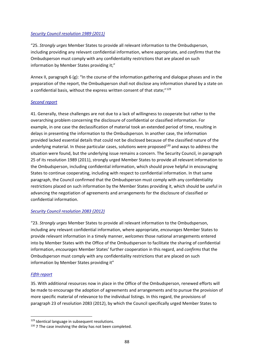#### *[Security Council resolution 1989 \(2011\)](https://undocs.org/S/RES/1989(2011))*

"25. *Strongly urges* Member States to provide all relevant information to the Ombudsperson, including providing any relevant confidential information, where appropriate, and *confirms* that the Ombudsperson must comply with any confidentiality restrictions that are placed on such information by Member States providing it;"

Annex II, paragraph 6 (g): "In the course of the information gathering and dialogue phases and in the preparation of the report, the Ombudsperson shall not disclose any information shared by a state on a confidential basis, without the express written consent of that state;"<sup>[129](#page-87-0)</sup>

#### *[Second report](https://undocs.org/S/2011/447)*

41. Generally, these challenges are not due to a lack of willingness to cooperate but rather to the overarching problem concerning the disclosure of confidential or classified information. For example, in one case the declassification of material took an extended period of time, resulting in delays in presenting the information to the Ombudsperson. In another case, the information provided lacked essential details that could not be disclosed because of the classified nature of the underlying material. In those particular cases, solutions were proposed<sup>[130](#page-87-1)</sup> and ways to address the situation were found, but the underlying issue remains a concern. The Security Council, in paragraph 25 of its resolution 1989 (2011), strongly urged Member States to provide all relevant information to the Ombudsperson, including confidential information, which should prove helpful in encouraging States to continue cooperating, including with respect to confidential information. In that same paragraph, the Council confirmed that the Ombudsperson must comply with any confidentiality restrictions placed on such information by the Member States providing it, which should be useful in advancing the negotiation of agreements and arrangements for the disclosure of classified or confidential information.

#### *[Security Council resolution 2083 \(2012\)](https://undocs.org/S/RES/2083(2012))*

"23. *Strongly urges* Member States to provide all relevant information to the Ombudsperson, including any relevant confidential information, where appropriate, *encourages* Member States to provide relevant information in a timely manner, *welcomes* those national arrangements entered into by Member States with the Office of the Ombudsperson to facilitate the sharing of confidential information, *encourages* Member States' further cooperation in this regard, and *confirms* that the Ombudsperson must comply with any confidentiality restrictions that are placed on such information by Member States providing it"

#### *[Fifth report](https://undocs.org/S/2013/71)*

35. With additional resources now in place in the Office of the Ombudsperson, renewed efforts will be made to encourage the adoption of agreements and arrangements and to pursue the provision of more specific material of relevance to the individual listings. In this regard, the provisions of paragraph 23 of resolution 2083 (2012), by which the Council specifically urged Member States to

<span id="page-87-0"></span><sup>129</sup> Identical language in subsequent resolutions.

<span id="page-87-1"></span> $130$  7 The case involving the delay has not been completed.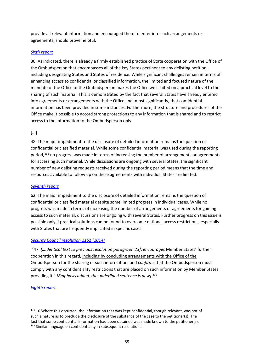provide all relevant information and encouraged them to enter into such arrangements or agreements, should prove helpful.

#### *[Sixth report](https://undocs.org/S/2013/452)*

30. As indicated, there is already a firmly established practice of State cooperation with the Office of the Ombudsperson that encompasses all of the key States pertinent to any delisting petition, including designating States and States of residence. While significant challenges remain in terms of enhancing access to confidential or classified information, the limited and focused nature of the mandate of the Office of the Ombudsperson makes the Office well suited on a practical level to the sharing of such material. This is demonstrated by the fact that several States have already entered into agreements or arrangements with the Office and, most significantly, that confidential information has been provided in some instances. Furthermore, the structure and procedures of the Office make it possible to accord strong protections to any information that is shared and to restrict access to the information to the Ombudsperson only.

### [...]

48. The major impediment to the disclosure of detailed information remains the question of confidential or classified material. While some confidential material was used during the reporting period,<sup>[131](#page-88-0)</sup> no progress was made in terms of increasing the number of arrangements or agreements for accessing such material. While discussions are ongoing with several States, the significant number of new delisting requests received during the reporting period means that the time and resources available to follow up on these agreements with individual States are limited.

#### *[Seventh report](https://undocs.org/S/2014/73)*

62. The major impediment to the disclosure of detailed information remains the question of confidential or classified material despite some limited progress in individual cases. While no progress was made in terms of increasing the number of arrangements or agreements for gaining access to such material, discussions are ongoing with several States. Further progress on this issue is possible only if practical solutions can be found to overcome national access restrictions, especially with States that are frequently implicated in specific cases.

#### *[Security Council resolution 2161 \(2014\)](https://undocs.org/S/RES/2161(2014))*

"47. *[…identical text to previous resolution paragraph 23]*, *encourages* Member States' further cooperation in this regard, including by concluding arrangements with the Office of the Ombudsperson for the sharing of such information, and *confirms* that the Ombudsperson must comply with any confidentiality restrictions that are placed on such information by Member States providing it;" *[Emphasis added, the underlined sentence is new].[132](#page-88-1)*

#### *[Eighth report](https://undocs.org/S/2014/553)*

<span id="page-88-1"></span><span id="page-88-0"></span><sup>131 10</sup> Where this occurred, the information that was kept confidential, though relevant, was not of such a nature as to preclude the disclosure of the substance of the case to the petitioner(s). The fact that some confidential information had been obtained was made known to the petitioner(s). <sup>132</sup> Similar language on confidentiality in subsequent resolutions.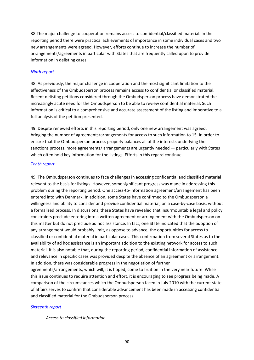38.The major challenge to cooperation remains access to confidential/classified material. In the reporting period there were practical achievements of importance in some individual cases and two new arrangements were agreed. However, efforts continue to increase the number of arrangements/agreements in particular with States that are frequently called upon to provide information in delisting cases.

#### *[Ninth report](https://undocs.org/S/2015/80)*

48. As previously, the major challenge in cooperation and the most significant limitation to the effectiveness of the Ombudsperson process remains access to confidential or classified material. Recent delisting petitions considered through the Ombudsperson process have demonstrated the increasingly acute need for the Ombudsperson to be able to review confidential material. Such information is critical to a comprehensive and accurate assessment of the listing and imperative to a full analysis of the petition presented.

49. Despite renewed efforts in this reporting period, only one new arrangement was agreed, bringing the number of agreements/arrangements for access to such information to 15. In order to ensure that the Ombudsperson process properly balances all of the interests underlying the sanctions process, more agreements/ arrangements are urgently needed — particularly with States which often hold key information for the listings. Efforts in this regard continue.

#### *[Tenth report](https://undocs.org/S/2015/533)*

49. The Ombudsperson continues to face challenges in accessing confidential and classified material relevant to the basis for listings. However, some significant progress was made in addressing this problem during the reporting period. One access-to-information agreement/arrangement has been entered into with Denmark. In addition, some States have confirmed to the Ombudsperson a willingness and ability to consider and provide confidential material, on a case-by-case basis, without a formalized process. In discussions, these States have revealed that insurmountable legal and policy constraints preclude entering into a written agreement or arrangement with the Ombudsperson on this matter but do not preclude ad hoc assistance. In fact, one State indicated that the adoption of any arrangement would probably limit, as oppose to advance, the opportunities for access to classified or confidential material in particular cases. This confirmation from several States as to the availability of ad hoc assistance is an important addition to the existing network for access to such material. It is also notable that, during the reporting period, confidential information of assistance and relevance in specific cases was provided despite the absence of an agreement or arrangement. In addition, there was considerable progress in the negotiation of further agreements/arrangements, which will, it is hoped, come to fruition in the very near future. While

this issue continues to require attention and effort, it is encouraging to see progress being made. A comparison of the circumstances which the Ombudsperson faced in July 2010 with the current state of affairs serves to confirm that considerable advancement has been made in accessing confidential and classified material for the Ombudsperson process.

#### *[Sixteenth report](https://undocs.org/en/S/2019/112)*

#### *Access to classified information*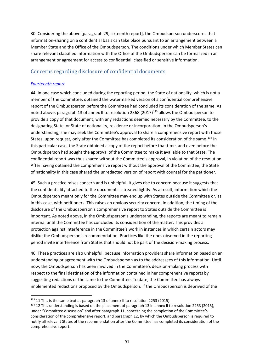<span id="page-90-0"></span>30. Considering the above [paragraph 29, sixteenth report], the Ombudsperson underscores that information-sharing on a confidential basis can take place pursuant to an arrangement between a Member State and the Office of the Ombudsperson. The conditions under which Member States can share relevant classified information with the Office of the Ombudsperson can be formalized in an arrangement or agreement for access to confidential, classified or sensitive information.

# Concerns regarding disclosure of confidential documents

#### *[Fourteenth report](https://undocs.org/S/2017/685)*

44. In one case which concluded during the reporting period, the State of nationality, which is not a member of the Committee, obtained the watermarked version of a confidential comprehensive report of the Ombudsperson before the Committee had concluded its consideration of the same. As noted above, paragraph 13 of annex II to resolution 2368 (2017)<sup>[133](#page-90-1)</sup> allows the Ombudsperson to provide a copy of that document, with any redactions deemed necessary by the Committee, to the designating State, or State of nationality, residence or incorporation. In the Ombudsperson's understanding, she may seek the Committee's approval to share a comprehensive report with those States, upon request, only after the Committee has completed its consideration of the same.<sup>[134](#page-90-2)</sup> In this particular case, the State obtained a copy of the report before that time, and even before the Ombudsperson had sought the approval of the Committee to make it available to that State. The confidential report was thus shared without the Committee's approval, in violation of the resolution. After having obtained the comprehensive report without the approval of the Committee, the State of nationality in this case shared the unredacted version of report with counsel for the petitioner.

45. Such a practice raises concern and is unhelpful. It gives rise to concern because it suggests that the confidentiality attached to the documents is treated lightly. As a result, information which the Ombudsperson meant only for the Committee may end up with States outside the Committee or, as in this case, with petitioners. This raises an obvious security concern. In addition, the timing of the disclosure of the Ombudsperson's comprehensive report to States outside the Committee is important. As noted above, in the Ombudsperson's understanding, the reports are meant to remain internal until the Committee has concluded its consideration of the matter. This provides a protection against interference in the Committee's work in instances in which certain actors may dislike the Ombudsperson's recommendation. Practices like the ones observed in the reporting period invite interference from States that should not be part of the decision-making process.

46. These practices are also unhelpful, because information providers share information based on an understanding or agreement with the Ombudsperson as to the addressees of this information. Until now, the Ombudsperson has been involved in the Committee's decision-making process with respect to the final destination of the information contained in her comprehensive reports by suggesting redactions of the same to the Committee. To date, the Committee has always implemented redactions proposed by the Ombudsperson. If the Ombudsperson is deprived of the

<span id="page-90-1"></span><sup>&</sup>lt;sup>133</sup> 11 This is the same text as paragraph 13 of annex II to resolution 2253 (2015).

<span id="page-90-2"></span><sup>134 12</sup> This understanding is based on the placement of paragraph 13 in annex II to resolution 2253 (2015), under "Committee discussion" and after paragraph 11, concerning the completion of the Committee's consideration of the comprehensive report, and paragraph 12, by which the Ombudsperson is required to notify all relevant States of the recommendation after the Committee has completed its consideration of the comprehensive report.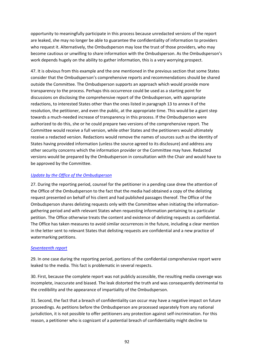opportunity to meaningfully participate in this process because unredacted versions of the report are leaked, she may no longer be able to guarantee the confidentiality of information to providers who request it. Alternatively, the Ombudsperson may lose the trust of those providers, who may become cautious or unwilling to share information with the Ombudsperson. As the Ombudsperson's work depends hugely on the ability to gather information, this is a very worrying prospect.

47. It is obvious from this example and the one mentioned in the previous section that some States consider that the Ombudsperson's comprehensive reports and recommendations should be shared outside the Committee. The Ombudsperson supports an approach which would provide more transparency to the process. Perhaps this occurrence could be used as a starting point for discussions on disclosing the comprehensive report of the Ombudsperson, with appropriate redactions, to interested States other than the ones listed in paragraph 13 to annex II of the resolution, the petitioner, and even the public, at the appropriate time. This would be a giant step towards a much-needed increase of transparency in this process. If the Ombudsperson were authorized to do this, she or he could prepare two versions of the comprehensive report. The Committee would receive a full version, while other States and the petitioners would ultimately receive a redacted version. Redactions would remove the names of sources such as the identity of States having provided information (unless the source agreed to its disclosure) and address any other security concerns which the information provider or the Committee may have. Redacted versions would be prepared by the Ombudsperson in consultation with the Chair and would have to be approved by the Committee.

#### *[Update by the Office](https://undocs.org/S/2018/120) of the Ombudsperson*

27. During the reporting period, counsel for the petitioner in a pending case drew the attention of the Office of the Ombudsperson to the fact that the media had obtained a copy of the delisting request presented on behalf of his client and had published passages thereof. The Office of the Ombudsperson shares delisting requests only with the Committee when initiating the informationgathering period and with relevant States when requesting information pertaining to a particular petition. The Office otherwise treats the content and existence of delisting requests as confidential. The Office has taken measures to avoid similar occurrences in the future, including a clear mention in the letter sent to relevant States that delisting requests are confidential and a new practice of watermarking petitions.

#### *Seventeenth report*

29. In one case during the reporting period, portions of the confidential comprehensive report were leaked to the media. This fact is problematic in several respects.

30. First, because the complete report was not publicly accessible, the resulting media coverage was incomplete, inaccurate and biased. The leak distorted the truth and was consequently detrimental to the credibility and the appearance of impartiality of the Ombudsperson.

31. Second, the fact that a breach of confidentiality can occur may have a negative impact on future proceedings. As petitions before the Ombudsperson are processed separately from any national jurisdiction, it is not possible to offer petitioners any protection against self-incrimination. For this reason, a petitioner who is cognizant of a potential breach of confidentiality might decline to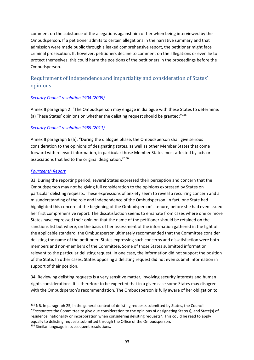comment on the substance of the allegations against him or her when being interviewed by the Ombudsperson. If a petitioner admits to certain allegations in the narrative summary and that admission were made public through a leaked comprehensive report, the petitioner might face criminal prosecution. If, however, petitioners decline to comment on the allegations or even lie to protect themselves, this could harm the positions of the petitioners in the proceedings before the Ombudsperson.

# Requirement of independence and impartiality and consideration of States' opinions

#### *[Security Council resolution 1904 \(2009\)](https://undocs.org/S/RES/1904(2009))*

Annex II paragraph 2: "The Ombudsperson may engage in dialogue with these States to determine: (a) These States' opinions on whether the delisting request should be granted;"[135](#page-92-0)

#### *[Security Council resolution 1989 \(2011\)](https://undocs.org/S/RES/1989(2011))*

Annex II paragraph 6 (h): "During the dialogue phase, the Ombudsperson shall give serious consideration to the opinions of designating states, as well as other Member States that come forward with relevant information, in particular those Member States most affected by acts or associations that led to the original designation."[136](#page-92-1)

#### *[Fourteenth Report](https://undocs.org/S/2017/685)*

33. During the reporting period, several States expressed their perception and concern that the Ombudsperson may not be giving full consideration to the opinions expressed by States on particular delisting requests. These expressions of anxiety seem to reveal a recurring concern and a misunderstanding of the role and independence of the Ombudsperson. In fact, one State had highlighted this concern at the beginning of the Ombudsperson's tenure, before she had even issued her first comprehensive report. The dissatisfaction seems to emanate from cases where one or more States have expressed their opinion that the name of the petitioner should be retained on the sanctions list but where, on the basis of her assessment of the information gathered in the light of the applicable standard, the Ombudsperson ultimately recommended that the Committee consider delisting the name of the petitioner. States expressing such concerns and dissatisfaction were both members and non-members of the Committee. Some of those States submitted information relevant to the particular delisting request. In one case, the information did not support the position of the State. In other cases, States opposing a delisting request did not even submit information in support of their position.

34. Reviewing delisting requests is a very sensitive matter, involving security interests and human rights considerations. It is therefore to be expected that in a given case some States may disagree with the Ombudsperson's recommendation. The Ombudsperson is fully aware of her obligation to

<span id="page-92-1"></span><span id="page-92-0"></span><sup>135</sup> NB. In paragraph 25, in the general context of delisting requests submitted by States, the Council "*Encourages* the Committee to give due consideration to the opinions of designating State(s), and State(s) of residence, nationality or incorporation when considering delisting requests". This could be read to apply equally to delisting requests submitted through the Office of the Ombudsperson. <sup>136</sup> Similar language in subsequent resolutions.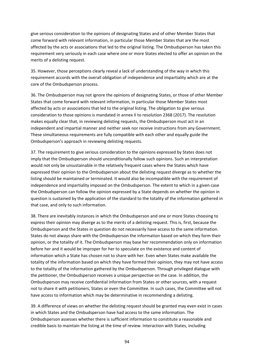give serious consideration to the opinions of designating States and of other Member States that come forward with relevant information, in particular those Member States that are the most affected by the acts or associations that led to the original listing. The Ombudsperson has taken this requirement very seriously in each case where one or more States elected to offer an opinion on the merits of a delisting request.

35. However, those perceptions clearly reveal a lack of understanding of the way in which this requirement accords with the overall obligation of independence and impartiality which are at the core of the Ombudsperson process.

36. The Ombudsperson may not ignore the opinions of designating States, or those of other Member States that come forward with relevant information, in particular those Member States most affected by acts or associations that led to the original listing. The obligation to give serious consideration to those opinions is mandated in annex II to resolution 2368 (2017). The resolution makes equally clear that, in reviewing delisting requests, the Ombudsperson must act in an independent and impartial manner and neither seek nor receive instructions from any Government. These simultaneous requirements are fully compatible with each other and equally guide the Ombudsperson's approach in reviewing delisting requests.

37. The requirement to give serious consideration to the opinions expressed by States does not imply that the Ombudsperson should unconditionally follow such opinions. Such an interpretation would not only be unsustainable in the relatively frequent cases where the States which have expressed their opinion to the Ombudsperson about the delisting request diverge as to whether the listing should be maintained or terminated. It would also be incompatible with the requirement of independence and impartiality imposed on the Ombudsperson. The extent to which in a given case the Ombudsperson can follow the opinion expressed by a State depends on whether the opinion in question is sustained by the application of the standard to the totality of the information gathered in that case, and only to such information.

38. There are inevitably instances in which the Ombudsperson and one or more States choosing to express their opinion may diverge as to the merits of a delisting request. This is, first, because the Ombudsperson and the States in question do not necessarily have access to the same information. States do not always share with the Ombudsperson the information based on which they form their opinion, or the totality of it. The Ombudsperson may base her recommendation only on information before her and it would be improper for her to speculate on the existence and content of information which a State has chosen not to share with her. Even when States make available the totality of the information based on which they have formed their opinion, they may not have access to the totality of the information gathered by the Ombudsperson. Through privileged dialogue with the petitioner, the Ombudsperson receives a unique perspective on the case. In addition, the Ombudsperson may receive confidential information from States or other sources, with a request not to share it with petitioners, States or even the Committee. In such cases, the Committee will not have access to information which may be determinative in recommending a delisting.

39. A difference of views on whether the delisting request should be granted may even exist in cases in which States and the Ombudsperson have had access to the same information. The Ombudsperson assesses whether there is sufficient information to constitute a reasonable and credible basis to maintain the listing at the time of review. Interaction with States, including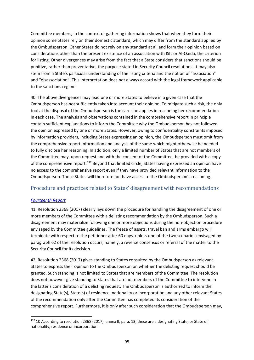Committee members, in the context of gathering information shows that when they form their opinion some States rely on their domestic standard, which may differ from the standard applied by the Ombudsperson. Other States do not rely on any standard at all and form their opinion based on considerations other than the present existence of an association with ISIL or Al-Qaida, the criterion for listing. Other divergences may arise from the fact that a State considers that sanctions should be punitive, rather than preventative, the purpose stated in Security Council resolutions. It may also stem from a State's particular understanding of the listing criteria and the notion of "association" and "disassociation". This interpretation does not always accord with the legal framework applicable to the sanctions regime.

40. The above divergences may lead one or more States to believe in a given case that the Ombudsperson has not sufficiently taken into account their opinion. To mitigate such a risk, the only tool at the disposal of the Ombudsperson is the care she applies in reasoning her recommendation in each case. The analysis and observations contained in the comprehensive report in principle contain sufficient explanations to inform the Committee why the Ombudsperson has not followed the opinion expressed by one or more States. However, owing to confidentiality constraints imposed by information providers, including States expressing an opinion, the Ombudsperson must omit from the comprehensive report information and analysis of the same which might otherwise be needed to fully disclose her reasoning. In addition, only a limited number of States that are not members of the Committee may, upon request and with the consent of the Committee, be provided with a copy of the comprehensive report.<sup>[137](#page-94-0)</sup> Beyond that limited circle, States having expressed an opinion have no access to the comprehensive report even if they have provided relevant information to the Ombudsperson. Those States will therefore not have access to the Ombudsperson's reasoning.

# Procedure and practices related to States' disagreement with recommendations

#### *[Fourteenth Report](https://undocs.org/S/2017/685)*

41. Resolution 2368 (2017) clearly lays down the procedure for handling the disagreement of one or more members of the Committee with a delisting recommendation by the Ombudsperson. Such a disagreement may materialize following one or more objections during the non-objection procedure envisaged by the Committee guidelines. The freeze of assets, travel ban and arms embargo will terminate with respect to the petitioner after 60 days, unless one of the two scenarios envisaged by paragraph 62 of the resolution occurs, namely, a reverse consensus or referral of the matter to the Security Council for its decision.

42. Resolution 2368 (2017) gives standing to States consulted by the Ombudsperson as relevant States to express their opinion to the Ombudsperson on whether the delisting request should be granted. Such standing is not limited to States that are members of the Committee. The resolution does not however give standing to States that are not members of the Committee to intervene in the latter's consideration of a delisting request. The Ombudsperson is authorized to inform the designating State(s), State(s) of residence, nationality or incorporation and any other relevant States of the recommendation only after the Committee has completed its consideration of the comprehensive report. Furthermore, it is only after such consideration that the Ombudsperson may,

<span id="page-94-0"></span><sup>137 10</sup> According to resolution 2368 (2017), annex II, para. 13, these are a designating State, or State of nationality, residence or incorporation.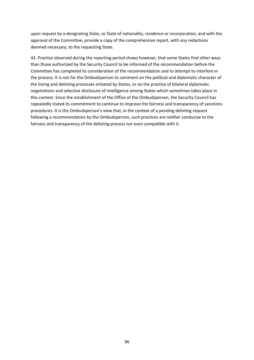upon request by a designating State, or State of nationality, residence or incorporation, and with the approval of the Committee, provide a copy of the comprehensive report, with any redactions deemed necessary, to the requesting State.

43. Practice observed during the reporting period shows however, that some States find other ways than those authorized by the Security Council to be informed of the recommendation before the Committee has completed its consideration of the recommendation and to attempt to interfere in the process. It is not for the Ombudsperson to comment on the political and diplomatic character of the listing and delisting processes initiated by States, or on the practice of bilateral diplomatic negotiations and selective disclosure of intelligence among States which sometimes takes place in this context. Since the establishment of the Office of the Ombudsperson, the Security Council has repeatedly stated its commitment to continue to improve the fairness and transparency of sanctions procedures. It is the Ombudsperson's view that, in the context of a pending delisting request following a recommendation by the Ombudsperson, such practices are neither conducive to the fairness and transparency of the delisting process nor even compatible with it.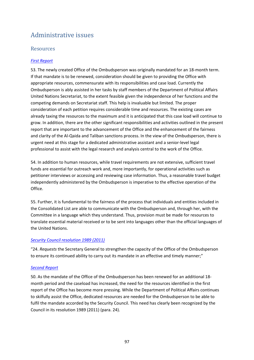# Administrative issues

# Resources

#### *[First Report](http://undocs.org/S/2011/29)*

53. The newly created Office of the Ombudsperson was originally mandated for an 18-month term. If that mandate is to be renewed, consideration should be given to providing the Office with appropriate resources, commensurate with its responsibilities and case load. Currently the Ombudsperson is ably assisted in her tasks by staff members of the Department of Political Affairs United Nations Secretariat, to the extent feasible given the independence of her functions and the competing demands on Secretariat staff. This help is invaluable but limited. The proper consideration of each petition requires considerable time and resources. The existing cases are already taxing the resources to the maximum and it is anticipated that this case load will continue to grow. In addition, there are the other significant responsibilities and activities outlined in the present report that are important to the advancement of the Office and the enhancement of the fairness and clarity of the Al-Qaida and Taliban sanctions process. In the view of the Ombudsperson, there is urgent need at this stage for a dedicated administrative assistant and a senior-level legal professional to assist with the legal research and analysis central to the work of the Office.

54. In addition to human resources, while travel requirements are not extensive, sufficient travel funds are essential for outreach work and, more importantly, for operational activities such as petitioner interviews or accessing and reviewing case information. Thus, a reasonable travel budget independently administered by the Ombudsperson is imperative to the effective operation of the Office.

55. Further, it is fundamental to the fairness of the process that individuals and entities included in the Consolidated List are able to communicate with the Ombudsperson and, through her, with the Committee in a language which they understand. Thus, provision must be made for resources to translate essential material received or to be sent into languages other than the official languages of the United Nations.

#### *[Security Council resolution 1989 \(2011\)](https://undocs.org/S/RES/1989(2011))*

"24. *Requests* the Secretary General to strengthen the capacity of the Office of the Ombudsperson to ensure its continued ability to carry out its mandate in an effective and timely manner;"

#### *[Second Report](https://undocs.org/S/2011/447)*

50. As the mandate of the Office of the Ombudsperson has been renewed for an additional 18 month period and the caseload has increased, the need for the resources identified in the first report of the Office has become more pressing. While the Department of Political Affairs continues to skilfully assist the Office, dedicated resources are needed for the Ombudsperson to be able to fulfil the mandate accorded by the Security Council. This need has clearly been recognized by the Council in its resolution 1989 (2011) (para. 24).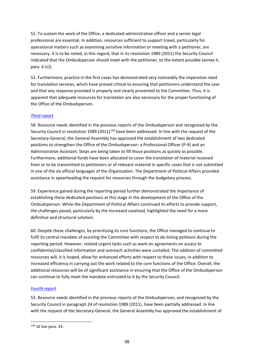51. To sustain the work of the Office, a dedicated administrative officer and a senior legal professional are essential. In addition, resources sufficient to support travel, particularly for operational matters such as examining sensitive information or meeting with a petitioner, are necessary. It is to be noted, in this regard, that in its resolution 1989 (2011) the Security Council indicated that the Ombudsperson should meet with the petitioner, to the extent possible (annex II, para. 6 (c)).

52. Furthermore, practice in the first cases has demonstrated very noticeably the imperative need for translation services, which have proved critical to ensuring that petitioners understand the case and that any response provided is properly and clearly presented to the Committee. Thus, it is apparent that adequate resources for translation are also necessary for the proper functioning of the Office of the Ombudsperson.

# *[Third report](https://undocs.org/S/2012/49)*

58. Resource needs identified in the previous reports of the Ombudsperson and recognized by the Security Council in resolution 1989 (2011)<sup>[138](#page-97-0)</sup> have been addressed. In line with the request of the Secretary-General, the General Assembly has approved the establishment of two dedicated positions to strengthen the Office of the Ombudsperson: a Professional Officer (P-4) and an Administrative Assistant. Steps are being taken to fill those positions as quickly as possible. Furthermore, additional funds have been allocated to cover the translation of material received from or to be transmitted to petitioners or of relevant material in specific cases that is not submitted in one of the six official languages of the Organization. The Department of Political Affairs provided assistance in spearheading the request for resources through the budgetary process.

59. Experience gained during the reporting period further demonstrated the importance of establishing these dedicated positions at this stage in the development of the Office of the Ombudsperson. While the Department of Political Affairs continued its efforts to provide support, the challenges posed, particularly by the increased caseload, highlighted the need for a more definitive and structural solution.

60. Despite these challenges, by prioritizing its core functions, the Office managed to continue to fulfil its central mandate of assisting the Committee with respect to de-listing petitions during the reporting period. However, related urgent tasks such as work on agreements on access to confidential/classified information and outreach activities were curtailed. The addition of committed resources will, it is hoped, allow for enhanced efforts with respect to these issues, in addition to increased efficiency in carrying out the work related to the core functions of the Office. Overall, the additional resources will be of significant assistance in ensuring that the Office of the Ombudsperson can continue to fully meet the mandate entrusted to it by the Security Council.

#### *[Fourth report](https://undocs.org/S/2012/590)*

53. Resource needs identified in the previous reports of the Ombudsperson, and recognized by the Security Council in paragraph 24 of resolution 1989 (2011), have been partially addressed. In line with the request of the Secretary-General, the General Assembly has approved the establishment of

<span id="page-97-0"></span><sup>138</sup> 16 See para. 24.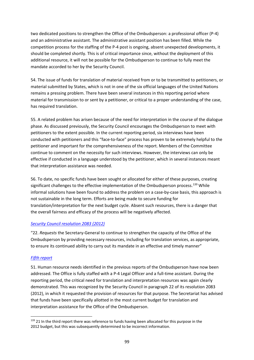two dedicated positions to strengthen the Office of the Ombudsperson: a professional officer (P-4) and an administrative assistant. The administrative assistant position has been filled. While the competition process for the staffing of the P-4 post is ongoing, absent unexpected developments, it should be completed shortly. This is of critical importance since, without the deployment of this additional resource, it will not be possible for the Ombudsperson to continue to fully meet the mandate accorded to her by the Security Council.

54. The issue of funds for translation of material received from or to be transmitted to petitioners, or material submitted by States, which is not in one of the six official languages of the United Nations remains a pressing problem. There have been several instances in this reporting period where material for transmission to or sent by a petitioner, or critical to a proper understanding of the case, has required translation.

55. A related problem has arisen because of the need for interpretation in the course of the dialogue phase. As discussed previously, the Security Council encourages the Ombudsperson to meet with petitioners to the extent possible. In the current reporting period, six interviews have been conducted with petitioners and this "face-to-face" process has proven to be extremely helpful to the petitioner and important for the comprehensiveness of the report. Members of the Committee continue to comment on the necessity for such interviews. However, the interviews can only be effective if conducted in a language understood by the petitioner, which in several instances meant that interpretation assistance was needed.

56. To date, no specific funds have been sought or allocated for either of these purposes, creating significant challenges to the effective implementation of the Ombudsperson process.<sup>[139](#page-98-0)</sup> While informal solutions have been found to address the problem on a case-by-case basis, this approach is not sustainable in the long term. Efforts are being made to secure funding for translation/interpretation for the next budget cycle. Absent such resources, there is a danger that the overall fairness and efficacy of the process will be negatively affected.

# *[Security Council resolution 2083 \(2012\)](https://undocs.org/S/RES/2083(2012))*

"22. *Requests* the Secretary-General to continue to strengthen the capacity of the Office of the Ombudsperson by providing necessary resources, including for translation services, as appropriate, to ensure its continued ability to carry out its mandate in an effective and timely manner"

# *[Fifth report](https://undocs.org/S/2013/71)*

51. Human resource needs identified in the previous reports of the Ombudsperson have now been addressed. The Office is fully staffed with a P-4 Legal Officer and a full-time assistant. During the reporting period, the critical need for translation and interpretation resources was again clearly demonstrated. This was recognized by the Security Council in paragraph 22 of its resolution 2083 (2012), in which it requested the provision of resources for that purpose. The Secretariat has advised that funds have been specifically allotted in the most current budget for translation and interpretation assistance for the Office of the Ombudsperson.

<span id="page-98-0"></span><sup>139 21</sup> In the third report there was reference to funds having been allocated for this purpose in the 2012 budget, but this was subsequently determined to be incorrect information.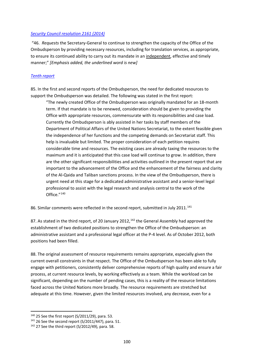#### *[Security Council resolution 2161 \(2014\)](https://undocs.org/S/RES/2161(2014))*

"46. *Requests* the Secretary-General to continue to strengthen the capacity of the Office of the Ombudsperson by providing necessary resources, including for translation services, as appropriate, to ensure its continued ability to carry out its mandate in an independent, effective and timely manner;" *[Emphasis added, the underlined word is new]*

#### *[Tenth report](https://undocs.org/S/2015/533)*

85. In the first and second reports of the Ombudsperson, the need for dedicated resources to support the Ombudsperson was detailed. The following was stated in the first report:

"The newly created Office of the Ombudsperson was originally mandated for an 18-month term. If that mandate is to be renewed, consideration should be given to providing the Office with appropriate resources, commensurate with its responsibilities and case load. Currently the Ombudsperson is ably assisted in her tasks by staff members of the Department of Political Affairs of the United Nations Secretariat, to the extent feasible given the independence of her functions and the competing demands on Secretariat staff. This help is invaluable but limited. The proper consideration of each petition requires considerable time and resources. The existing cases are already taxing the resources to the maximum and it is anticipated that this case load will continue to grow. In addition, there are the other significant responsibilities and activities outlined in the present report that are important to the advancement of the Office and the enhancement of the fairness and clarity of the Al-Qaida and Taliban sanctions process. In the view of the Ombudsperson, there is urgent need at this stage for a dedicated administrative assistant and a senior-level legal professional to assist with the legal research and analysis central to the work of the Office."[140](#page-99-0)

86. Similar comments were reflected in the second report, submitted in July 2011.<sup>[141](#page-99-1)</sup>

87. As stated in the third report, of 20 January 2012,<sup>[142](#page-99-2)</sup> the General Assembly had approved the establishment of two dedicated positions to strengthen the Office of the Ombudsperson: an administrative assistant and a professional legal officer at the P-4 level. As of October 2012, both positions had been filled.

88. The original assessment of resource requirements remains appropriate, especially given the current overall constraints in that respect. The Office of the Ombudsperson has been able to fully engage with petitioners, consistently deliver comprehensive reports of high quality and ensure a fair process, at current resource levels, by working effectively as a team. While the workload can be significant, depending on the number of pending cases, this is a reality of the resource limitations faced across the United Nations more broadly. The resource requirements are stretched but adequate at this time. However, given the limited resources involved, any decrease, even for a

<span id="page-99-0"></span><sup>140</sup> 25 See the first report (S/2011/29), para. 53.

<span id="page-99-1"></span><sup>141</sup> 26 See the second report (S/2011/447), para. 51.

<span id="page-99-2"></span> $142$  27 See the third report (S/2012/49), para. 58.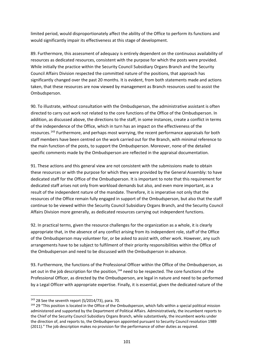limited period, would disproportionately affect the ability of the Office to perform its functions and would significantly impair its effectiveness at this stage of development.

89. Furthermore, this assessment of adequacy is entirely dependent on the continuous availability of resources as dedicated resources, consistent with the purpose for which the posts were provided. While initially the practice within the Security Council Subsidiary Organs Branch and the Security Council Affairs Division respected the committed nature of the positions, that approach has significantly changed over the past 20 months. It is evident, from both statements made and actions taken, that these resources are now viewed by management as Branch resources used to assist the Ombudsperson.

90. To illustrate, without consultation with the Ombudsperson, the administrative assistant is often directed to carry out work not related to the core functions of the Office of the Ombudsperson. In addition, as discussed above, the directions to the staff, in some instances, create a conflict in terms of the independence of the Office, which in turn has an impact on the effectiveness of the resources.<sup>[143](#page-100-0)</sup> Furthermore, and perhaps most worrying, the recent performance appraisals for both staff members have been centred on the work carried out for the Branch, with minimal reference to the main function of the posts, to support the Ombudsperson. Moreover, none of the detailed specific comments made by the Ombudsperson are reflected in the appraisal documentation.

91. These actions and this general view are not consistent with the submissions made to obtain these resources or with the purpose for which they were provided by the General Assembly: to have dedicated staff for the Office of the Ombudsperson. It is important to note that this requirement for dedicated staff arises not only from workload demands but also, and even more important, as a result of the independent nature of the mandate. Therefore, it is imperative not only that the resources of the Office remain fully engaged in support of the Ombudsperson, but also that the staff continue to be viewed within the Security Council Subsidiary Organs Branch, and the Security Council Affairs Division more generally, as dedicated resources carrying out independent functions.

92. In practical terms, given the resource challenges for the organization as a whole, it is clearly appropriate that, in the absence of any conflict arising from its independent role, staff of the Office of the Ombudsperson may volunteer for, or be asked to assist with, other work. However, any such arrangements have to be subject to fulfilment of their priority responsibilities within the Office of the Ombudsperson and need to be discussed with the Ombudsperson in advance.

93. Furthermore, the functions of the Professional Officer within the Office of the Ombudsperson, as set out in the job description for the position,<sup>[144](#page-100-1)</sup> need to be respected. The core functions of the Professional Officer, as directed by the Ombudsperson, are legal in nature and need to be performed by a Legal Officer with appropriate expertise. Finally, it is essential, given the dedicated nature of the

<span id="page-100-0"></span> $143$  28 See the seventh report (S/2014/73), para. 70.

<span id="page-100-1"></span><sup>&</sup>lt;sup>144</sup> 29 "This position is located in the Office of the Ombudsperson, which falls within a special political mission administered and supported by the Department of Political Affairs. Administratively, the incumbent reports to the Chief of the Security Council Subsidiary Organs Branch, while substantively, the incumbent works under the direction of, and reports to, the Ombudsperson appointed pursuant to Security Council resolution 1989 (2011)." The job description makes no provision for the performance of other duties as required.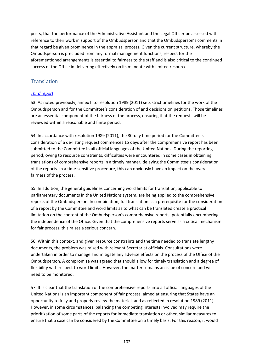posts, that the performance of the Administrative Assistant and the Legal Officer be assessed with reference to their work in support of the Ombudsperson and that the Ombudsperson's comments in that regard be given prominence in the appraisal process. Given the current structure, whereby the Ombudsperson is precluded from any formal management functions, respect for the aforementioned arrangements is essential to fairness to the staff and is also critical to the continued success of the Office in delivering effectively on its mandate with limited resources.

# **Translation**

# *[Third report](https://undocs.org/S/2012/49)*

53. As noted previously, annex II to resolution 1989 (2011) sets strict timelines for the work of the Ombudsperson and for the Committee's consideration of and decisions on petitions. Those timelines are an essential component of the fairness of the process, ensuring that the requests will be reviewed within a reasonable and finite period.

54. In accordance with resolution 1989 (2011), the 30-day time period for the Committee's consideration of a de-listing request commences 15 days after the comprehensive report has been submitted to the Committee in all official languages of the United Nations. During the reporting period, owing to resource constraints, difficulties were encountered in some cases in obtaining translations of comprehensive reports in a timely manner, delaying the Committee's consideration of the reports. In a time-sensitive procedure, this can obviously have an impact on the overall fairness of the process.

55. In addition, the general guidelines concerning word limits for translation, applicable to parliamentary documents in the United Nations system, are being applied to the comprehensive reports of the Ombudsperson. In combination, full translation as a prerequisite for the consideration of a report by the Committee and word limits as to what can be translated create a practical limitation on the content of the Ombudsperson's comprehensive reports, potentially encumbering the independence of the Office. Given that the comprehensive reports serve as a critical mechanism for fair process, this raises a serious concern.

56. Within this context, and given resource constraints and the time needed to translate lengthy documents, the problem was raised with relevant Secretariat officials. Consultations were undertaken in order to manage and mitigate any adverse effects on the process of the Office of the Ombudsperson. A compromise was agreed that should allow for timely translation and a degree of flexibility with respect to word limits. However, the matter remains an issue of concern and will need to be monitored.

57. It is clear that the translation of the comprehensive reports into all official languages of the United Nations is an important component of fair process, aimed at ensuring that States have an opportunity to fully and properly review the material, and as reflected in resolution 1989 (2011). However, in some circumstances, balancing the competing interests involved may require the prioritization of some parts of the reports for immediate translation or other, similar measures to ensure that a case can be considered by the Committee on a timely basis. For this reason, it would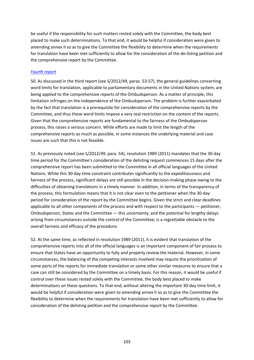be useful if the responsibility for such matters rested solely with the Committee, the body best placed to make such determinations. To that end, it would be helpful if consideration were given to amending annex II so as to give the Committee the flexibility to determine when the requirements for translation have been met sufficiently to allow for the consideration of the de-listing petition and the comprehensive report by the Committee.

### *[Fourth report](https://undocs.org/S/2012/590)*

50. As discussed in the third report (see S/2012/49, paras. 53-57), the general guidelines concerning word limits for translation, applicable to parliamentary documents in the United Nations system, are being applied to the comprehensive reports of the Ombudsperson. As a matter of principle, this limitation infringes on the independence of the Ombudsperson. The problem is further exacerbated by the fact that translation is a prerequisite for consideration of the comprehensive reports by the Committee, and thus these word limits impose a very real restriction on the content of the reports. Given that the comprehensive reports are fundamental to the fairness of the Ombudsperson process, this raises a serious concern. While efforts are made to limit the length of the comprehensive reports as much as possible, in some instances the underlying material and case issues are such that this is not feasible.

51. As previously noted (see S/2012/49, para. 54), resolution 1989 (2011) mandates that the 30-day time period for the Committee's consideration of the delisting request commences 15 days after the comprehensive report has been submitted to the Committee in all official languages of the United Nations. While this 30-day time constraint contributes significantly to the expeditiousness and fairness of the process, significant delays are still possible in the decision-making phase owing to the difficulties of obtaining translations in a timely manner. In addition, in terms of the transparency of the process, this formulation means that it is not clear even to the petitioner when the 30-day period for consideration of the report by the Committee begins. Given the strict and clear deadlines applicable to all other components of the process and with respect to the participants — petitioner, Ombudsperson, States and the Committee — this uncertainty, and the potential for lengthy delays arising from circumstances outside the control of the Committee, is a regrettable obstacle to the overall fairness and efficacy of the procedure.

52. At the same time, as reflected in resolution 1989 (2011), it is evident that translation of the comprehensive reports into all of the official languages is an important component of fair process to ensure that States have an opportunity to fully and properly review the material. However, in some circumstances, the balancing of the competing interests involved may require the prioritization of some parts of the reports for immediate translation or some other similar measures to ensure that a case can still be considered by the Committee on a timely basis. For this reason, it would be useful if control over these issues rested solely with the Committee, the body best placed to make determinations on these questions. To that end, without altering the important 30-day time limit, it would be helpful if consideration were given to amending annex II so as to give the Committee the flexibility to determine when the requirements for translation have been met sufficiently to allow for consideration of the delisting petition and the comprehensive report by the Committee.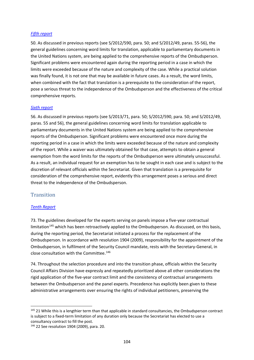#### *[Fifth report](https://undocs.org/S/2013/71)*

50. As discussed in previous reports (see S/2012/590, para. 50; and S/2012/49, paras. 55-56), the general guidelines concerning word limits for translation, applicable to parliamentary documents in the United Nations system, are being applied to the comprehensive reports of the Ombudsperson. Significant problems were encountered again during the reporting period in a case in which the limits were exceeded because of the nature and complexity of the case. While a practical solution was finally found, it is not one that may be available in future cases. As a result, the word limits, when combined with the fact that translation is a prerequisite to the consideration of the report, pose a serious threat to the independence of the Ombudsperson and the effectiveness of the critical comprehensive reports.

#### *[Sixth report](https://undocs.org/S/2013/452)*

56. As discussed in previous reports (see S/2013/71, para. 50; S/2012/590, para. 50; and S/2012/49, paras. 55 and 56), the general guidelines concerning word limits for translation applicable to parliamentary documents in the United Nations system are being applied to the comprehensive reports of the Ombudsperson. Significant problems were encountered once more during the reporting period in a case in which the limits were exceeded because of the nature and complexity of the report. While a waiver was ultimately obtained for that case, attempts to obtain a general exemption from the word limits for the reports of the Ombudsperson were ultimately unsuccessful. As a result, an individual request for an exemption has to be sought in each case and is subject to the discretion of relevant officials within the Secretariat. Given that translation is a prerequisite for consideration of the comprehensive report, evidently this arrangement poses a serious and direct threat to the independence of the Ombudsperson.

### **Transition**

#### *[Tenth Report](https://undocs.org/S/2015/533)*

73. The guidelines developed for the experts serving on panels impose a five-year contractual limitation<sup>[145](#page-103-0)</sup> which has been retroactively applied to the Ombudsperson. As discussed, on this basis, during the reporting period, the Secretariat initiated a process for the replacement of the Ombudsperson. In accordance with resolution 1904 (2009), responsibility for the appointment of the Ombudsperson, in fulfilment of the Security Council mandate, rests with the Secretary-General, in close consultation with the Committee.[146](#page-103-1)

74. Throughout the selection procedure and into the transition phase, officials within the Security Council Affairs Division have expressly and repeatedly prioritized above all other considerations the rigid application of the five-year contract limit and the consistency of contractual arrangements between the Ombudsperson and the panel experts. Precedence has explicitly been given to these administrative arrangements over ensuring the rights of individual petitioners, preserving the

<span id="page-103-0"></span><sup>&</sup>lt;sup>145</sup> 21 While this is a lengthier term than that applicable in standard consultancies, the Ombudsperson contract is subject to a fixed-term limitation of any duration only because the Secretariat has elected to use a consultancy contract to fill the post.

<span id="page-103-1"></span><sup>146</sup> 22 See resolution 1904 (2009), para. 20.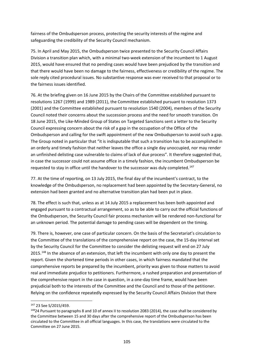fairness of the Ombudsperson process, protecting the security interests of the regime and safeguarding the credibility of the Security Council mechanism.

75. In April and May 2015, the Ombudsperson twice presented to the Security Council Affairs Division a transition plan which, with a minimal two-week extension of the incumbent to 1 August 2015, would have ensured that no pending cases would have been prejudiced by the transition and that there would have been no damage to the fairness, effectiveness or credibility of the regime. The sole reply cited procedural issues. No substantive response was ever received to that proposal or to the fairness issues identified.

76. At the briefing given on 16 June 2015 by the Chairs of the Committee established pursuant to resolutions 1267 (1999) and 1989 (2011), the Committee established pursuant to resolution 1373 (2001) and the Committee established pursuant to resolution 1540 (2004), members of the Security Council noted their concerns about the succession process and the need for smooth transition. On 18 June 2015, the Like-Minded Group of States on Targeted Sanctions sent a letter to the Security Council expressing concern about the risk of a gap in the occupation of the Office of the Ombudsperson and calling for the swift appointment of the new Ombudsperson to avoid such a gap. The Group noted in particular that "it is indisputable that such a transition has to be accomplished in an orderly and timely fashion that neither leaves the office a single day unoccupied, nor may render an unfinished delisting case vulnerable to claims of lack of due process". It therefore suggested that, in case the successor could not assume office in a timely fashion, the incumbent Ombudsperson be requested to stay in office until the handover to the successor was duly completed.<sup>[147](#page-104-0)</sup>

77. At the time of reporting, on 13 July 2015, the final day of the incumbent's contract, to the knowledge of the Ombudsperson, no replacement had been appointed by the Secretary-General, no extension had been granted and no alternative transition plan had been put in place.

78. The effect is such that, unless as at 14 July 2015 a replacement has been both appointed and engaged pursuant to a contractual arrangement, so as to be able to carry out the official functions of the Ombudsperson, the Security Council fair process mechanism will be rendered non-functional for an unknown period. The potential damage to pending cases will be dependent on the timing.

79. There is, however, one case of particular concern. On the basis of the Secretariat's circulation to the Committee of the translations of the comprehensive report on the case, the 15-day interval set by the Security Council for the Committee to consider the delisting request will end on 27 July 2015.<sup>[148](#page-104-1)</sup> In the absence of an extension, that left the incumbent with only one day to present the report. Given the shortened time periods in other cases, in which fairness mandated that the comprehensive reports be prepared by the incumbent, priority was given to those matters to avoid real and immediate prejudice to petitioners. Furthermore, a rushed preparation and presentation of the comprehensive report in the case in question, in a one-day time frame, would have been prejudicial both to the interests of the Committee and the Council and to those of the petitioner. Relying on the confidence repeatedly expressed by the Security Council Affairs Division that there

<span id="page-104-0"></span><sup>147</sup> 23 See S/2015/459.

<span id="page-104-1"></span><sup>&</sup>lt;sup>148</sup>24 Pursuant to paragraphs 8 and 10 of annex II to resolution 2083 (2014), the case shall be considered by the Committee between 15 and 30 days after the comprehensive report of the Ombudsperson has been circulated to the Committee in all official languages. In this case, the translations were circulated to the Committee on 27 June 2015.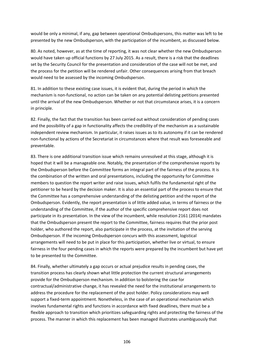would be only a minimal, if any, gap between operational Ombudspersons, this matter was left to be presented by the new Ombudsperson, with the participation of the incumbent, as discussed below.

80. As noted, however, as at the time of reporting, it was not clear whether the new Ombudsperson would have taken up official functions by 27 July 2015. As a result, there is a risk that the deadlines set by the Security Council for the presentation and consideration of the case will not be met, and the process for the petition will be rendered unfair. Other consequences arising from that breach would need to be assessed by the incoming Ombudsperson.

81. In addition to these existing case issues, it is evident that, during the period in which the mechanism is non-functional, no action can be taken on any potential delisting petitions presented until the arrival of the new Ombudsperson. Whether or not that circumstance arises, it is a concern in principle.

82. Finally, the fact that the transition has been carried out without consideration of pending cases and the possibility of a gap in functionality affects the credibility of the mechanism as a sustainable independent review mechanism. In particular, it raises issues as to its autonomy if it can be rendered non-functional by actions of the Secretariat in circumstances where that result was foreseeable and preventable.

83. There is one additional transition issue which remains unresolved at this stage, although it is hoped that it will be a manageable one. Notably, the presentation of the comprehensive reports by the Ombudsperson before the Committee forms an integral part of the fairness of the process. It is the combination of the written and oral presentations, including the opportunity for Committee members to question the report writer and raise issues, which fulfils the fundamental right of the petitioner to be heard by the decision maker. It is also an essential part of the process to ensure that the Committee has a comprehensive understanding of the delisting petition and the report of the Ombudsperson. Evidently, the report presentation is of little added value, in terms of fairness or the understanding of the Committee, if the author of the specific comprehensive report does not participate in its presentation. In the view of the incumbent, while resolution 2161 (2014) mandates that the Ombudsperson present the report to the Committee, fairness requires that the prior post holder, who authored the report, also participate in the process, at the invitation of the serving Ombudsperson. If the incoming Ombudsperson concurs with this assessment, logistical arrangements will need to be put in place for this participation, whether live or virtual, to ensure fairness in the four pending cases in which the reports were prepared by the incumbent but have yet to be presented to the Committee.

84. Finally, whether ultimately a gap occurs or actual prejudice results in pending cases, the transition process has clearly shown what little protection the current structural arrangements provide for the Ombudsperson mechanism. In addition to bolstering the case for contractual/administrative change, it has revealed the need for the institutional arrangements to address the procedure for the replacement of the post holder. Policy considerations may well support a fixed-term appointment. Nonetheless, in the case of an operational mechanism which involves fundamental rights and functions in accordance with fixed deadlines, there must be a flexible approach to transition which prioritizes safeguarding rights and protecting the fairness of the process. The manner in which this replacement has been managed illustrates unambiguously that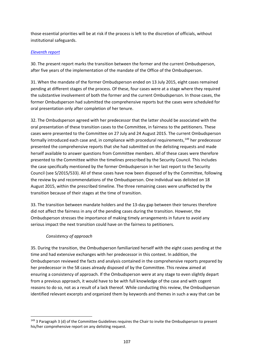those essential priorities will be at risk if the process is left to the discretion of officials, without institutional safeguards.

#### *[Eleventh report](https://undocs.org/S/2016/96)*

30. The present report marks the transition between the former and the current Ombudsperson, after five years of the implementation of the mandate of the Office of the Ombudsperson.

31. When the mandate of the former Ombudsperson ended on 13 July 2015, eight cases remained pending at different stages of the process. Of these, four cases were at a stage where they required the substantive involvement of both the former and the current Ombudsperson. In those cases, the former Ombudsperson had submitted the comprehensive reports but the cases were scheduled for oral presentation only after completion of her tenure.

32. The Ombudsperson agreed with her predecessor that the latter should be associated with the oral presentation of these transition cases to the Committee, in fairness to the petitioners. These cases were presented to the Committee on 27 July and 24 August 2015. The current Ombudsperson formally introduced each case and, in compliance with procedural requirements,<sup>[149](#page-106-0)</sup> her predecessor presented the comprehensive reports that she had submitted on the delisting requests and made herself available to answer questions from Committee members. All of these cases were therefore presented to the Committee within the timelines prescribed by the Security Council. This includes the case specifically mentioned by the former Ombudsperson in her last report to the Security Council (see S/2015/533). All of these cases have now been disposed of by the Committee, following the review by and recommendations of the Ombudsperson. One individual was delisted on 18 August 2015, within the prescribed timeline. The three remaining cases were unaffected by the transition because of their stages at the time of transition.

33. The transition between mandate holders and the 13-day gap between their tenures therefore did not affect the fairness in any of the pending cases during the transition. However, the Ombudsperson stresses the importance of making timely arrangements in future to avoid any serious impact the next transition could have on the fairness to petitioners.

# *Consistency of approach*

35. During the transition, the Ombudsperson familiarized herself with the eight cases pending at the time and had extensive exchanges with her predecessor in this context. In addition, the Ombudsperson reviewed the facts and analysis contained in the comprehensive reports prepared by her predecessor in the 58 cases already disposed of by the Committee. This review aimed at ensuring a consistency of approach. If the Ombudsperson were at any stage to even slightly depart from a previous approach, it would have to be with full knowledge of the case and with cogent reasons to do so, not as a result of a lack thereof. While conducting this review, the Ombudsperson identified relevant excerpts and organized them by keywords and themes in such a way that can be

<span id="page-106-0"></span><sup>&</sup>lt;sup>149</sup> 3 Paragraph 3 (d) of the Committee Guidelines requires the Chair to invite the Ombudsperson to present his/her comprehensive report on any delisting request.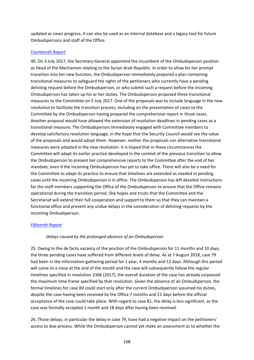updated as cases progress. It can also be used as an internal database and a legacy tool for future Ombudspersons and staff of the Office.

#### *[Fourteenth Report](https://undocs.org/S/2017/685)*

49. On 3 July 2017, the Secretary-General appointed the incumbent of the Ombudsperson position as Head of the Mechanism relating to the Syrian Arab Republic. In order to allow for her prompt transition into her new function, the Ombudsperson immediately prepared a plan containing transitional measures to safeguard the rights of the petitioners who currently have a pending delisting request before the Ombudsperson, or who submit such a request before the incoming Ombudsperson has taken up his or her duties. The Ombudsperson proposed these transitional measures to the Committee on 5 July 2017. One of the proposals was to include language in the new resolution to facilitate the transition process, including on the presentation of cases to the Committee by the Ombudsperson having prepared the comprehensive report in those cases. Another proposal would have allowed the extension of resolution deadlines in pending cases as a transitional measure. The Ombudsperson immediately engaged with Committee members to develop satisfactory resolution language, in the hope that the Security Council would see the value of the proposals and would adopt them. However, neither the proposals nor alternative transitional measures were adopted in the new resolution. It is hoped that in these circumstances the Committee will adapt its earlier practice developed in the context of the previous transition to allow the Ombudsperson to present her comprehensive reports to the Committee after the end of her mandate, even if the incoming Ombudsperson has yet to take office. There will also be a need for the Committee to adapt its practice to ensure that timelines are extended as needed in pending cases until the incoming Ombudsperson is in office. The Ombudsperson has left detailed instructions for the staff members supporting the Office of the Ombudsperson to ensure that the Office remains operational during the transition period. She hopes and trusts that the Committee and the Secretariat will extend their full cooperation and support to them so that they can maintain a functional office and prevent any undue delays in the consideration of delisting requests by the incoming Ombudsperson.

#### *[Fifteenth Report](https://www.undocs.org/en/S/2018/579)*

#### *Delays caused by the prolonged absence of an Ombudsperson*

25. Owing to the de facto vacancy of the position of the Ombudsperson for 11 months and 10 days, the three pending cases have suffered from different levels of delay. As at 7 August 2018, case 79 had been in the information-gathering period for 1 year, 4 months and 12 days. Although this period will come to a close at the end of the month and the case will subsequently follow the regular timelines specified in resolution 2368 (2017), the overall duration of the case has already surpassed the maximum time frame specified by that resolution. Given the absence of an Ombudsperson, the formal timelines for case 80 could start only after the current Ombudsperson assumed his duties, despite the case having been received by the Office 7 months and 21 days before the official acceptance of the case could take place. With regard to case 81, the delay is less significant, as the case was formally accepted 1 month and 18 days after having been received.

26. Those delays, in particular the delay in case 79, have had a negative impact on the petitioners' access to due process. While the Ombudsperson cannot yet make an assessment as to whether the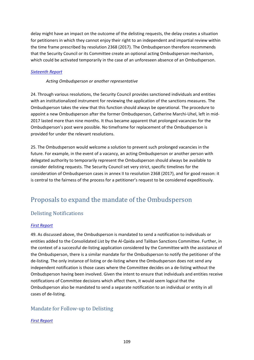delay might have an impact on the outcome of the delisting requests, the delay creates a situation for petitioners in which they cannot enjoy their right to an independent and impartial review within the time frame prescribed by resolution 2368 (2017). The Ombudsperson therefore recommends that the Security Council or its Committee create an optional acting Ombudsperson mechanism, which could be activated temporarily in the case of an unforeseen absence of an Ombudsperson.

## *[Sixteenth Report](https://undocs.org/en/S/2019/112)*

## *Acting Ombudsperson or another representative*

24. Through various resolutions, the Security Council provides sanctioned individuals and entities with an institutionalized instrument for reviewing the application of the sanctions measures. The Ombudsperson takes the view that this function should always be operational. The procedure to appoint a new Ombudsperson after the former Ombudsperson, Catherine Marchi-Uhel, left in mid-2017 lasted more than nine months. It thus became apparent that prolonged vacancies for the Ombudsperson's post were possible. No timeframe for replacement of the Ombudsperson is provided for under the relevant resolutions.

25. The Ombudsperson would welcome a solution to prevent such prolonged vacancies in the future. For example, in the event of a vacancy, an acting Ombudsperson or another person with delegated authority to temporarily represent the Ombudsperson should always be available to consider delisting requests. The Security Council set very strict, specific timelines for the consideration of Ombudsperson cases in annex II to resolution 2368 (2017), and for good reason: it is central to the fairness of the process for a petitioner's request to be considered expeditiously.

# Proposals to expand the mandate of the Ombudsperson

# Delisting Notifications

## *[First Report](http://undocs.org/S/2011/29)*

49. As discussed above, the Ombudsperson is mandated to send a notification to individuals or entities added to the Consolidated List by the Al-Qaida and Taliban Sanctions Committee. Further, in the context of a successful de-listing application considered by the Committee with the assistance of the Ombudsperson, there is a similar mandate for the Ombudsperson to notify the petitioner of the de-listing. The only instance of listing or de-listing where the Ombudsperson does not send any independent notification is those cases where the Committee decides on a de-listing without the Ombudsperson having been involved. Given the intent to ensure that individuals and entities receive notifications of Committee decisions which affect them, it would seem logical that the Ombudsperson also be mandated to send a separate notification to an individual or entity in all cases of de-listing.

# Mandate for Follow-up to Delisting

## *[First Report](http://undocs.org/S/2011/29)*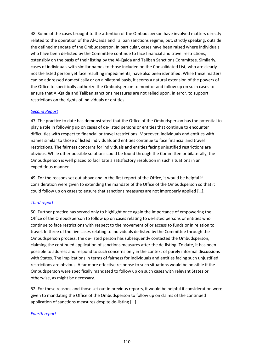48. Some of the cases brought to the attention of the Ombudsperson have involved matters directly related to the operation of the Al-Qaida and Taliban sanctions regime, but, strictly speaking, outside the defined mandate of the Ombudsperson. In particular, cases have been raised where individuals who have been de-listed by the Committee continue to face financial and travel restrictions, ostensibly on the basis of their listing by the Al-Qaida and Taliban Sanctions Committee. Similarly, cases of individuals with similar names to those included on the Consolidated List, who are clearly not the listed person yet face resulting impediments, have also been identified. While these matters can be addressed domestically or on a bilateral basis, it seems a natural extension of the powers of the Office to specifically authorize the Ombudsperson to monitor and follow up on such cases to ensure that Al-Qaida and Taliban sanctions measures are not relied upon, in error, to support restrictions on the rights of individuals or entities.

#### *[Second Report](https://undocs.org/S/2011/447)*

47. The practice to date has demonstrated that the Office of the Ombudsperson has the potential to play a role in following up on cases of de-listed persons or entities that continue to encounter difficulties with respect to financial or travel restrictions. Moreover, individuals and entities with names similar to those of listed individuals and entities continue to face financial and travel restrictions. The fairness concerns for individuals and entities facing unjustified restrictions are obvious. While other possible solutions could be found through the Committee or bilaterally, the Ombudsperson is well placed to facilitate a satisfactory resolution in such situations in an expeditious manner.

49. For the reasons set out above and in the first report of the Office, it would be helpful if consideration were given to extending the mandate of the Office of the Ombudsperson so that it could follow up on cases to ensure that sanctions measures are not improperly applied […].

## *[Third report](https://undocs.org/S/2012/49)*

50. Further practice has served only to highlight once again the importance of empowering the Office of the Ombudsperson to follow up on cases relating to de-listed persons or entities who continue to face restrictions with respect to the movement of or access to funds or in relation to travel. In three of the five cases relating to individuals de-listed by the Committee through the Ombudsperson process, the de-listed person has subsequently contacted the Ombudsperson, claiming the continued application of sanctions measures after the de-listing. To date, it has been possible to address and respond to such concerns only in the context of purely informal discussions with States. The implications in terms of fairness for individuals and entities facing such unjustified restrictions are obvious. A far more effective response to such situations would be possible if the Ombudsperson were specifically mandated to follow up on such cases with relevant States or otherwise, as might be necessary.

52. For these reasons and those set out in previous reports, it would be helpful if consideration were given to mandating the Office of the Ombudsperson to follow up on claims of the continued application of sanctions measures despite de-listing […].

#### *[Fourth report](https://undocs.org/S/2012/590)*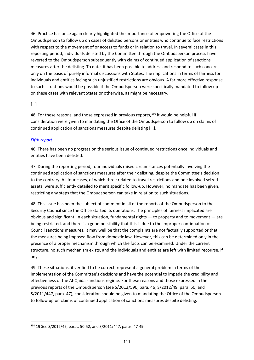46. Practice has once again clearly highlighted the importance of empowering the Office of the Ombudsperson to follow up on cases of delisted persons or entities who continue to face restrictions with respect to the movement of or access to funds or in relation to travel. In several cases in this reporting period, individuals delisted by the Committee through the Ombudsperson process have reverted to the Ombudsperson subsequently with claims of continued application of sanctions measures after the delisting. To date, it has been possible to address and respond to such concerns only on the basis of purely informal discussions with States. The implications in terms of fairness for individuals and entities facing such unjustified restrictions are obvious. A far more effective response to such situations would be possible if the Ombudsperson were specifically mandated to follow up on these cases with relevant States or otherwise, as might be necessary.

# $\lceil$ ...]

48. For these reasons, and those expressed in previous reports,  $150$  it would be helpful if consideration were given to mandating the Office of the Ombudsperson to follow up on claims of continued application of sanctions measures despite delisting […].

## *[Fifth report](https://undocs.org/S/2013/71)*

46. There has been no progress on the serious issue of continued restrictions once individuals and entities have been delisted.

47. During the reporting period, four individuals raised circumstances potentially involving the continued application of sanctions measures after their delisting, despite the Committee's decision to the contrary. All four cases, of which three related to travel restrictions and one involved seized assets, were sufficiently detailed to merit specific follow-up. However, no mandate has been given, restricting any steps that the Ombudsperson can take in relation to such situations.

48. This issue has been the subject of comment in all of the reports of the Ombudsperson to the Security Council since the Office started its operations. The principles of fairness implicated are obvious and significant. In each situation, fundamental rights — to property and to movement — are being restricted, and there is a good possibility that this is due to the improper continuation of Council sanctions measures. It may well be that the complaints are not factually supported or that the measures being imposed flow from domestic law. However, this can be determined only in the presence of a proper mechanism through which the facts can be examined. Under the current structure, no such mechanism exists, and the individuals and entities are left with limited recourse, if any.

49. These situations, if verified to be correct, represent a general problem in terms of the implementation of the Committee's decisions and have the potential to impede the credibility and effectiveness of the Al-Qaida sanctions regime. For these reasons and those expressed in the previous reports of the Ombudsperson (see S/2012/590, para. 46; S/2012/49, para. 50; and S/2011/447, para. 47), consideration should be given to mandating the Office of the Ombudsperson to follow up on claims of continued application of sanctions measures despite delisting.

<span id="page-110-0"></span><sup>150</sup> 19 See S/2012/49, paras. 50-52, and S/2011/447, paras. 47-49.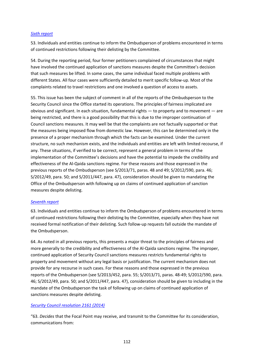#### *[Sixth report](https://undocs.org/S/2013/452)*

53. Individuals and entities continue to inform the Ombudsperson of problems encountered in terms of continued restrictions following their delisting by the Committee.

54. During the reporting period, four former petitioners complained of circumstances that might have involved the continued application of sanctions measures despite the Committee's decision that such measures be lifted. In some cases, the same individual faced multiple problems with different States. All four cases were sufficiently detailed to merit specific follow-up. Most of the complaints related to travel restrictions and one involved a question of access to assets.

55. This issue has been the subject of comment in all of the reports of the Ombudsperson to the Security Council since the Office started its operations. The principles of fairness implicated are obvious and significant. In each situation, fundamental rights — to property and to movement — are being restricted, and there is a good possibility that this is due to the improper continuation of Council sanctions measures. It may well be that the complaints are not factually supported or that the measures being imposed flow from domestic law. However, this can be determined only in the presence of a proper mechanism through which the facts can be examined. Under the current structure, no such mechanism exists, and the individuals and entities are left with limited recourse, if any. These situations, if verified to be correct, represent a general problem in terms of the implementation of the Committee's decisions and have the potential to impede the credibility and effectiveness of the Al-Qaida sanctions regime. For these reasons and those expressed in the previous reports of the Ombudsperson (see S/2013/71, paras. 48 and 49; S/2012/590, para. 46; S/2012/49, para. 50; and S/2011/447, para. 47), consideration should be given to mandating the Office of the Ombudsperson with following up on claims of continued application of sanction measures despite delisting.

#### *[Seventh report](https://undocs.org/S/2014/73)*

63. Individuals and entities continue to inform the Ombudsperson of problems encountered in terms of continued restrictions following their delisting by the Committee, especially when they have not received formal notification of their delisting. Such follow-up requests fall outside the mandate of the Ombudsperson.

64. As noted in all previous reports, this presents a major threat to the principles of fairness and more generally to the credibility and effectiveness of the Al-Qaida sanctions regime. The improper, continued application of Security Council sanctions measures restricts fundamental rights to property and movement without any legal basis or justification. The current mechanism does not provide for any recourse in such cases. For these reasons and those expressed in the previous reports of the Ombudsperson (see S/2013/452, para. 55; S/2013/71, paras. 48-49; S/2012/590, para. 46; S/2012/49, para. 50; and S/2011/447, para. 47), consideration should be given to including in the mandate of the Ombudsperson the task of following up on claims of continued application of sanctions measures despite delisting.

#### *[Security Council resolution 2161 \(2014\)](https://undocs.org/S/RES/2161(2014))*

"63. *Decides* that the Focal Point may receive, and transmit to the Committee for its consideration, communications from: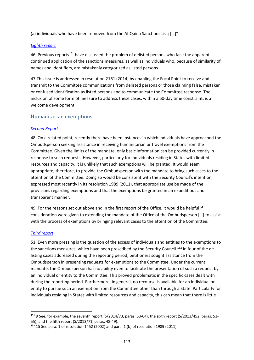(a) individuals who have been removed from the Al-Qaida Sanctions List; […]"

#### *[Eighth report](https://undocs.org/S/2014/553)*

46. Previous reports<sup>[151](#page-112-0)</sup> have discussed the problem of delisted persons who face the apparent continued application of the sanctions measures, as well as individuals who, because of similarity of names and identifiers, are mistakenly categorized as listed persons.

47.This issue is addressed in resolution 2161 (2014) by enabling the Focal Point to receive and transmit to the Committee communications from delisted persons or those claiming false, mistaken or confused identification as listed persons and to communicate the Committee response. The inclusion of some form of measure to address these cases, within a 60-day time constraint, is a welcome development.

# Humanitarian exemptions

## *[Second Report](https://undocs.org/S/2011/447)*

48. On a related point, recently there have been instances in which individuals have approached the Ombudsperson seeking assistance in receiving humanitarian or travel exemptions from the Committee. Given the limits of the mandate, only basic information can be provided currently in response to such requests. However, particularly for individuals residing in States with limited resources and capacity, it is unlikely that such exemptions will be granted. It would seem appropriate, therefore, to provide the Ombudsperson with the mandate to bring such cases to the attention of the Committee. Doing so would be consistent with the Security Council's intention, expressed most recently in its resolution 1989 (2011), that appropriate use be made of the provisions regarding exemptions and that the exemptions be granted in an expeditious and transparent manner.

49. For the reasons set out above and in the first report of the Office, it would be helpful if consideration were given to extending the mandate of the Office of the Ombudsperson […] to assist with the process of exemptions by bringing relevant cases to the attention of the Committee.

#### *[Third report](https://undocs.org/S/2012/49)*

51. Even more pressing is the question of the access of individuals and entities to the exemptions to the sanctions measures, which have been prescribed by the Security Council.<sup>[152](#page-112-1)</sup> In four of the delisting cases addressed during the reporting period, petitioners sought assistance from the Ombudsperson in presenting requests for exemptions to the Committee. Under the current mandate, the Ombudsperson has no ability even to facilitate the presentation of such a request by an individual or entity to the Committee. This proved problematic in the specific cases dealt with during the reporting period. Furthermore, in general, no recourse is available for an individual or entity to pursue such an exemption from the Committee other than through a State. Particularly for individuals residing in States with limited resources and capacity, this can mean that there is little

<span id="page-112-0"></span><sup>151</sup> 9 See, for example, the seventh report (S/2014/73, paras. 63-64); the sixth report (S/2013/452, paras. 53- 55); and the fifth report (S/2013/71, paras. 48-49).

<span id="page-112-1"></span> $152$  15 See para. 1 of resolution 1452 (2002) and para. 1 (b) of resolution 1989 (2011).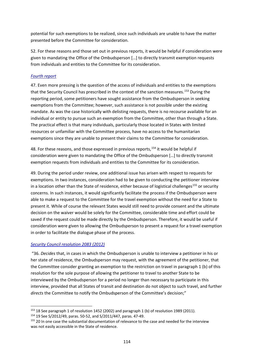potential for such exemptions to be realized, since such individuals are unable to have the matter presented before the Committee for consideration.

52. For these reasons and those set out in previous reports, it would be helpful if consideration were given to mandating the Office of the Ombudsperson […] to directly transmit exemption requests from individuals and entities to the Committee for its consideration.

# *[Fourth report](https://undocs.org/S/2012/590)*

47. Even more pressing is the question of the access of individuals and entities to the exemptions that the Security Council has prescribed in the context of the sanction measures.<sup>[153](#page-113-0)</sup> During the reporting period, some petitioners have sought assistance from the Ombudsperson in seeking exemptions from the Committee; however, such assistance is not possible under the existing mandate. As was the case historically with delisting requests, there is no recourse available for an individual or entity to pursue such an exemption from the Committee, other than through a State. The practical effect is that many individuals, particularly those located in States with limited resources or unfamiliar with the Committee process, have no access to the humanitarian exemptions since they are unable to present their claims to the Committee for consideration.

48. For these reasons, and those expressed in previous reports, <sup>[154](#page-113-1)</sup> it would be helpful if consideration were given to mandating the Office of the Ombudsperson […] to directly transmit exemption requests from individuals and entities to the Committee for its consideration.

49. During the period under review, one additional issue has arisen with respect to requests for exemptions. In two instances, consideration had to be given to conducting the petitioner interview in a location other than the State of residence, either because of logistical challenges<sup>[155](#page-113-2)</sup> or security concerns. In such instances, it would significantly facilitate the process if the Ombudsperson were able to make a request to the Committee for the travel exemption without the need for a State to present it. While of course the relevant States would still need to provide consent and the ultimate decision on the waiver would be solely for the Committee, considerable time and effort could be saved if the request could be made directly by the Ombudsperson. Therefore, it would be useful if consideration were given to allowing the Ombudsperson to present a request for a travel exemption in order to facilitate the dialogue phase of the process.

## *[Security Council resolution 2083 \(2012\)](https://undocs.org/S/RES/2083(2012))*

"36. *Decides* that, in cases in which the Ombudsperson is unable to interview a petitioner in his or her state of residence, the Ombudsperson may request, with the agreement of the petitioner, that the Committee consider granting an exemption to the restriction on travel in paragraph 1 (b) of this resolution for the sole purpose of allowing the petitioner to travel to another State to be interviewed by the Ombudsperson for a period no longer than necessary to participate in this interview, provided that all States of transit and destination do not object to such travel, and further *directs* the Committee to notify the Ombudsperson of the Committee's decision;"

<span id="page-113-0"></span><sup>153</sup> 18 See paragraph 1 of resolution 1452 (2002) and paragraph 1 (b) of resolution 1989 (2011).

<span id="page-113-1"></span><sup>154</sup> 19 See S/2012/49, paras. 50-52, and S/2011/447, paras. 47-49.

<span id="page-113-2"></span><sup>&</sup>lt;sup>155</sup> 20 In one case the substantial documentation of relevance to the case and needed for the interview was not easily accessible in the State of residence.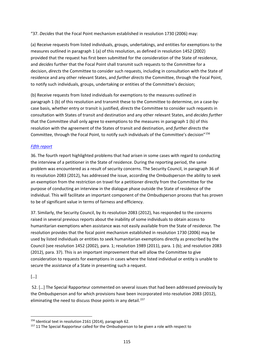"37. *Decides* that the Focal Point mechanism established in resolution 1730 (2006) may:

(a) Receive requests from listed individuals, groups, undertakings, and entities for exemptions to the measures outlined in paragraph 1 (a) of this resolution, as defined in resolution 1452 (2002) provided that the request has first been submitted for the consideration of the State of residence, and *decides* further that the Focal Point shall transmit such requests to the Committee for a decision, *directs* the Committee to consider such requests, including in consultation with the State of residence and any other relevant States, and *further directs* the Committee, through the Focal Point, to notify such individuals, groups, undertaking or entities of the Committee's decision;

(b) Receive requests from listed individuals for exemptions to the measures outlined in paragraph 1 (b) of this resolution and transmit these to the Committee to determine, on a case-bycase basis, whether entry or transit is justified, *directs* the Committee to consider such requests in consultation with States of transit and destination and any other relevant States, and *decides further* that the Committee shall only agree to exemptions to the measures in paragraph 1 (b) of this resolution with the agreement of the States of transit and destination, and *further directs* the Committee, through the Focal Point, to notify such individuals of the Committee's decision"[156](#page-114-0)

# *[Fifth report](https://undocs.org/S/2013/71)*

36. The fourth report highlighted problems that had arisen in some cases with regard to conducting the interview of a petitioner in the State of residence. During the reporting period, the same problem was encountered as a result of security concerns. The Security Council, in paragraph 36 of its resolution 2083 (2012), has addressed the issue, according the Ombudsperson the ability to seek an exemption from the restriction on travel for a petitioner directly from the Committee for the purpose of conducting an interview in the dialogue phase outside the State of residence of the individual. This will facilitate an important component of the Ombudsperson process that has proven to be of significant value in terms of fairness and efficiency.

37. Similarly, the Security Council, by its resolution 2083 (2012), has responded to the concerns raised in several previous reports about the inability of some individuals to obtain access to humanitarian exemptions when assistance was not easily available from the State of residence. The resolution provides that the focal point mechanism established in resolution 1730 (2006) may be used by listed individuals or entities to seek humanitarian exemptions directly as prescribed by the Council (see resolution 1452 (2002), para. 1; resolution 1989 (2011), para. 1 (b); and resolution 2083 (2012), para. 37). This is an important improvement that will allow the Committee to give consideration to requests for exemptions in cases where the listed individual or entity is unable to secure the assistance of a State in presenting such a request.

# […]

52. […] The Special Rapporteur commented on several issues that had been addressed previously by the Ombudsperson and for which provisions have been incorporated into resolution 2083 (2012), eliminating the need to discuss those points in any detail.<sup>[157](#page-114-1)</sup>

<span id="page-114-0"></span><sup>156</sup> Identical text in resolution 2161 (2014), paragraph 62.

<span id="page-114-1"></span> $157$  11 The Special Rapporteur called for the Ombudsperson to be given a role with respect to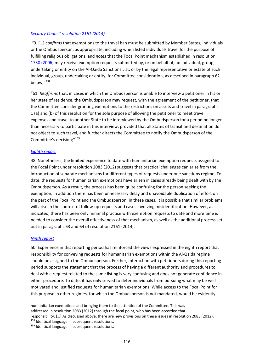#### *[Security Council resolution 2161 \(2014\)](https://undocs.org/S/RES/2161(2014))*

*"*9. […] *confirms* that exemptions to the travel ban must be submitted by Member States, individuals or the Ombudsperson, as appropriate, including when listed individuals travel for the purpose of fulfilling religious obligations, and *notes* that the Focal Point mechanism established in resolution [1730 \(2006\)](http://undocs.org/S/RES/1730(2006)) may receive exemption requests submitted by, or on behalf of, an individual, group, undertaking or entity on the Al-Qaida Sanctions List, or by the legal representative or estate of such individual, group, undertaking or entity, for Committee consideration, as described in paragraph 62 below;"[158](#page-115-0)

"61. *Reaffirms* that, in cases in which the Ombudsperson is unable to interview a petitioner in his or her state of residence, the Ombudsperson may request, with the agreement of the petitioner, that the Committee consider granting exemptions to the restrictions on assets and travel in paragraphs 1 (a) and (b) of this resolution for the sole purpose of allowing the petitioner to meet travel expenses and travel to another State to be interviewed by the Ombudsperson for a period no longer than necessary to participate in this interview, provided that all States of transit and destination do not object to such travel, and further directs the Committee to notify the Ombudsperson of the Committee's decision;"[159](#page-115-1)

## *[Eighth report](https://undocs.org/S/2014/553)*

48. Nonetheless, the limited experience to date with humanitarian exemption requests assigned to the Focal Point under resolution 2083 (2012) suggests that practical challenges can arise from the introduction of separate mechanisms for different types of requests under one sanctions regime. To date, the requests for humanitarian exemptions have arisen in cases already being dealt with by the Ombudsperson. As a result, the process has been quite confusing for the person seeking the exemption. In addition there has been unnecessary delay and unavoidable duplication of effort on the part of the Focal Point and the Ombudsperson, in these cases. It is possible that similar problems will arise in the context of follow-up requests and cases involving misidentification. However, as indicated, there has been only minimal practice with exemption requests to date and more time is needed to consider the overall effectiveness of that mechanism, as well as the additional process set out in paragraphs 63 and 64 of resolution 2161 (2014).

#### *[Ninth report](https://undocs.org/S/2015/80)*

50. Experience in this reporting period has reinforced the views expressed in the eighth report that responsibility for conveying requests for humanitarian exemptions within the Al-Qaida regime should be assigned to the Ombudsperson. Further, interaction with petitioners during this reporting period supports the statement that the process of having a different authority and procedures to deal with a request related to the same listing is very confusing and does not generate confidence in either procedure. To date, it has only served to deter individuals from pursuing what may be well motivated and justified requests for humanitarian exemptions. While access to the Focal Point for this purpose in other regimes, for which the Ombudsperson is not mandated, would be evidently

responsibility. […] As discussed above, there are new provisions on these issues in resolution 2083 (2012). 158 Identical language in subsequent resolutions.

humanitarian exemptions and bringing them to the attention of the Committee. This was addressed in resolution 2083 (2012) through the focal point, who has been accorded that

<span id="page-115-1"></span><span id="page-115-0"></span><sup>&</sup>lt;sup>159</sup> Identical language in subsequent resolutions.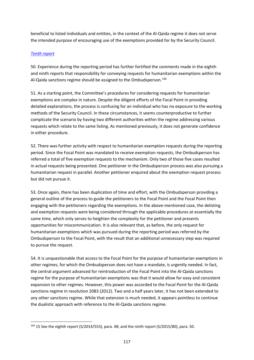beneficial to listed individuals and entities, in the context of the Al-Qaida regime it does not serve the intended purpose of encouraging use of the exemptions provided for by the Security Council.

# *[Tenth report](https://undocs.org/S/2015/533)*

50. Experience during the reporting period has further fortified the comments made in the eighth and ninth reports that responsibility for conveying requests for humanitarian exemptions within the Al-Qaida sanctions regime should be assigned to the Ombudsperson.<sup>[160](#page-116-0)</sup>

51. As a starting point, the Committee's procedures for considering requests for humanitarian exemptions are complex in nature. Despite the diligent efforts of the Focal Point in providing detailed explanations, the process is confusing for an individual who has no exposure to the working methods of the Security Council. In these circumstances, it seems counterproductive to further complicate the scenario by having two different authorities within the regime addressing various requests which relate to the same listing. As mentioned previously, it does not generate confidence in either procedure.

52. There was further activity with respect to humanitarian exemption requests during the reporting period. Since the Focal Point was mandated to receive exemption requests, the Ombudsperson has referred a total of five exemption requests to the mechanism. Only two of those five cases resulted in actual requests being presented. One petitioner in the Ombudsperson process was also pursuing a humanitarian request in parallel. Another petitioner enquired about the exemption request process but did not pursue it.

53. Once again, there has been duplication of time and effort, with the Ombudsperson providing a general outline of the process to guide the petitioners to the Focal Point and the Focal Point then engaging with the petitioners regarding the exemptions. In the above-mentioned case, the delisting and exemption requests were being considered through the applicable procedures at essentially the same time, which only serves to heighten the complexity for the petitioner and presents opportunities for miscommunication. It is also relevant that, as before, the only request for humanitarian exemptions which was pursued during the reporting period was referred by the Ombudsperson to the Focal Point, with the result that an additional unnecessary step was required to pursue the request.

54. It is unquestionable that access to the Focal Point for the purpose of humanitarian exemptions in other regimes, for which the Ombudsperson does not have a mandate, is urgently needed. In fact, the central argument advanced for reintroduction of the Focal Point into the Al-Qaida sanctions regime for the purpose of humanitarian exemptions was that it would allow for easy and consistent expansion to other regimes. However, this power was accorded to the Focal Point for the Al-Qaida sanctions regime in resolution 2083 (2012). Two and a half years later, it has not been extended to any other sanctions regime. While that extension is much needed, it appears pointless to continue the dualistic approach with reference to the Al-Qaida sanctions regime.

<span id="page-116-0"></span><sup>&</sup>lt;sup>160</sup> 15 See the eighth report (S/2014/553), para. 48; and the ninth report (S/2015/80), para. 50.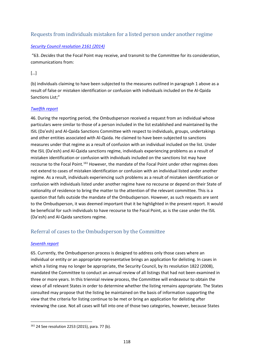# Requests from individuals mistaken for a listed person under another regime

## *[Security Council resolution 2161 \(2014\)](https://undocs.org/S/RES/2161(2014))*

"63. *Decides* that the Focal Point may receive, and transmit to the Committee for its consideration, communications from:

[…]

(b) individuals claiming to have been subjected to the measures outlined in paragraph 1 above as a result of false or mistaken identification or confusion with individuals included on the Al-Qaida Sanctions List;"

## *[Twelfth report](https://undocs.org/S/2016/671)*

46. During the reporting period, the Ombudsperson received a request from an individual whose particulars were similar to those of a person included in the list established and maintained by the ISIL (Da'esh) and Al-Qaida Sanctions Committee with respect to individuals, groups, undertakings and other entities associated with Al-Qaida. He claimed to have been subjected to sanctions measures under that regime as a result of confusion with an individual included on the list. Under the ISIL (Da'esh) and Al-Qaida sanctions regime, individuals experiencing problems as a result of mistaken identification or confusion with individuals included on the sanctions list may have recourse to the Focal Point.<sup>[161](#page-117-0)</sup> However, the mandate of the Focal Point under other regimes does not extend to cases of mistaken identification or confusion with an individual listed under another regime. As a result, individuals experiencing such problems as a result of mistaken identification or confusion with individuals listed under another regime have no recourse or depend on their State of nationality of residence to bring the matter to the attention of the relevant committee. This is a question that falls outside the mandate of the Ombudsperson. However, as such requests are sent to the Ombudsperson, it was deemed important that it be highlighted in the present report. It would be beneficial for such individuals to have recourse to the Focal Point, as is the case under the ISIL (Da'esh) and Al-Qaida sanctions regime.

# Referral of cases to the Ombudsperson by the Committee

## *[Seventh report](https://undocs.org/S/2014/73)*

65. Currently, the Ombudsperson process is designed to address only those cases where an individual or entity or an appropriate representative brings an application for delisting. In cases in which a listing may no longer be appropriate, the Security Council, by its resolution 1822 (2008), mandated the Committee to conduct an annual review of all listings that had not been examined in three or more years. In this triennial review process, the Committee will endeavour to obtain the views of all relevant States in order to determine whether the listing remains appropriate. The States consulted may propose that the listing be maintained on the basis of information supporting the view that the criteria for listing continue to be met or bring an application for delisting after reviewing the case. Not all cases will fall into one of those two categories, however, because States

<span id="page-117-0"></span><sup>161</sup> 24 See resolution 2253 (2015), para. 77 (b).